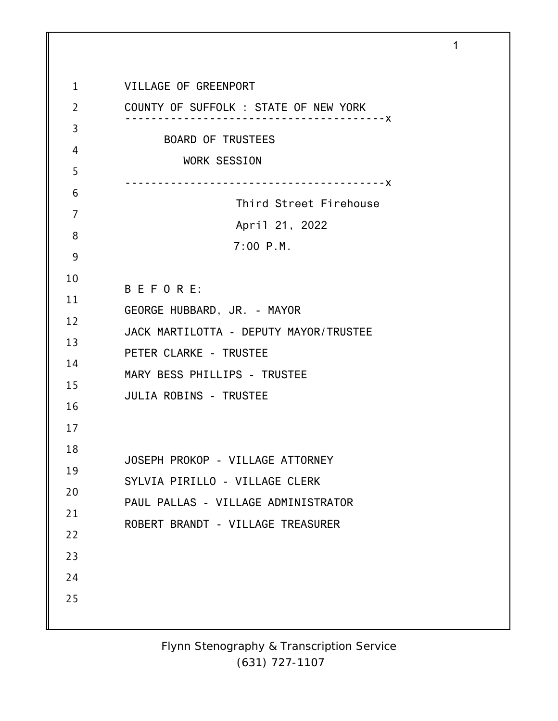1 2 3 4 5 6 7 8 9 10 11 12 13 14 15 16 17 18 19 20 21 22 23 24 25 VILLAGE OF GREENPORT COUNTY OF SUFFOLK : STATE OF NEW YORK ----------------------------------------x BOARD OF TRUSTEES WORK SESSION ----------------------------------------x Third Street Firehouse April 21, 2022 7:00 P.M. B E F O R E: GEORGE HUBBARD, JR. - MAYOR JACK MARTILOTTA - DEPUTY MAYOR/TRUSTEE PETER CLARKE - TRUSTEE MARY BESS PHILLIPS - TRUSTEE JULIA ROBINS - TRUSTEE JOSEPH PROKOP - VILLAGE ATTORNEY SYLVIA PIRILLO - VILLAGE CLERK PAUL PALLAS - VILLAGE ADMINISTRATOR ROBERT BRANDT - VILLAGE TREASURER

1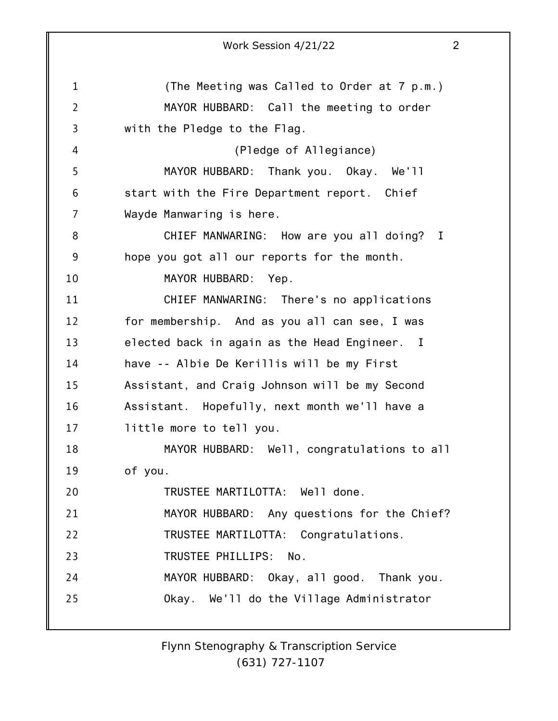1 2 3 4 5 6 7 8 9 10 11 12 13 14 15 16 17 18 19 20 21 22 23 24 25 Work Session 4/21/22 2 (The Meeting was Called to Order at 7 p.m.) MAYOR HUBBARD: Call the meeting to order with the Pledge to the Flag. (Pledge of Allegiance) MAYOR HUBBARD: Thank you. Okay. We'll start with the Fire Department report. Chief Wayde Manwaring is here. CHIEF MANWARING: How are you all doing? I hope you got all our reports for the month. MAYOR HUBBARD: Yep. CHIEF MANWARING: There's no applications for membership. And as you all can see, I was elected back in again as the Head Engineer. I have -- Albie De Kerillis will be my First Assistant, and Craig Johnson will be my Second Assistant. Hopefully, next month we'll have a little more to tell you. MAYOR HUBBARD: Well, congratulations to all of you. TRUSTEE MARTILOTTA: Well done. MAYOR HUBBARD: Any questions for the Chief? TRUSTEE MARTILOTTA: Congratulations. TRUSTEE PHILLIPS: No. MAYOR HUBBARD: Okay, all good. Thank you. Okay. We'll do the Village Administrator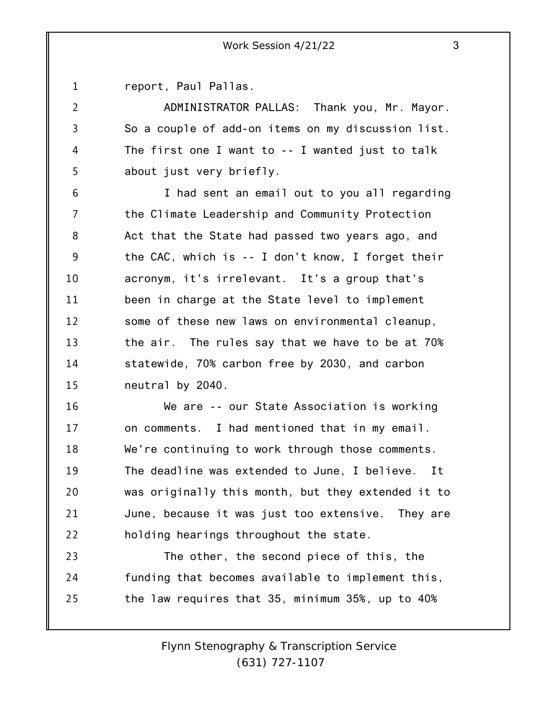1 report, Paul Pallas.

2

3

4

5

ADMINISTRATOR PALLAS: Thank you, Mr. Mayor. So a couple of add-on items on my discussion list. The first one I want to -- I wanted just to talk about just very briefly.

6 7 8 9 10 11 12 13 14 15 I had sent an email out to you all regarding the Climate Leadership and Community Protection Act that the State had passed two years ago, and the CAC, which is -- I don't know, I forget their acronym, it's irrelevant. It's a group that's been in charge at the State level to implement some of these new laws on environmental cleanup, the air. The rules say that we have to be at 70% statewide, 70% carbon free by 2030, and carbon neutral by 2040.

16 17 18 19 20 21 22 We are -- our State Association is working on comments. I had mentioned that in my email. We're continuing to work through those comments. The deadline was extended to June, I believe. It was originally this month, but they extended it to June, because it was just too extensive. They are holding hearings throughout the state.

23 24 25 The other, the second piece of this, the funding that becomes available to implement this, the law requires that 35, minimum 35%, up to 40%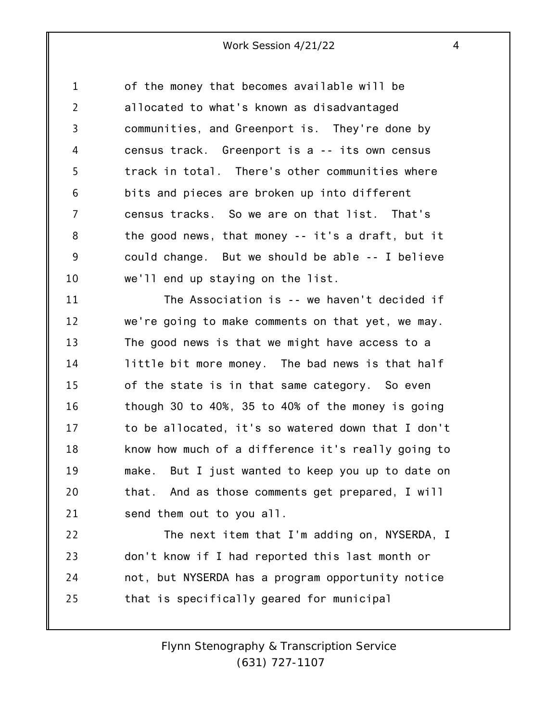1 2 3 4 5 6 7 8 9 10 of the money that becomes available will be allocated to what's known as disadvantaged communities, and Greenport is. They're done by census track. Greenport is a -- its own census track in total. There's other communities where bits and pieces are broken up into different census tracks. So we are on that list. That's the good news, that money -- it's a draft, but it could change. But we should be able -- I believe we'll end up staying on the list.

11 12 13 14 15 16 17 18 19 20 21 The Association is -- we haven't decided if we're going to make comments on that yet, we may. The good news is that we might have access to a little bit more money. The bad news is that half of the state is in that same category. So even though 30 to 40%, 35 to 40% of the money is going to be allocated, it's so watered down that I don't know how much of a difference it's really going to make. But I just wanted to keep you up to date on that. And as those comments get prepared, I will send them out to you all.

22 23 24 25 The next item that I'm adding on, NYSERDA, I don't know if I had reported this last month or not, but NYSERDA has a program opportunity notice that is specifically geared for municipal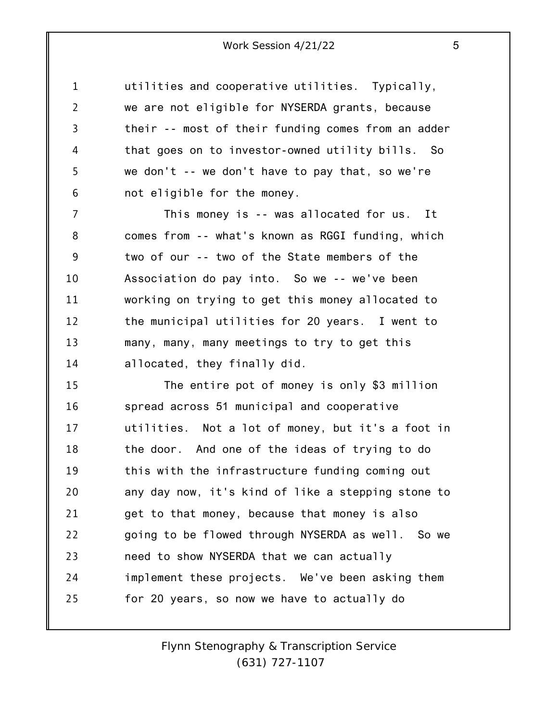1 2 3 4 5 6 utilities and cooperative utilities. Typically, we are not eligible for NYSERDA grants, because their -- most of their funding comes from an adder that goes on to investor-owned utility bills. So we don't -- we don't have to pay that, so we're not eligible for the money.

7 8 9 10 11 12 13 14 This money is -- was allocated for us. It comes from -- what's known as RGGI funding, which two of our -- two of the State members of the Association do pay into. So we -- we've been working on trying to get this money allocated to the municipal utilities for 20 years. I went to many, many, many meetings to try to get this allocated, they finally did.

15 16 17 18 19 20 21 22 23 24 25 The entire pot of money is only \$3 million spread across 51 municipal and cooperative utilities. Not a lot of money, but it's a foot in the door. And one of the ideas of trying to do this with the infrastructure funding coming out any day now, it's kind of like a stepping stone to get to that money, because that money is also going to be flowed through NYSERDA as well. So we need to show NYSERDA that we can actually implement these projects. We've been asking them for 20 years, so now we have to actually do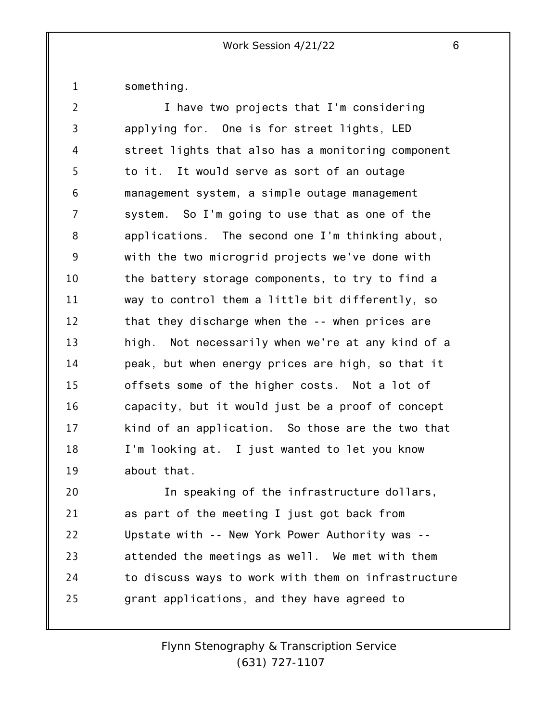1 something.

25

| $\overline{2}$ | I have two projects that I'm considering            |
|----------------|-----------------------------------------------------|
| 3              | applying for. One is for street lights, LED         |
| 4              | street lights that also has a monitoring component  |
| 5              | to it. It would serve as sort of an outage          |
| 6              | management system, a simple outage management       |
| 7              | system. So I'm going to use that as one of the      |
| 8              | applications. The second one I'm thinking about,    |
| 9              | with the two microgrid projects we've done with     |
| 10             | the battery storage components, to try to find a    |
| 11             | way to control them a little bit differently, so    |
| 12             | that they discharge when the -- when prices are     |
| 13             | high. Not necessarily when we're at any kind of a   |
| 14             | peak, but when energy prices are high, so that it   |
| 15             | offsets some of the higher costs. Not a lot of      |
| 16             | capacity, but it would just be a proof of concept   |
| 17             | kind of an application. So those are the two that   |
| 18             | I'm looking at. I just wanted to let you know       |
| 19             | about that.                                         |
| 20             | In speaking of the infrastructure dollars,          |
| 21             | as part of the meeting I just got back from         |
| 22             | Upstate with -- New York Power Authority was --     |
| 23             | attended the meetings as well. We met with them     |
| 24             | to discuss ways to work with them on infrastructure |

grant applications, and they have agreed to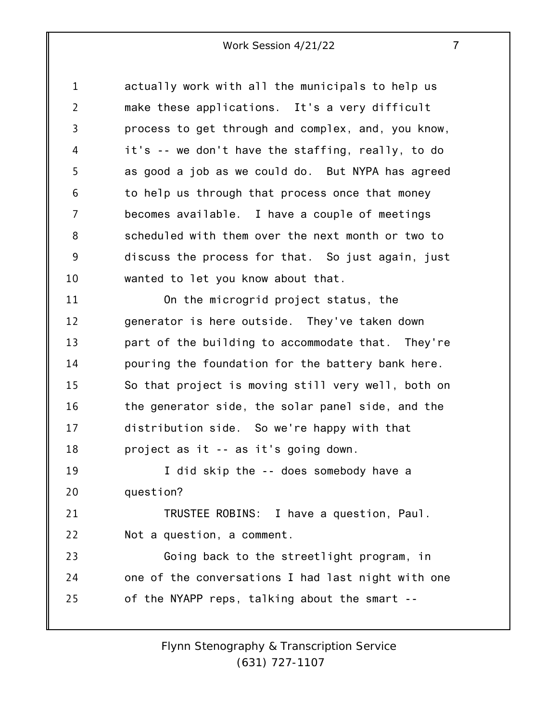1 2 3 4 5 6 7 8 9 10 11 12 13 14 15 16 17 18 19 20 21 22 23 24 25 actually work with all the municipals to help us make these applications. It's a very difficult process to get through and complex, and, you know, it's -- we don't have the staffing, really, to do as good a job as we could do. But NYPA has agreed to help us through that process once that money becomes available. I have a couple of meetings scheduled with them over the next month or two to discuss the process for that. So just again, just wanted to let you know about that. On the microgrid project status, the generator is here outside. They've taken down part of the building to accommodate that. They're pouring the foundation for the battery bank here. So that project is moving still very well, both on the generator side, the solar panel side, and the distribution side. So we're happy with that project as it -- as it's going down. I did skip the -- does somebody have a question? TRUSTEE ROBINS: I have a question, Paul. Not a question, a comment. Going back to the streetlight program, in one of the conversations I had last night with one of the NYAPP reps, talking about the smart --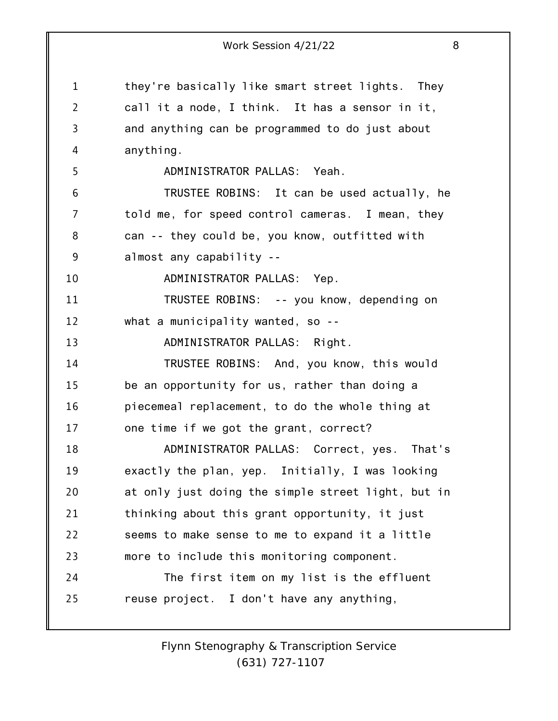1 2 3 4 5 6 7 8 9 10 11 12 13 14 15 16 17 18 19 20 21 22 23 24 25 Work Session 4/21/22 8 they're basically like smart street lights. They call it a node, I think. It has a sensor in it, and anything can be programmed to do just about anything. ADMINISTRATOR PALLAS: Yeah. TRUSTEE ROBINS: It can be used actually, he told me, for speed control cameras. I mean, they can -- they could be, you know, outfitted with almost any capability -- ADMINISTRATOR PALLAS: Yep. TRUSTEE ROBINS: -- you know, depending on what a municipality wanted, so --ADMINISTRATOR PALLAS: Right. TRUSTEE ROBINS: And, you know, this would be an opportunity for us, rather than doing a piecemeal replacement, to do the whole thing at one time if we got the grant, correct? ADMINISTRATOR PALLAS: Correct, yes. That's exactly the plan, yep. Initially, I was looking at only just doing the simple street light, but in thinking about this grant opportunity, it just seems to make sense to me to expand it a little more to include this monitoring component. The first item on my list is the effluent reuse project. I don't have any anything,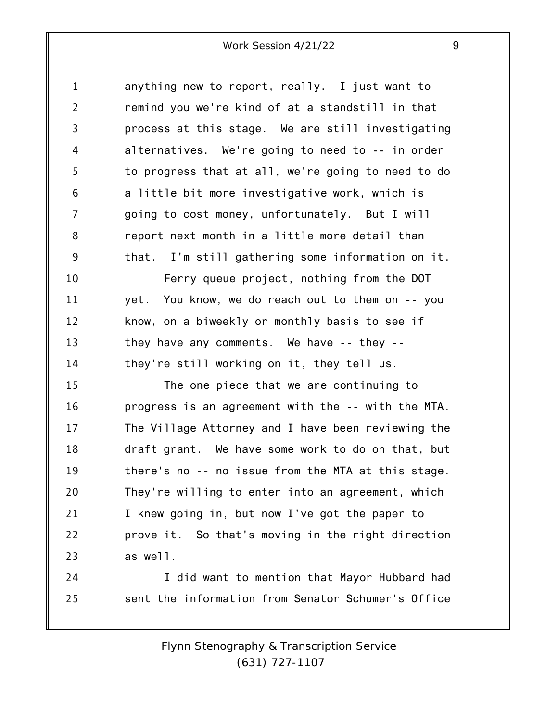1 2 3 4 5 6 7 8 9 anything new to report, really. I just want to remind you we're kind of at a standstill in that process at this stage. We are still investigating alternatives. We're going to need to -- in order to progress that at all, we're going to need to do a little bit more investigative work, which is going to cost money, unfortunately. But I will report next month in a little more detail than that. I'm still gathering some information on it.

10 11 12 13 14 Ferry queue project, nothing from the DOT yet. You know, we do reach out to them on -- you know, on a biweekly or monthly basis to see if they have any comments. We have -- they - they're still working on it, they tell us.

15 16 17 18 19 20 21 22 23 The one piece that we are continuing to progress is an agreement with the -- with the MTA. The Village Attorney and I have been reviewing the draft grant. We have some work to do on that, but there's no -- no issue from the MTA at this stage. They're willing to enter into an agreement, which I knew going in, but now I've got the paper to prove it. So that's moving in the right direction as well.

24 25 I did want to mention that Mayor Hubbard had sent the information from Senator Schumer's Office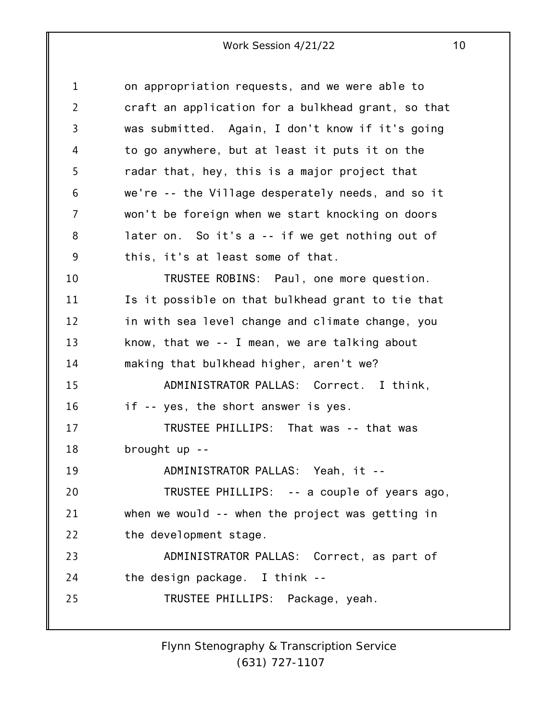| $\mathbf 1$    | on appropriation requests, and we were able to     |
|----------------|----------------------------------------------------|
| $\overline{2}$ | craft an application for a bulkhead grant, so that |
| 3              | was submitted. Again, I don't know if it's going   |
| 4              | to go anywhere, but at least it puts it on the     |
| 5              | radar that, hey, this is a major project that      |
| 6              | we're -- the Village desperately needs, and so it  |
| 7              | won't be foreign when we start knocking on doors   |
| 8              | later on. So it's a -- if we get nothing out of    |
| 9              | this, it's at least some of that.                  |
| 10             | TRUSTEE ROBINS: Paul, one more question.           |
| 11             | Is it possible on that bulkhead grant to tie that  |
| 12             | in with sea level change and climate change, you   |
| 13             | know, that we $-$ - I mean, we are talking about   |
| 14             | making that bulkhead higher, aren't we?            |
| 15             | ADMINISTRATOR PALLAS: Correct. I think,            |
| 16             | if -- yes, the short answer is yes.                |
| 17             | TRUSTEE PHILLIPS: That was -- that was             |
| 18             | brought up --                                      |
| 19             | ADMINISTRATOR PALLAS: Yeah, it --                  |
| 20             | TRUSTEE PHILLIPS: -- a couple of years ago,        |
| 21             | when we would -- when the project was getting in   |
| 22             | the development stage.                             |
| 23             | ADMINISTRATOR PALLAS: Correct, as part of          |
| 24             | the design package. I think --                     |
| 25             | TRUSTEE PHILLIPS: Package, yeah.                   |
|                |                                                    |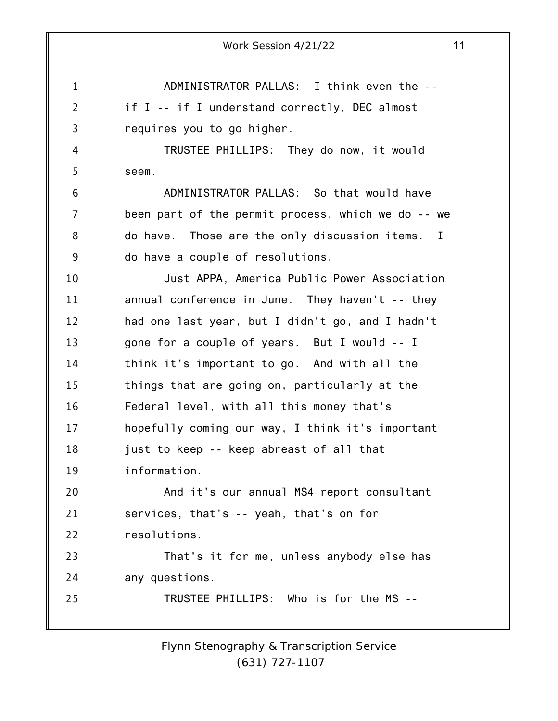1 2 3 4 5 6 7 8 9 10 11 12 13 14 15 16 17 18 19 20 21 22 23 24 25 Work Session 4/21/22 11 ADMINISTRATOR PALLAS: I think even the - if I -- if I understand correctly, DEC almost requires you to go higher. TRUSTEE PHILLIPS: They do now, it would seem. ADMINISTRATOR PALLAS: So that would have been part of the permit process, which we do -- we do have. Those are the only discussion items. I do have a couple of resolutions. Just APPA, America Public Power Association annual conference in June. They haven't -- they had one last year, but I didn't go, and I hadn't gone for a couple of years. But I would -- I think it's important to go. And with all the things that are going on, particularly at the Federal level, with all this money that's hopefully coming our way, I think it's important just to keep -- keep abreast of all that information. And it's our annual MS4 report consultant services, that's -- yeah, that's on for resolutions. That's it for me, unless anybody else has any questions. TRUSTEE PHILLIPS: Who is for the MS --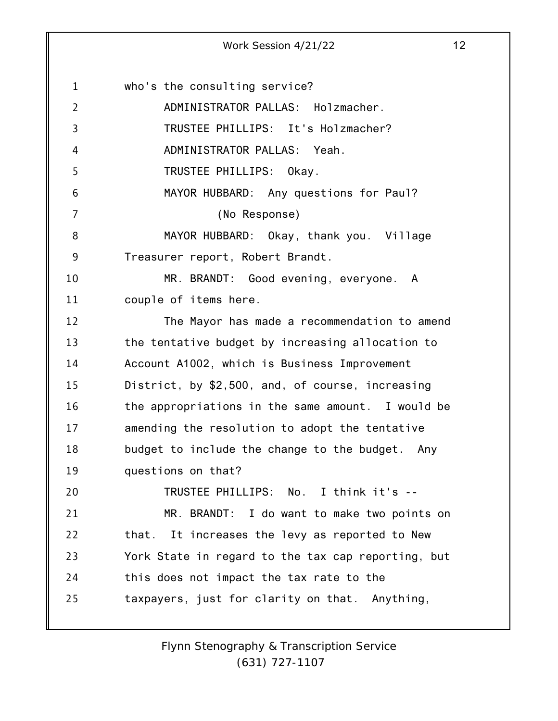1 2 3 4 5 6 7 8 9 10 11 12 13 14 15 16 17 18 19 20 21 22 23 24 25 who's the consulting service? ADMINISTRATOR PALLAS: Holzmacher. TRUSTEE PHILLIPS: It's Holzmacher? ADMINISTRATOR PALLAS: Yeah. TRUSTEE PHILLIPS: Okay. MAYOR HUBBARD: Any questions for Paul? (No Response) MAYOR HUBBARD: Okay, thank you. Village Treasurer report, Robert Brandt. MR. BRANDT: Good evening, everyone. A couple of items here. The Mayor has made a recommendation to amend the tentative budget by increasing allocation to Account A1002, which is Business Improvement District, by \$2,500, and, of course, increasing the appropriations in the same amount. I would be amending the resolution to adopt the tentative budget to include the change to the budget. Any questions on that? TRUSTEE PHILLIPS: No. I think it's -- MR. BRANDT: I do want to make two points on that. It increases the levy as reported to New York State in regard to the tax cap reporting, but this does not impact the tax rate to the taxpayers, just for clarity on that. Anything,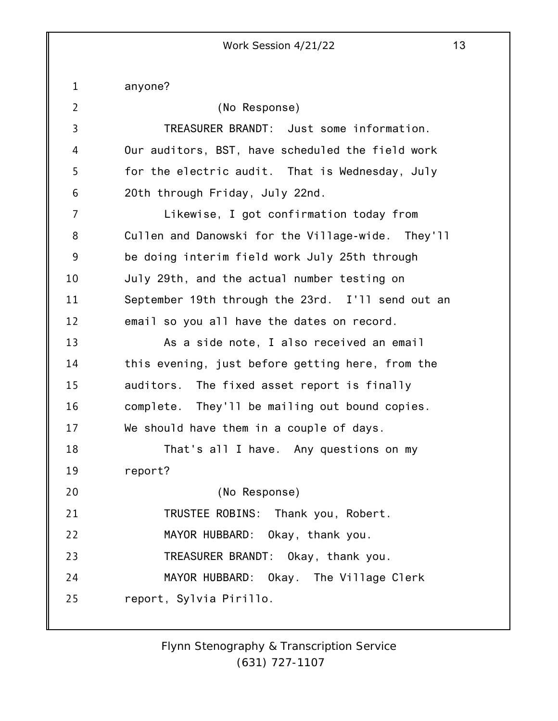1 2 3 4 5 6 7 8 9 10 11 12 13 14 15 16 17 18 19 20 21 22 23 24 25 anyone? (No Response) TREASURER BRANDT: Just some information. Our auditors, BST, have scheduled the field work for the electric audit. That is Wednesday, July 20th through Friday, July 22nd. Likewise, I got confirmation today from Cullen and Danowski for the Village-wide. They'll be doing interim field work July 25th through July 29th, and the actual number testing on September 19th through the 23rd. I'll send out an email so you all have the dates on record. As a side note, I also received an email this evening, just before getting here, from the auditors. The fixed asset report is finally complete. They'll be mailing out bound copies. We should have them in a couple of days. That's all I have. Any questions on my report? (No Response) TRUSTEE ROBINS: Thank you, Robert. MAYOR HUBBARD: Okay, thank you. TREASURER BRANDT: Okay, thank you. MAYOR HUBBARD: Okay. The Village Clerk report, Sylvia Pirillo.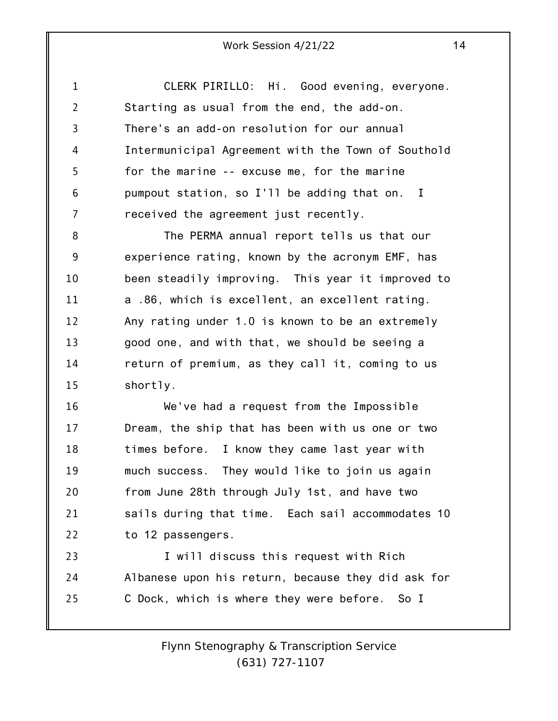1 2 3 4 5 6 7 CLERK PIRILLO: Hi. Good evening, everyone. Starting as usual from the end, the add-on. There's an add-on resolution for our annual Intermunicipal Agreement with the Town of Southold for the marine -- excuse me, for the marine pumpout station, so I'll be adding that on. I received the agreement just recently.

8 9 10 11 12 13 14 15 The PERMA annual report tells us that our experience rating, known by the acronym EMF, has been steadily improving. This year it improved to a .86, which is excellent, an excellent rating. Any rating under 1.0 is known to be an extremely good one, and with that, we should be seeing a return of premium, as they call it, coming to us shortly.

16 17 18 19 20 21 22 We've had a request from the Impossible Dream, the ship that has been with us one or two times before. I know they came last year with much success. They would like to join us again from June 28th through July 1st, and have two sails during that time. Each sail accommodates 10 to 12 passengers.

23 24 25 I will discuss this request with Rich Albanese upon his return, because they did ask for C Dock, which is where they were before. So I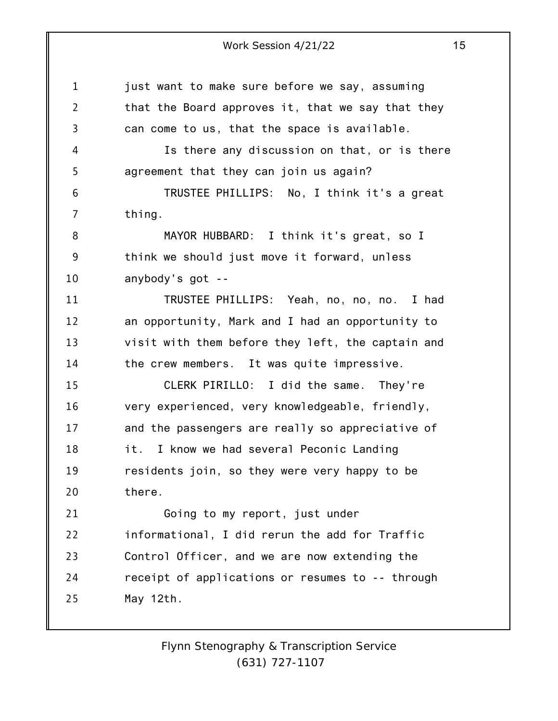1 2 3 4 5 6 7 8 9 10 11 12 13 14 15 16 17 18 19 20 21 22 23 24 25 just want to make sure before we say, assuming that the Board approves it, that we say that they can come to us, that the space is available. Is there any discussion on that, or is there agreement that they can join us again? TRUSTEE PHILLIPS: No, I think it's a great thing. MAYOR HUBBARD: I think it's great, so I think we should just move it forward, unless anybody's got -- TRUSTEE PHILLIPS: Yeah, no, no, no. I had an opportunity, Mark and I had an opportunity to visit with them before they left, the captain and the crew members. It was quite impressive. CLERK PIRILLO: I did the same. They're very experienced, very knowledgeable, friendly, and the passengers are really so appreciative of it. I know we had several Peconic Landing residents join, so they were very happy to be there. Going to my report, just under informational, I did rerun the add for Traffic Control Officer, and we are now extending the receipt of applications or resumes to -- through May 12th.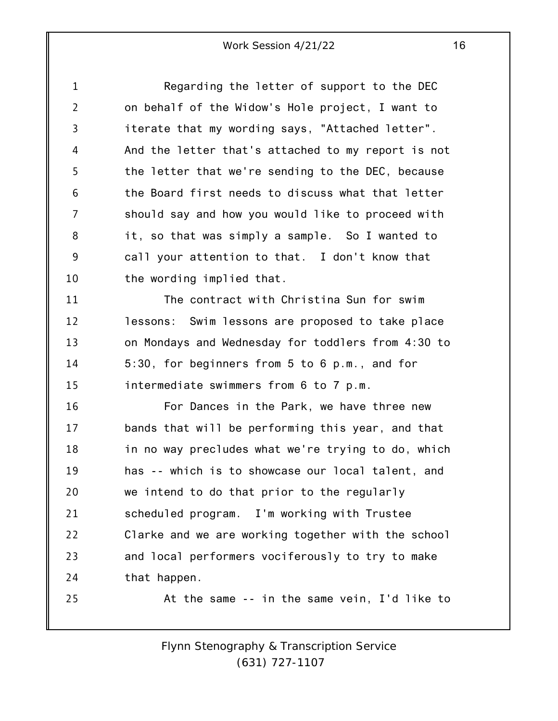1 2 3 4 5 6 7 8 9 10 Regarding the letter of support to the DEC on behalf of the Widow's Hole project, I want to iterate that my wording says, "Attached letter". And the letter that's attached to my report is not the letter that we're sending to the DEC, because the Board first needs to discuss what that letter should say and how you would like to proceed with it, so that was simply a sample. So I wanted to call your attention to that. I don't know that the wording implied that.

11 12 13 14 15 The contract with Christina Sun for swim lessons: Swim lessons are proposed to take place on Mondays and Wednesday for toddlers from 4:30 to 5:30, for beginners from 5 to 6 p.m., and for intermediate swimmers from 6 to 7 p.m.

16 17 18 19 20 21 22 23 24 For Dances in the Park, we have three new bands that will be performing this year, and that in no way precludes what we're trying to do, which has -- which is to showcase our local talent, and we intend to do that prior to the regularly scheduled program. I'm working with Trustee Clarke and we are working together with the school and local performers vociferously to try to make that happen.

25

*Flynn Stenography & Transcription Service (631) 727-1107*

At the same -- in the same vein, I'd like to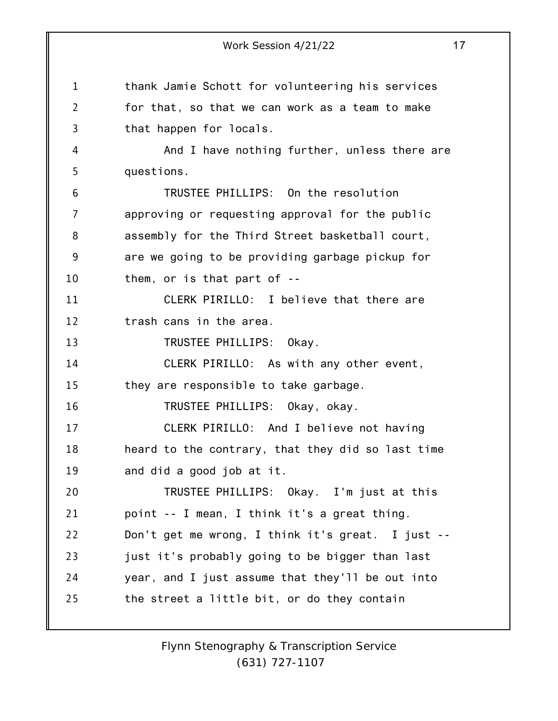1 2 3 4 5 6 7 8 9 10 11 12 13 14 15 16 17 18 19 20 21 22 23 24 25 Work Session 4/21/22 17 thank Jamie Schott for volunteering his services for that, so that we can work as a team to make that happen for locals. And I have nothing further, unless there are questions. TRUSTEE PHILLIPS: On the resolution approving or requesting approval for the public assembly for the Third Street basketball court, are we going to be providing garbage pickup for them, or is that part of -- CLERK PIRILLO: I believe that there are trash cans in the area. TRUSTEE PHILLIPS: Okay. CLERK PIRILLO: As with any other event, they are responsible to take garbage. TRUSTEE PHILLIPS: Okay, okay. CLERK PIRILLO: And I believe not having heard to the contrary, that they did so last time and did a good job at it. TRUSTEE PHILLIPS: Okay. I'm just at this point -- I mean, I think it's a great thing. Don't get me wrong, I think it's great. I just - just it's probably going to be bigger than last year, and I just assume that they'll be out into the street a little bit, or do they contain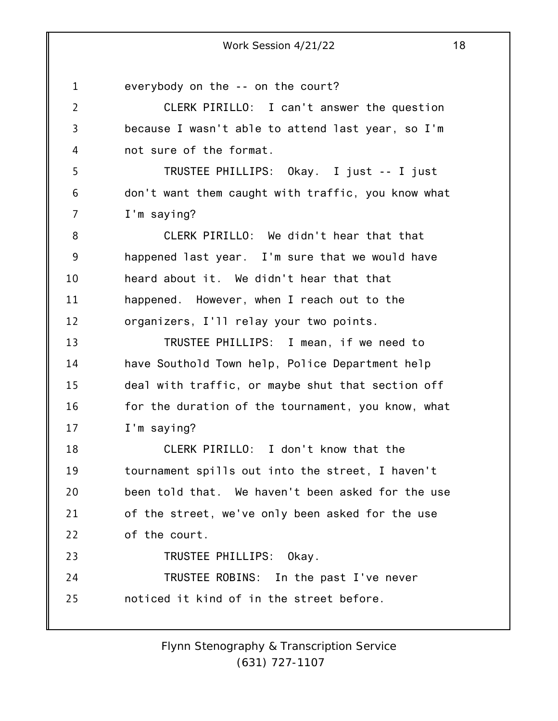1 2 3 4 5 6 7 8 9 10 11 12 13 14 15 16 17 18 19 20 21 22 23 24 25 everybody on the -- on the court? CLERK PIRILLO: I can't answer the question because I wasn't able to attend last year, so I'm not sure of the format. TRUSTEE PHILLIPS: Okay. I just -- I just don't want them caught with traffic, you know what I'm saying? CLERK PIRILLO: We didn't hear that that happened last year. I'm sure that we would have heard about it. We didn't hear that that happened. However, when I reach out to the organizers, I'll relay your two points. TRUSTEE PHILLIPS: I mean, if we need to have Southold Town help, Police Department help deal with traffic, or maybe shut that section off for the duration of the tournament, you know, what I'm saying? CLERK PIRILLO: I don't know that the tournament spills out into the street, I haven't been told that. We haven't been asked for the use of the street, we've only been asked for the use of the court. TRUSTEE PHILLIPS: Okay. TRUSTEE ROBINS: In the past I've never noticed it kind of in the street before.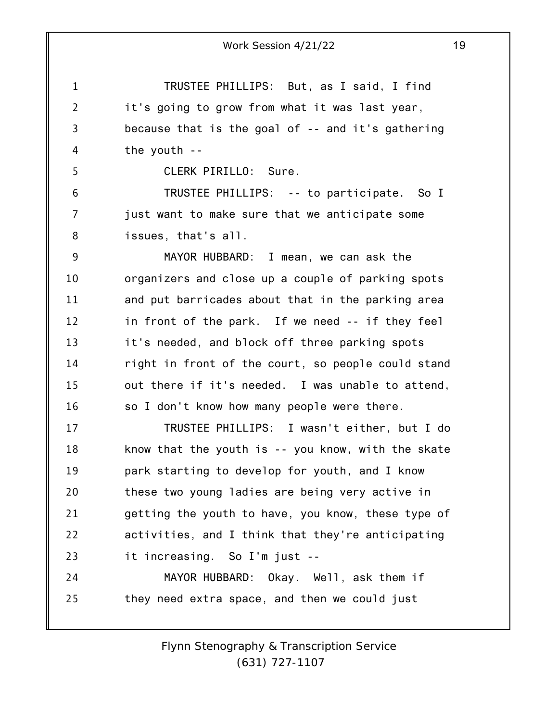TRUSTEE PHILLIPS: But, as I said, I find it's going to grow from what it was last year, because that is the goal of -- and it's gathering the youth --

CLERK PIRILLO: Sure.

1

2

3

4

5

6 7 8 TRUSTEE PHILLIPS: -- to participate. So I just want to make sure that we anticipate some issues, that's all.

9 10 11 12 13 14 15 16 MAYOR HUBBARD: I mean, we can ask the organizers and close up a couple of parking spots and put barricades about that in the parking area in front of the park. If we need -- if they feel it's needed, and block off three parking spots right in front of the court, so people could stand out there if it's needed. I was unable to attend, so I don't know how many people were there.

17 18 19 20 21 22 23 TRUSTEE PHILLIPS: I wasn't either, but I do know that the youth is -- you know, with the skate park starting to develop for youth, and I know these two young ladies are being very active in getting the youth to have, you know, these type of activities, and I think that they're anticipating it increasing. So I'm just --

24 25 MAYOR HUBBARD: Okay. Well, ask them if they need extra space, and then we could just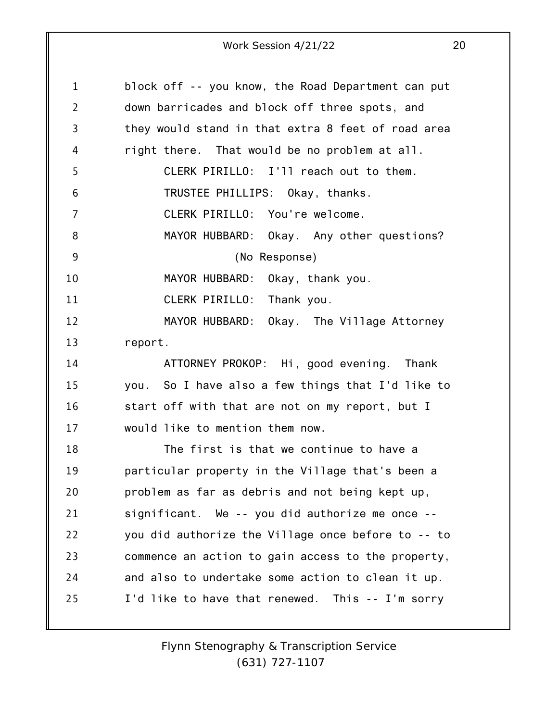| $\mathbf 1$    | block off -- you know, the Road Department can put |
|----------------|----------------------------------------------------|
| 2              | down barricades and block off three spots, and     |
| 3              | they would stand in that extra 8 feet of road area |
| 4              | right there. That would be no problem at all.      |
| 5              | CLERK PIRILLO: I'll reach out to them.             |
| 6              | TRUSTEE PHILLIPS: Okay, thanks.                    |
| $\overline{7}$ | CLERK PIRILLO: You're welcome.                     |
| 8              | MAYOR HUBBARD: Okay. Any other questions?          |
| 9              | (No Response)                                      |
| 10             | MAYOR HUBBARD: Okay, thank you.                    |
| 11             | CLERK PIRILLO: Thank you.                          |
| 12             | MAYOR HUBBARD: Okay. The Village Attorney          |
| 13             | report.                                            |
| 14             | ATTORNEY PROKOP: Hi, good evening. Thank           |
| 15             | you. So I have also a few things that I'd like to  |
| 16             | start off with that are not on my report, but I    |
| 17             | would like to mention them now.                    |
| 18             | The first is that we continue to have a            |
| 19             | particular property in the Village that's been a   |
| 20             | problem as far as debris and not being kept up,    |
| 21             | significant. We -- you did authorize me once --    |
| 22             | you did authorize the Village once before to -- to |
| 23             | commence an action to gain access to the property, |
| 24             | and also to undertake some action to clean it up.  |
| 25             | I'd like to have that renewed. This -- I'm sorry   |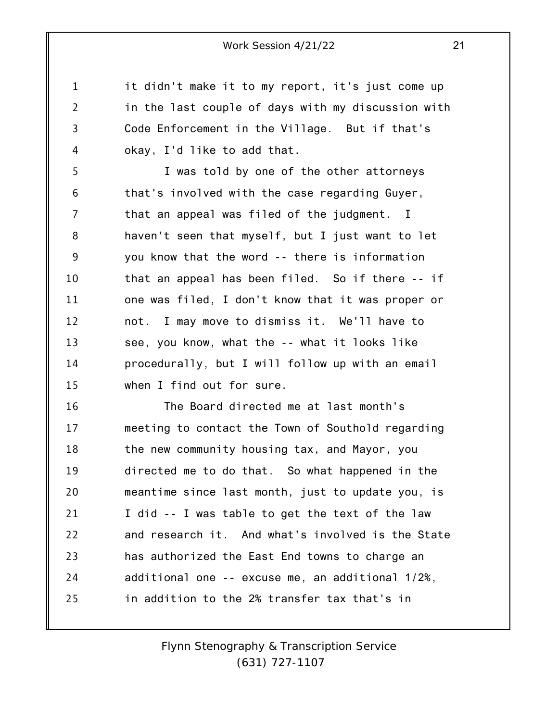1 4 it didn't make it to my report, it's just come up in the last couple of days with my discussion with Code Enforcement in the Village. But if that's okay, I'd like to add that.

2

3

5 6 7 8 9 10 11 12 13 14 15 I was told by one of the other attorneys that's involved with the case regarding Guyer, that an appeal was filed of the judgment. I haven't seen that myself, but I just want to let you know that the word -- there is information that an appeal has been filed. So if there -- if one was filed, I don't know that it was proper or not. I may move to dismiss it. We'll have to see, you know, what the -- what it looks like procedurally, but I will follow up with an email when I find out for sure.

16 17 18 19 20 21 22 23 24 25 The Board directed me at last month's meeting to contact the Town of Southold regarding the new community housing tax, and Mayor, you directed me to do that. So what happened in the meantime since last month, just to update you, is I did -- I was table to get the text of the law and research it. And what's involved is the State has authorized the East End towns to charge an additional one -- excuse me, an additional 1/2%, in addition to the 2% transfer tax that's in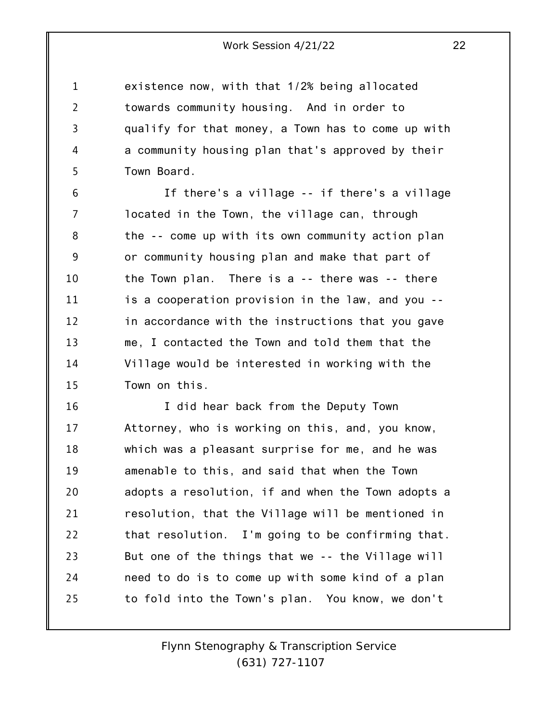1 2 3 4 5 existence now, with that 1/2% being allocated towards community housing. And in order to qualify for that money, a Town has to come up with a community housing plan that's approved by their Town Board.

6 7 8 9 10 11 12 13 14 15 If there's a village -- if there's a village located in the Town, the village can, through the -- come up with its own community action plan or community housing plan and make that part of the Town plan. There is a -- there was -- there is a cooperation provision in the law, and you - in accordance with the instructions that you gave me, I contacted the Town and told them that the Village would be interested in working with the Town on this.

16 17 18 19 20 21 22 23 24 25 I did hear back from the Deputy Town Attorney, who is working on this, and, you know, which was a pleasant surprise for me, and he was amenable to this, and said that when the Town adopts a resolution, if and when the Town adopts a resolution, that the Village will be mentioned in that resolution. I'm going to be confirming that. But one of the things that we -- the Village will need to do is to come up with some kind of a plan to fold into the Town's plan. You know, we don't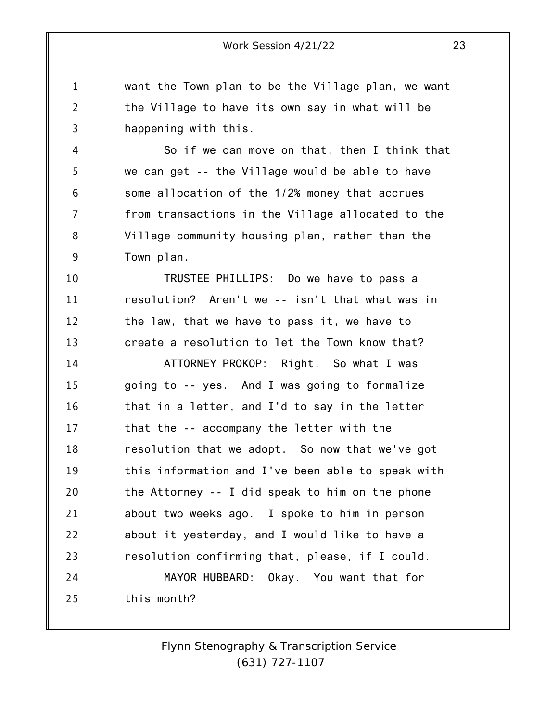1 2 3 want the Town plan to be the Village plan, we want the Village to have its own say in what will be happening with this.

4 5 6 7 8 9 So if we can move on that, then I think that we can get -- the Village would be able to have some allocation of the 1/2% money that accrues from transactions in the Village allocated to the Village community housing plan, rather than the Town plan.

10 11 12 13 TRUSTEE PHILLIPS: Do we have to pass a resolution? Aren't we -- isn't that what was in the law, that we have to pass it, we have to create a resolution to let the Town know that?

14 15 16 17 18 19 20 21 22 23 24 25 ATTORNEY PROKOP: Right. So what I was going to -- yes. And I was going to formalize that in a letter, and I'd to say in the letter that the -- accompany the letter with the resolution that we adopt. So now that we've got this information and I've been able to speak with the Attorney -- I did speak to him on the phone about two weeks ago. I spoke to him in person about it yesterday, and I would like to have a resolution confirming that, please, if I could. MAYOR HUBBARD: Okay. You want that for this month?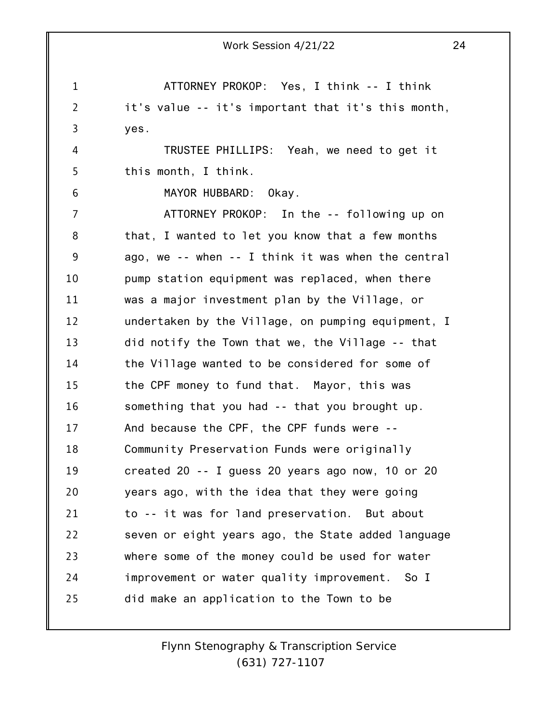1 2 3 4 5 6 7 8 9 10 11 12 13 14 15 16 17 18 19 20 21 22 23 24 25 Work Session 4/21/22 24 ATTORNEY PROKOP: Yes, I think -- I think it's value -- it's important that it's this month, yes. TRUSTEE PHILLIPS: Yeah, we need to get it this month, I think. MAYOR HUBBARD: Okay. ATTORNEY PROKOP: In the -- following up on that, I wanted to let you know that a few months ago, we -- when -- I think it was when the central pump station equipment was replaced, when there was a major investment plan by the Village, or undertaken by the Village, on pumping equipment, I did notify the Town that we, the Village -- that the Village wanted to be considered for some of the CPF money to fund that. Mayor, this was something that you had -- that you brought up. And because the CPF, the CPF funds were -- Community Preservation Funds were originally created 20 -- I guess 20 years ago now, 10 or 20 years ago, with the idea that they were going to -- it was for land preservation. But about seven or eight years ago, the State added language where some of the money could be used for water improvement or water quality improvement. So I did make an application to the Town to be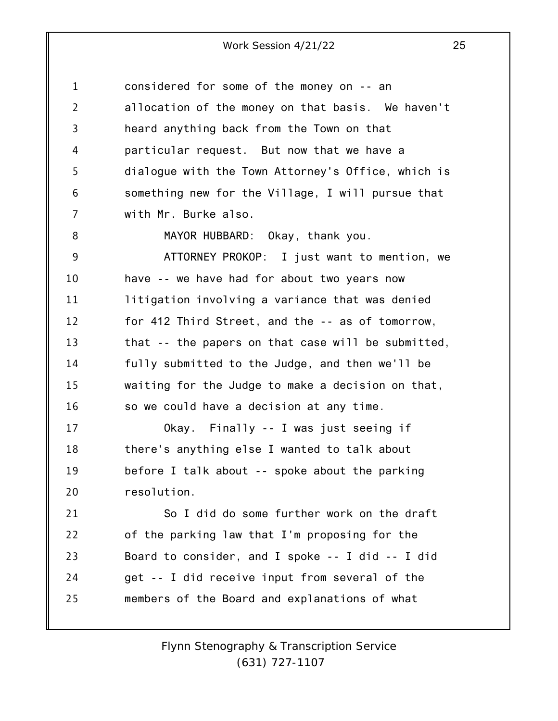1 2 3 4 5 6 7 8 9 10 11 12 13 14 15 16 17 18 19 20 21 22 23 24 25 considered for some of the money on -- an allocation of the money on that basis. We haven't heard anything back from the Town on that particular request. But now that we have a dialogue with the Town Attorney's Office, which is something new for the Village, I will pursue that with Mr. Burke also. MAYOR HUBBARD: Okay, thank you. ATTORNEY PROKOP: I just want to mention, we have -- we have had for about two years now litigation involving a variance that was denied for 412 Third Street, and the -- as of tomorrow, that -- the papers on that case will be submitted, fully submitted to the Judge, and then we'll be waiting for the Judge to make a decision on that, so we could have a decision at any time. Okay. Finally -- I was just seeing if there's anything else I wanted to talk about before I talk about -- spoke about the parking resolution. So I did do some further work on the draft of the parking law that I'm proposing for the Board to consider, and I spoke -- I did -- I did get -- I did receive input from several of the members of the Board and explanations of what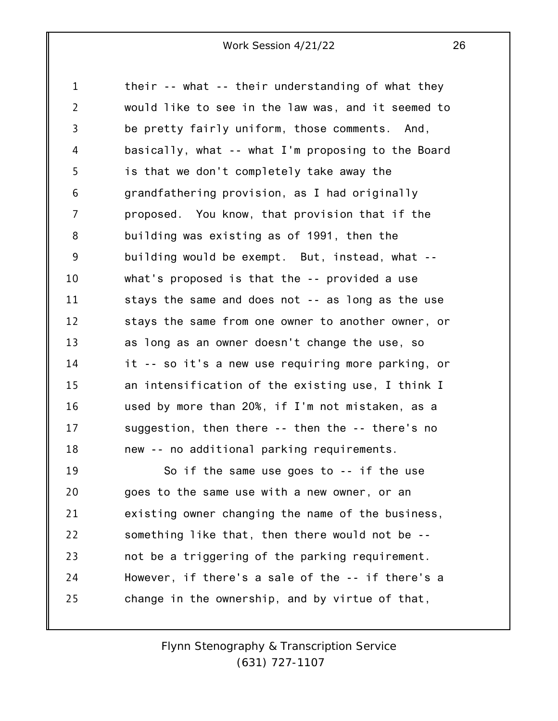1 2 3 4 5 6 7 8 9 10 11 12 13 14 15 16 17 18 19 20 21 22 23 24 their -- what -- their understanding of what they would like to see in the law was, and it seemed to be pretty fairly uniform, those comments. And, basically, what -- what I'm proposing to the Board is that we don't completely take away the grandfathering provision, as I had originally proposed. You know, that provision that if the building was existing as of 1991, then the building would be exempt. But, instead, what - what's proposed is that the -- provided a use stays the same and does not -- as long as the use stays the same from one owner to another owner, or as long as an owner doesn't change the use, so it -- so it's a new use requiring more parking, or an intensification of the existing use, I think I used by more than 20%, if I'm not mistaken, as a suggestion, then there -- then the -- there's no new -- no additional parking requirements. So if the same use goes to -- if the use goes to the same use with a new owner, or an existing owner changing the name of the business, something like that, then there would not be - not be a triggering of the parking requirement. However, if there's a sale of the -- if there's a

change in the ownership, and by virtue of that,

25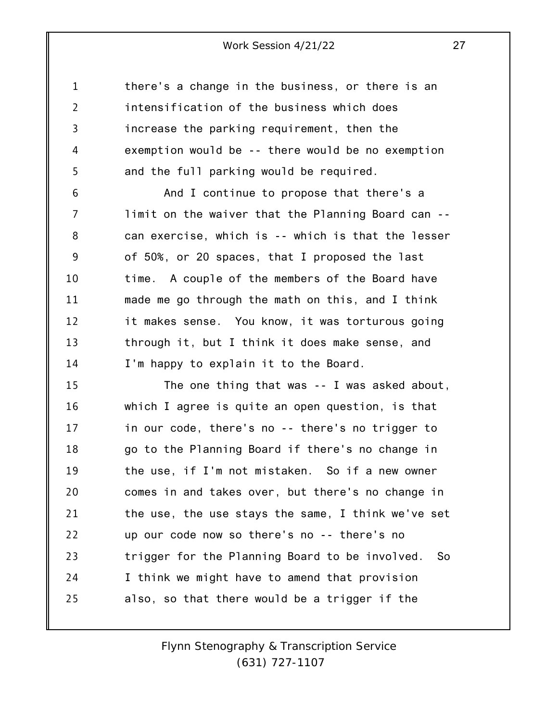1 2 3 4 5 there's a change in the business, or there is an intensification of the business which does increase the parking requirement, then the exemption would be -- there would be no exemption and the full parking would be required.

6 7 8 9 10 11 12 13 14 And I continue to propose that there's a limit on the waiver that the Planning Board can - can exercise, which is -- which is that the lesser of 50%, or 20 spaces, that I proposed the last time. A couple of the members of the Board have made me go through the math on this, and I think it makes sense. You know, it was torturous going through it, but I think it does make sense, and I'm happy to explain it to the Board.

15 16 17 18 19 20 21 22 23 24 25 The one thing that was -- I was asked about, which I agree is quite an open question, is that in our code, there's no -- there's no trigger to go to the Planning Board if there's no change in the use, if I'm not mistaken. So if a new owner comes in and takes over, but there's no change in the use, the use stays the same, I think we've set up our code now so there's no -- there's no trigger for the Planning Board to be involved. So I think we might have to amend that provision also, so that there would be a trigger if the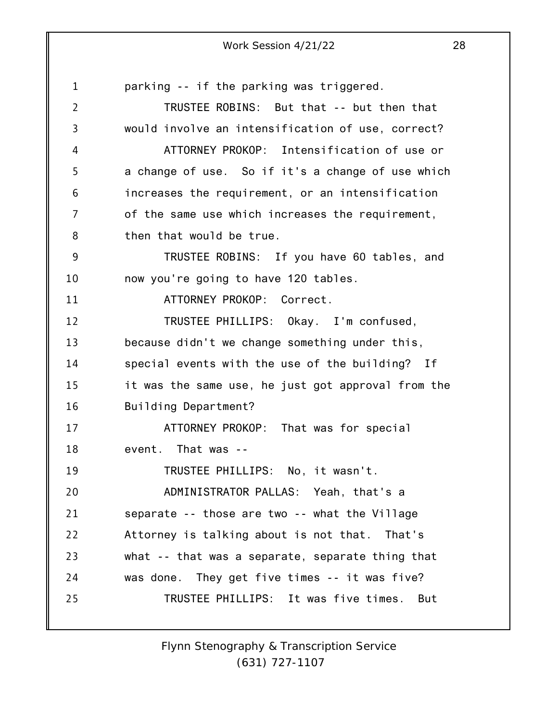1 2 3 4 5 6 7 8 9 10 11 12 13 14 15 16 17 18 19 20 21 22 23 24 25 parking -- if the parking was triggered. TRUSTEE ROBINS: But that -- but then that would involve an intensification of use, correct? ATTORNEY PROKOP: Intensification of use or a change of use. So if it's a change of use which increases the requirement, or an intensification of the same use which increases the requirement, then that would be true. TRUSTEE ROBINS: If you have 60 tables, and now you're going to have 120 tables. ATTORNEY PROKOP: Correct. TRUSTEE PHILLIPS: Okay. I'm confused, because didn't we change something under this, special events with the use of the building? If it was the same use, he just got approval from the Building Department? ATTORNEY PROKOP: That was for special event. That was -- TRUSTEE PHILLIPS: No, it wasn't. ADMINISTRATOR PALLAS: Yeah, that's a separate -- those are two -- what the Village Attorney is talking about is not that. That's what -- that was a separate, separate thing that was done. They get five times -- it was five? TRUSTEE PHILLIPS: It was five times. But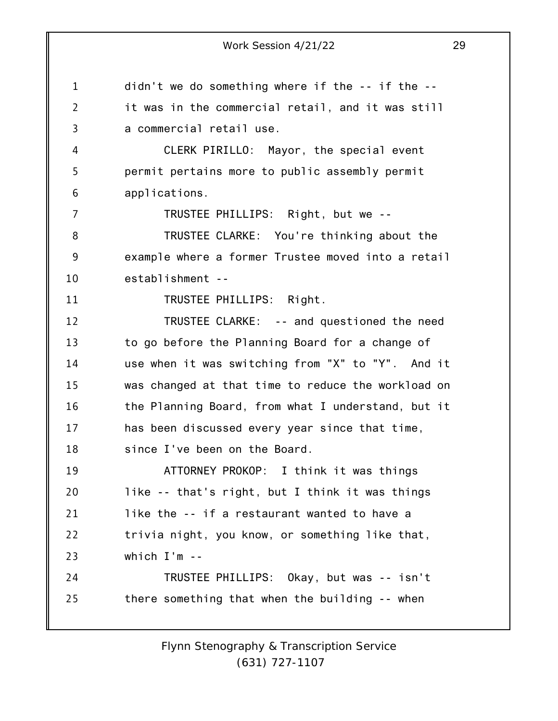1 2 3 4 5 6 7 8 9 10 11 12 13 14 15 16 17 18 19 20 21 22 23 24 25 didn't we do something where if the -- if the - it was in the commercial retail, and it was still a commercial retail use. CLERK PIRILLO: Mayor, the special event permit pertains more to public assembly permit applications. TRUSTEE PHILLIPS: Right, but we -- TRUSTEE CLARKE: You're thinking about the example where a former Trustee moved into a retail establishment -- TRUSTEE PHILLIPS: Right. TRUSTEE CLARKE: -- and questioned the need to go before the Planning Board for a change of use when it was switching from "X" to "Y". And it was changed at that time to reduce the workload on the Planning Board, from what I understand, but it has been discussed every year since that time, since I've been on the Board. ATTORNEY PROKOP: I think it was things like -- that's right, but I think it was things like the -- if a restaurant wanted to have a trivia night, you know, or something like that, which I'm -- TRUSTEE PHILLIPS: Okay, but was -- isn't there something that when the building -- when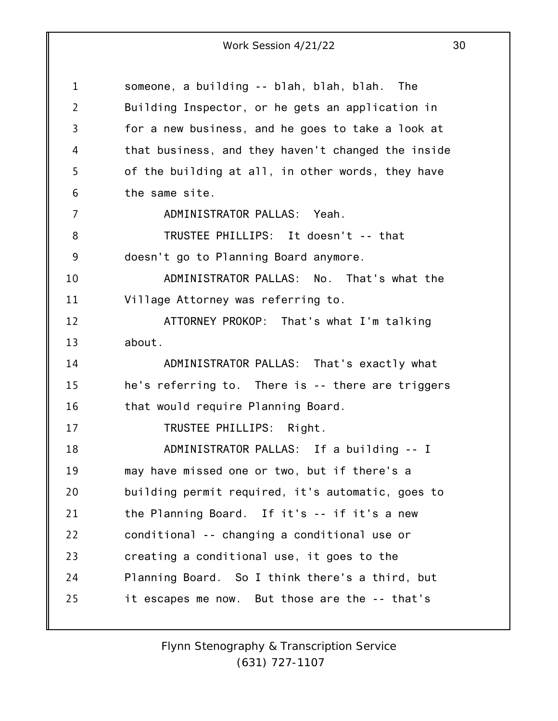1 2 3 4 5 6 7 8 9 10 11 12 13 14 15 16 17 18 19 20 21 22 23 24 25 someone, a building -- blah, blah, blah. The Building Inspector, or he gets an application in for a new business, and he goes to take a look at that business, and they haven't changed the inside of the building at all, in other words, they have the same site. ADMINISTRATOR PALLAS: Yeah. TRUSTEE PHILLIPS: It doesn't -- that doesn't go to Planning Board anymore. ADMINISTRATOR PALLAS: No. That's what the Village Attorney was referring to. ATTORNEY PROKOP: That's what I'm talking about. ADMINISTRATOR PALLAS: That's exactly what he's referring to. There is -- there are triggers that would require Planning Board. TRUSTEE PHILLIPS: Right. ADMINISTRATOR PALLAS: If a building -- I may have missed one or two, but if there's a building permit required, it's automatic, goes to the Planning Board. If it's -- if it's a new conditional -- changing a conditional use or creating a conditional use, it goes to the Planning Board. So I think there's a third, but it escapes me now. But those are the -- that's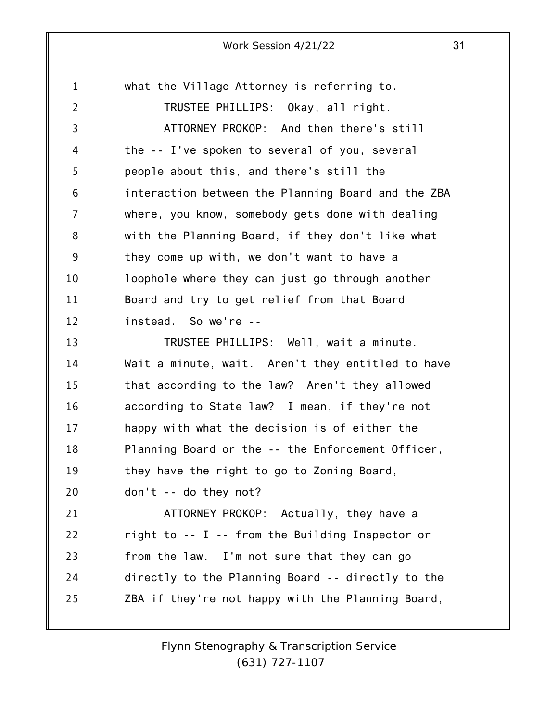1 2 3 4 5 6 7 8 9 10 11 12 13 14 15 16 17 18 19 20 21 22 23 24 25 what the Village Attorney is referring to. TRUSTEE PHILLIPS: Okay, all right. ATTORNEY PROKOP: And then there's still the -- I've spoken to several of you, several people about this, and there's still the interaction between the Planning Board and the ZBA where, you know, somebody gets done with dealing with the Planning Board, if they don't like what they come up with, we don't want to have a loophole where they can just go through another Board and try to get relief from that Board instead. So we're -- TRUSTEE PHILLIPS: Well, wait a minute. Wait a minute, wait. Aren't they entitled to have that according to the law? Aren't they allowed according to State law? I mean, if they're not happy with what the decision is of either the Planning Board or the -- the Enforcement Officer, they have the right to go to Zoning Board, don't -- do they not? ATTORNEY PROKOP: Actually, they have a right to -- I -- from the Building Inspector or from the law. I'm not sure that they can go directly to the Planning Board -- directly to the ZBA if they're not happy with the Planning Board,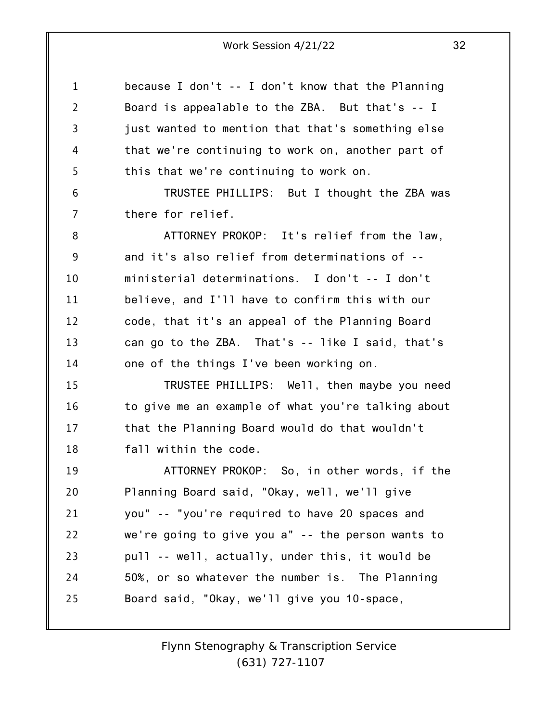1 2 3 4 5 because I don't -- I don't know that the Planning Board is appealable to the ZBA. But that's -- I just wanted to mention that that's something else that we're continuing to work on, another part of this that we're continuing to work on.

6 7 TRUSTEE PHILLIPS: But I thought the ZBA was there for relief.

8 9 10 11 12 13 14 ATTORNEY PROKOP: It's relief from the law, and it's also relief from determinations of - ministerial determinations. I don't -- I don't believe, and I'll have to confirm this with our code, that it's an appeal of the Planning Board can go to the ZBA. That's -- like I said, that's one of the things I've been working on.

15 16 17 18 TRUSTEE PHILLIPS: Well, then maybe you need to give me an example of what you're talking about that the Planning Board would do that wouldn't fall within the code.

19 20 21 22 23 24 25 ATTORNEY PROKOP: So, in other words, if the Planning Board said, "Okay, well, we'll give you" -- "you're required to have 20 spaces and we're going to give you a" -- the person wants to pull -- well, actually, under this, it would be 50%, or so whatever the number is. The Planning Board said, "Okay, we'll give you 10-space,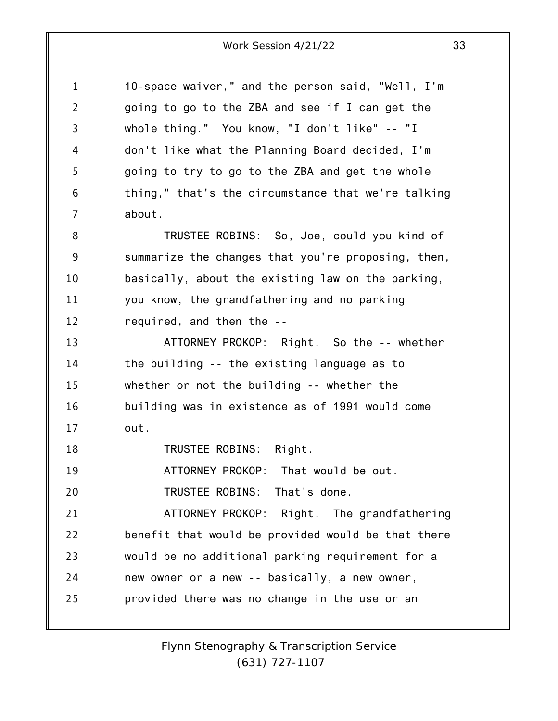1 2 3 4 5 6 7 8 9 10 11 12 13 14 10-space waiver," and the person said, "Well, I'm going to go to the ZBA and see if I can get the whole thing." You know, "I don't like" -- "I don't like what the Planning Board decided, I'm going to try to go to the ZBA and get the whole thing," that's the circumstance that we're talking about. TRUSTEE ROBINS: So, Joe, could you kind of summarize the changes that you're proposing, then, basically, about the existing law on the parking, you know, the grandfathering and no parking required, and then the -- ATTORNEY PROKOP: Right. So the -- whether the building -- the existing language as to

15 16 17 whether or not the building -- whether the building was in existence as of 1991 would come out.

18 TRUSTEE ROBINS: Right.

19 ATTORNEY PROKOP: That would be out.

20 TRUSTEE ROBINS: That's done.

21 22 23 24 25 ATTORNEY PROKOP: Right. The grandfathering benefit that would be provided would be that there would be no additional parking requirement for a new owner or a new -- basically, a new owner, provided there was no change in the use or an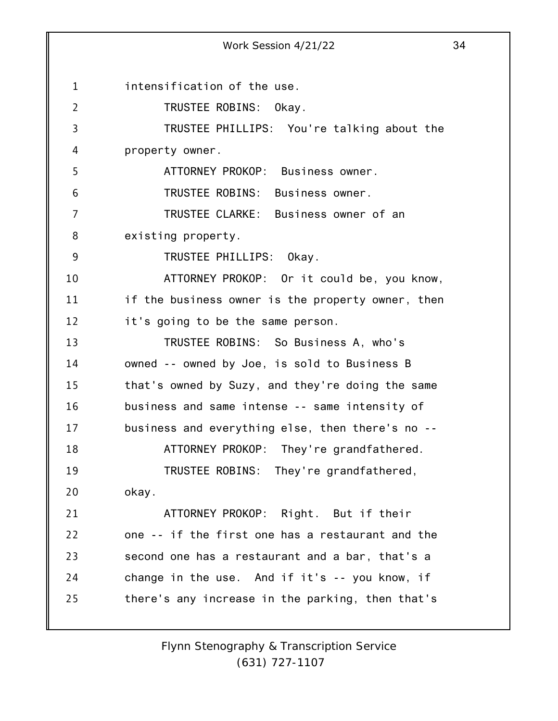1 2 3 4 5 6 7 8 9 10 11 12 13 14 15 16 17 18 19 20 21 22 23 24 25 Work Session 4/21/22 34 intensification of the use. TRUSTEE ROBINS: Okay. TRUSTEE PHILLIPS: You're talking about the property owner. ATTORNEY PROKOP: Business owner. TRUSTEE ROBINS: Business owner. TRUSTEE CLARKE: Business owner of an existing property. TRUSTEE PHILLIPS: Okay. ATTORNEY PROKOP: Or it could be, you know, if the business owner is the property owner, then it's going to be the same person. TRUSTEE ROBINS: So Business A, who's owned -- owned by Joe, is sold to Business B that's owned by Suzy, and they're doing the same business and same intense -- same intensity of business and everything else, then there's no -- ATTORNEY PROKOP: They're grandfathered. TRUSTEE ROBINS: They're grandfathered, okay. ATTORNEY PROKOP: Right. But if their one -- if the first one has a restaurant and the second one has a restaurant and a bar, that's a change in the use. And if it's -- you know, if there's any increase in the parking, then that's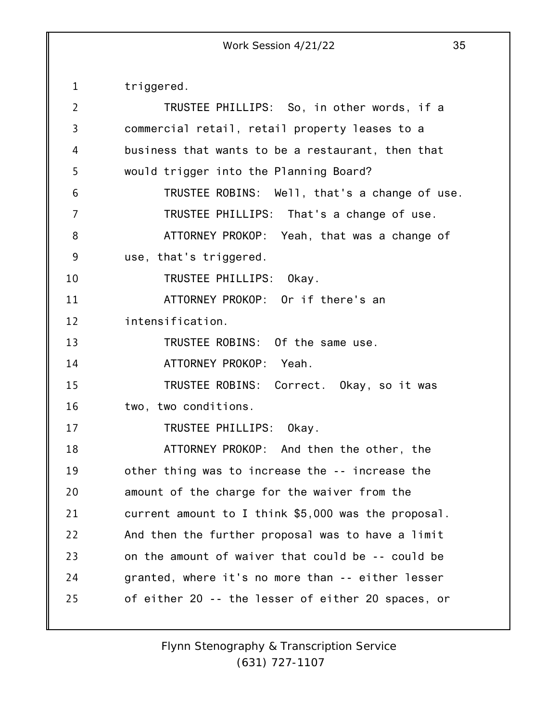1 2 3 4 5 6 7 8 9 10 11 12 13 14 15 16 17 18 19 20 21 22 23 24 25 triggered. TRUSTEE PHILLIPS: So, in other words, if a commercial retail, retail property leases to a business that wants to be a restaurant, then that would trigger into the Planning Board? TRUSTEE ROBINS: Well, that's a change of use. TRUSTEE PHILLIPS: That's a change of use. ATTORNEY PROKOP: Yeah, that was a change of use, that's triggered. TRUSTEE PHILLIPS: Okay. ATTORNEY PROKOP: Or if there's an intensification. TRUSTEE ROBINS: Of the same use. ATTORNEY PROKOP: Yeah. TRUSTEE ROBINS: Correct. Okay, so it was two, two conditions. TRUSTEE PHILLIPS: Okay. ATTORNEY PROKOP: And then the other, the other thing was to increase the -- increase the amount of the charge for the waiver from the current amount to I think \$5,000 was the proposal. And then the further proposal was to have a limit on the amount of waiver that could be -- could be granted, where it's no more than -- either lesser of either 20 -- the lesser of either 20 spaces, or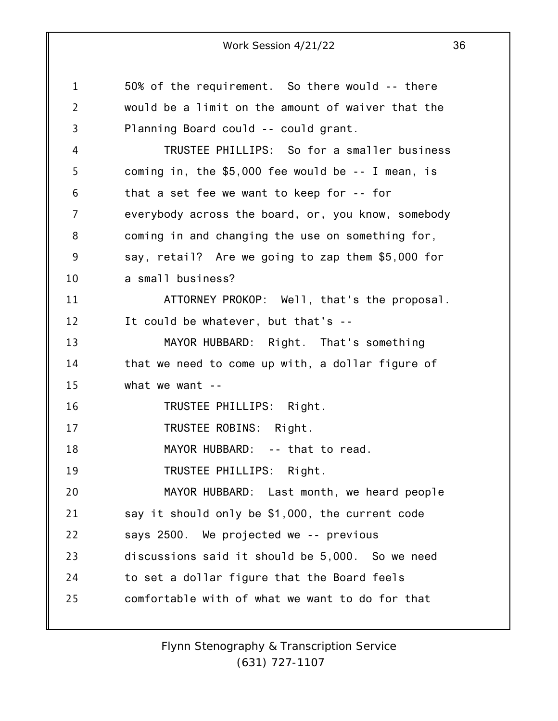1 2 3 4 5 6 7 8 9 10 11 12 13 14 15 16 17 18 19 20 21 22 23 24 25 50% of the requirement. So there would -- there would be a limit on the amount of waiver that the Planning Board could -- could grant. TRUSTEE PHILLIPS: So for a smaller business coming in, the \$5,000 fee would be -- I mean, is that a set fee we want to keep for -- for everybody across the board, or, you know, somebody coming in and changing the use on something for, say, retail? Are we going to zap them \$5,000 for a small business? ATTORNEY PROKOP: Well, that's the proposal. It could be whatever, but that's -- MAYOR HUBBARD: Right. That's something that we need to come up with, a dollar figure of what we want --TRUSTEE PHILLIPS: Right. TRUSTEE ROBINS: Right. MAYOR HUBBARD: -- that to read. TRUSTEE PHILLIPS: Right. MAYOR HUBBARD: Last month, we heard people say it should only be \$1,000, the current code says 2500. We projected we -- previous discussions said it should be 5,000. So we need to set a dollar figure that the Board feels comfortable with of what we want to do for that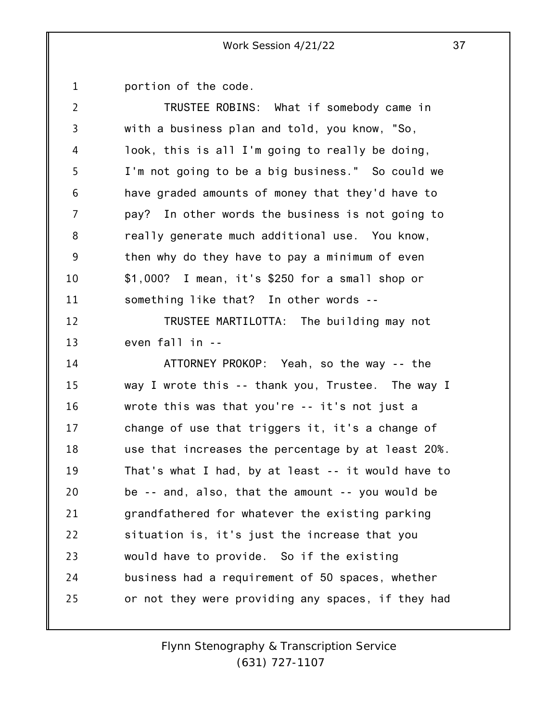1 portion of the code.

| 2  | TRUSTEE ROBINS: What if somebody came in           |
|----|----------------------------------------------------|
| 3  | with a business plan and told, you know, "So,      |
| 4  | look, this is all I'm going to really be doing,    |
| 5  | I'm not going to be a big business." So could we   |
| 6  | have graded amounts of money that they'd have to   |
| 7  | pay? In other words the business is not going to   |
| 8  | really generate much additional use. You know,     |
| 9  | then why do they have to pay a minimum of even     |
| 10 | \$1,000? I mean, it's \$250 for a small shop or    |
| 11 | something like that? In other words --             |
| 12 | TRUSTEE MARTILOTTA: The building may not           |
| 13 | even fall in --                                    |
| 14 | ATTORNEY PROKOP: Yeah, so the way -- the           |
| 15 | way I wrote this -- thank you, Trustee. The way I  |
| 16 | wrote this was that you're -- it's not just a      |
| 17 | change of use that triggers it, it's a change of   |
| 18 | use that increases the percentage by at least 20%. |
| 19 | That's what I had, by at least -- it would have to |
| 20 | be -- and, also, that the amount -- you would be   |
| 21 | grandfathered for whatever the existing parking    |
| 22 | situation is, it's just the increase that you      |
| 23 | would have to provide. So if the existing          |
| 24 | business had a requirement of 50 spaces, whether   |
| 25 | or not they were providing any spaces, if they had |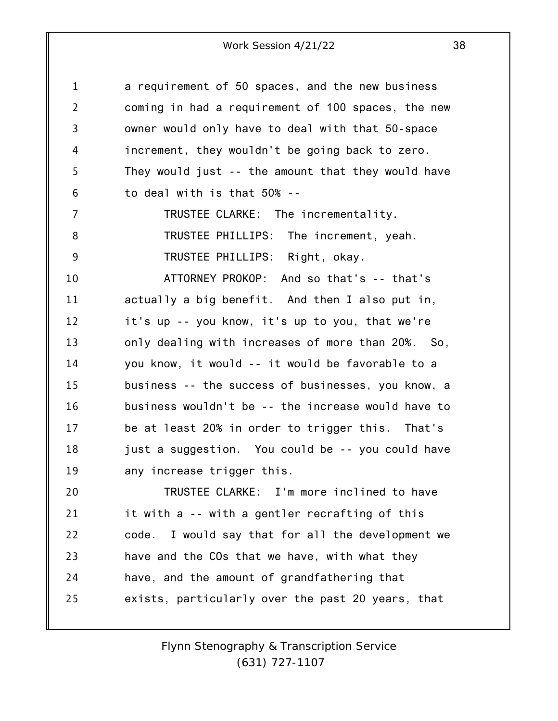| 1              | a requirement of 50 spaces, and the new business   |
|----------------|----------------------------------------------------|
| $\overline{2}$ | coming in had a requirement of 100 spaces, the new |
| 3              | owner would only have to deal with that 50-space   |
| 4              | increment, they wouldn't be going back to zero.    |
| 5              | They would just -- the amount that they would have |
| 6              | to deal with is that 50% --                        |
| $\overline{7}$ | TRUSTEE CLARKE: The incrementality.                |
| 8              | TRUSTEE PHILLIPS: The increment, yeah.             |
| 9              | TRUSTEE PHILLIPS: Right, okay.                     |
| 10             | ATTORNEY PROKOP: And so that's -- that's           |
| 11             | actually a big benefit. And then I also put in,    |
| 12             | it's up -- you know, it's up to you, that we're    |
| 13             | only dealing with increases of more than 20%. So,  |
| 14             | you know, it would -- it would be favorable to a   |
| 15             | business -- the success of businesses, you know, a |
| 16             | business wouldn't be -- the increase would have to |
| 17             | be at least 20% in order to trigger this. That's   |
| 18             | just a suggestion. You could be -- you could have  |
| 19             | any increase trigger this.                         |
| 20             | TRUSTEE CLARKE: I'm more inclined to have          |
| 21             | it with a -- with a gentler recrafting of this     |
| 22             | code. I would say that for all the development we  |
| 23             | have and the COs that we have, with what they      |
| 24             | have, and the amount of grandfathering that        |
| 25             | exists, particularly over the past 20 years, that  |
|                |                                                    |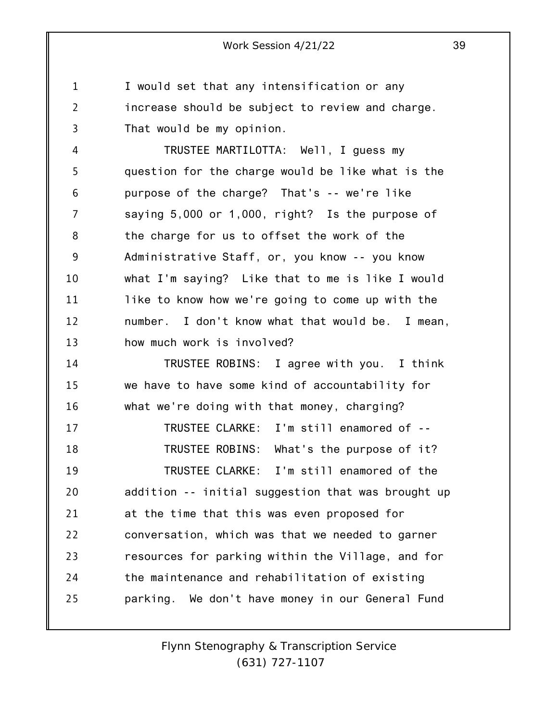1 2 3 I would set that any intensification or any increase should be subject to review and charge. That would be my opinion.

4 5 6 7 8 9 10 11 12 13 TRUSTEE MARTILOTTA: Well, I guess my question for the charge would be like what is the purpose of the charge? That's -- we're like saying 5,000 or 1,000, right? Is the purpose of the charge for us to offset the work of the Administrative Staff, or, you know -- you know what I'm saying? Like that to me is like I would like to know how we're going to come up with the number. I don't know what that would be. I mean, how much work is involved?

14 15 16 17 18 19 20 21 22 23 24 25 TRUSTEE ROBINS: I agree with you. I think we have to have some kind of accountability for what we're doing with that money, charging? TRUSTEE CLARKE: I'm still enamored of -- TRUSTEE ROBINS: What's the purpose of it? TRUSTEE CLARKE: I'm still enamored of the addition -- initial suggestion that was brought up at the time that this was even proposed for conversation, which was that we needed to garner resources for parking within the Village, and for the maintenance and rehabilitation of existing parking. We don't have money in our General Fund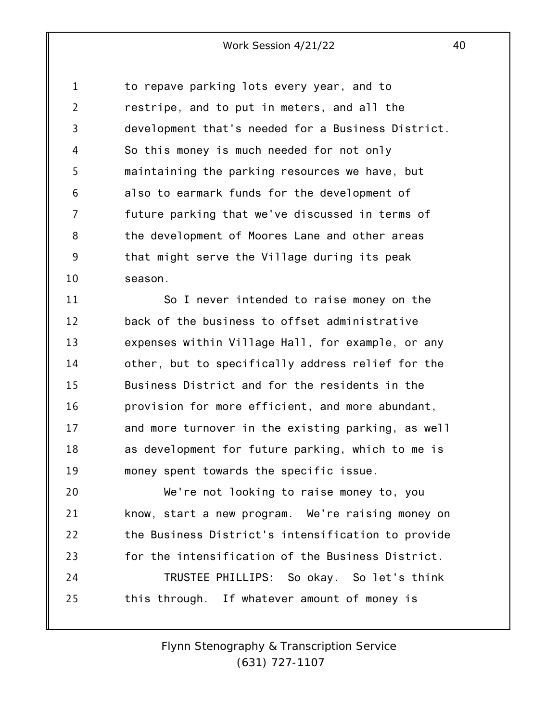1 2 3 4 5 6 7 8 9 10 to repave parking lots every year, and to restripe, and to put in meters, and all the development that's needed for a Business District. So this money is much needed for not only maintaining the parking resources we have, but also to earmark funds for the development of future parking that we've discussed in terms of the development of Moores Lane and other areas that might serve the Village during its peak season.

11 12 13 14 15 16 17 18 19 So I never intended to raise money on the back of the business to offset administrative expenses within Village Hall, for example, or any other, but to specifically address relief for the Business District and for the residents in the provision for more efficient, and more abundant, and more turnover in the existing parking, as well as development for future parking, which to me is money spent towards the specific issue.

20 21 22 23 24 25 We're not looking to raise money to, you know, start a new program. We're raising money on the Business District's intensification to provide for the intensification of the Business District. TRUSTEE PHILLIPS: So okay. So let's think this through. If whatever amount of money is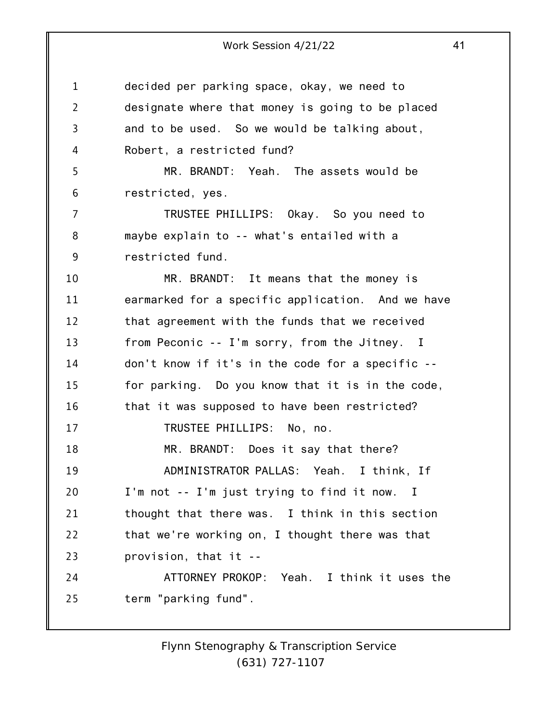1 2 3 4 5 6 7 8 9 10 11 12 13 14 15 16 17 18 19 20 21 22 23 24 25 decided per parking space, okay, we need to designate where that money is going to be placed and to be used. So we would be talking about, Robert, a restricted fund? MR. BRANDT: Yeah. The assets would be restricted, yes. TRUSTEE PHILLIPS: Okay. So you need to maybe explain to -- what's entailed with a restricted fund. MR. BRANDT: It means that the money is earmarked for a specific application. And we have that agreement with the funds that we received from Peconic -- I'm sorry, from the Jitney. I don't know if it's in the code for a specific - for parking. Do you know that it is in the code, that it was supposed to have been restricted? TRUSTEE PHILLIPS: No, no. MR. BRANDT: Does it say that there? ADMINISTRATOR PALLAS: Yeah. I think, If I'm not -- I'm just trying to find it now. I thought that there was. I think in this section that we're working on, I thought there was that provision, that it -- ATTORNEY PROKOP: Yeah. I think it uses the term "parking fund".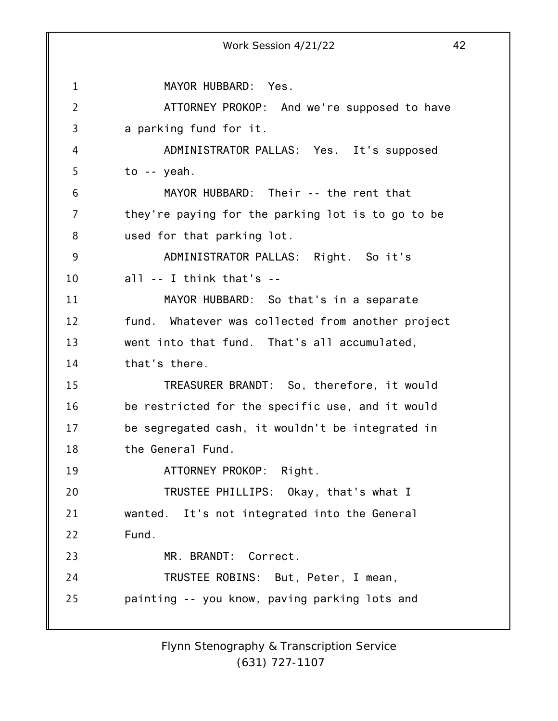1 2 3 4 5 6 7 8 9 10 11 12 13 14 15 16 17 18 19 20 21 22 23 24 25 Work Session 4/21/22 42 MAYOR HUBBARD: Yes. ATTORNEY PROKOP: And we're supposed to have a parking fund for it. ADMINISTRATOR PALLAS: Yes. It's supposed to -- yeah. MAYOR HUBBARD: Their -- the rent that they're paying for the parking lot is to go to be used for that parking lot. ADMINISTRATOR PALLAS: Right. So it's all -- I think that's -- MAYOR HUBBARD: So that's in a separate fund. Whatever was collected from another project went into that fund. That's all accumulated, that's there. TREASURER BRANDT: So, therefore, it would be restricted for the specific use, and it would be segregated cash, it wouldn't be integrated in the General Fund. ATTORNEY PROKOP: Right. TRUSTEE PHILLIPS: Okay, that's what I wanted. It's not integrated into the General Fund. MR. BRANDT: Correct. TRUSTEE ROBINS: But, Peter, I mean, painting -- you know, paving parking lots and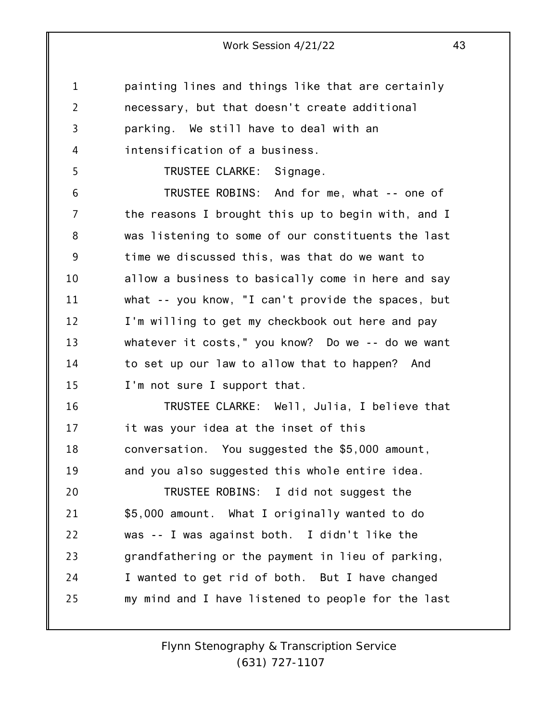1 2 3 4 painting lines and things like that are certainly necessary, but that doesn't create additional parking. We still have to deal with an intensification of a business.

TRUSTEE CLARKE: Signage.

5

6 7 8 9 10 11 12 13 14 15 TRUSTEE ROBINS: And for me, what -- one of the reasons I brought this up to begin with, and I was listening to some of our constituents the last time we discussed this, was that do we want to allow a business to basically come in here and say what -- you know, "I can't provide the spaces, but I'm willing to get my checkbook out here and pay whatever it costs," you know? Do we -- do we want to set up our law to allow that to happen? And I'm not sure I support that.

16 17 18 19 TRUSTEE CLARKE: Well, Julia, I believe that it was your idea at the inset of this conversation. You suggested the \$5,000 amount, and you also suggested this whole entire idea.

20 21 22 23 24 25 TRUSTEE ROBINS: I did not suggest the \$5,000 amount. What I originally wanted to do was -- I was against both. I didn't like the grandfathering or the payment in lieu of parking, I wanted to get rid of both. But I have changed my mind and I have listened to people for the last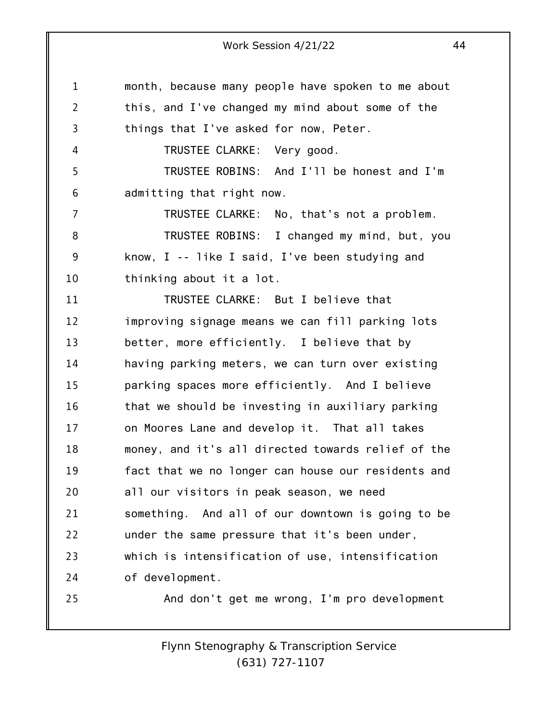1 2 3 4 5 6 7 8 9 10 11 12 13 14 15 16 17 18 19 20 21 22 23 24 25 month, because many people have spoken to me about this, and I've changed my mind about some of the things that I've asked for now, Peter. TRUSTEE CLARKE: Very good. TRUSTEE ROBINS: And I'll be honest and I'm admitting that right now. TRUSTEE CLARKE: No, that's not a problem. TRUSTEE ROBINS: I changed my mind, but, you know, I -- like I said, I've been studying and thinking about it a lot. TRUSTEE CLARKE: But I believe that improving signage means we can fill parking lots better, more efficiently. I believe that by having parking meters, we can turn over existing parking spaces more efficiently. And I believe that we should be investing in auxiliary parking on Moores Lane and develop it. That all takes money, and it's all directed towards relief of the fact that we no longer can house our residents and all our visitors in peak season, we need something. And all of our downtown is going to be under the same pressure that it's been under, which is intensification of use, intensification of development. And don't get me wrong, I'm pro development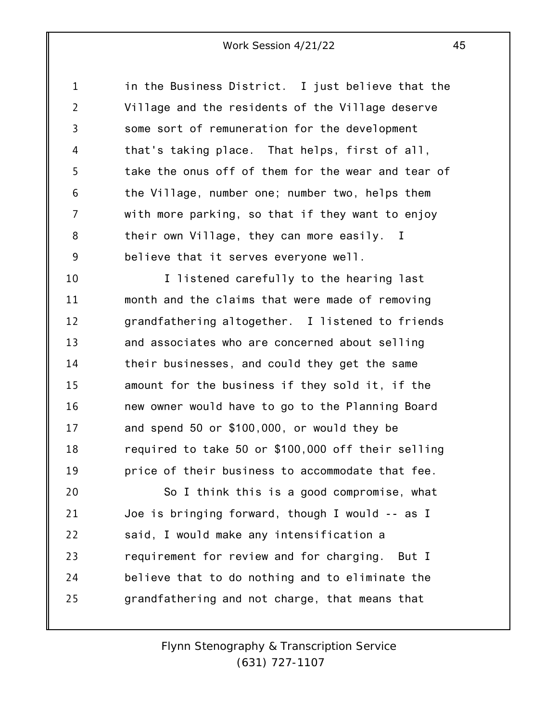1 2 3 4 5 6 7 8 9 in the Business District. I just believe that the Village and the residents of the Village deserve some sort of remuneration for the development that's taking place. That helps, first of all, take the onus off of them for the wear and tear of the Village, number one; number two, helps them with more parking, so that if they want to enjoy their own Village, they can more easily. I believe that it serves everyone well.

10 11 12 13 14 15 16 17 18 19 I listened carefully to the hearing last month and the claims that were made of removing grandfathering altogether. I listened to friends and associates who are concerned about selling their businesses, and could they get the same amount for the business if they sold it, if the new owner would have to go to the Planning Board and spend 50 or \$100,000, or would they be required to take 50 or \$100,000 off their selling price of their business to accommodate that fee.

20 21 22 23 24 25 So I think this is a good compromise, what Joe is bringing forward, though I would -- as I said, I would make any intensification a requirement for review and for charging. But I believe that to do nothing and to eliminate the grandfathering and not charge, that means that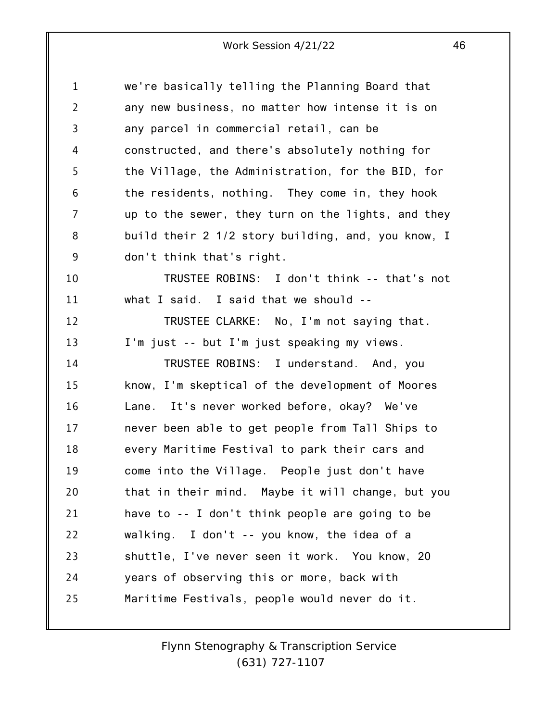| $\mathbf{1}$ | we're basically telling the Planning Board that    |
|--------------|----------------------------------------------------|
| 2            | any new business, no matter how intense it is on   |
| 3            | any parcel in commercial retail, can be            |
| 4            | constructed, and there's absolutely nothing for    |
| 5            | the Village, the Administration, for the BID, for  |
| 6            | the residents, nothing. They come in, they hook    |
| 7            | up to the sewer, they turn on the lights, and they |
| 8            | build their 2 1/2 story building, and, you know, I |
| 9            | don't think that's right.                          |
| 10           | TRUSTEE ROBINS: I don't think -- that's not        |
| 11           | what I said. I said that we should $-$             |
| 12           | TRUSTEE CLARKE: No, I'm not saying that.           |
| 13           | I'm just -- but I'm just speaking my views.        |
| 14           | TRUSTEE ROBINS: I understand. And, you             |
| 15           | know, I'm skeptical of the development of Moores   |
| 16           | Lane. It's never worked before, okay? We've        |
| 17           | never been able to get people from Tall Ships to   |
| 18           | every Maritime Festival to park their cars and     |
| 19           | come into the Village. People just don't have      |
| 20           | that in their mind. Maybe it will change, but you  |
| 21           | have to -- I don't think people are going to be    |
| 22           | walking. I don't -- you know, the idea of a        |
| 23           | shuttle, I've never seen it work. You know, 20     |
| 24           | years of observing this or more, back with         |
| 25           | Maritime Festivals, people would never do it.      |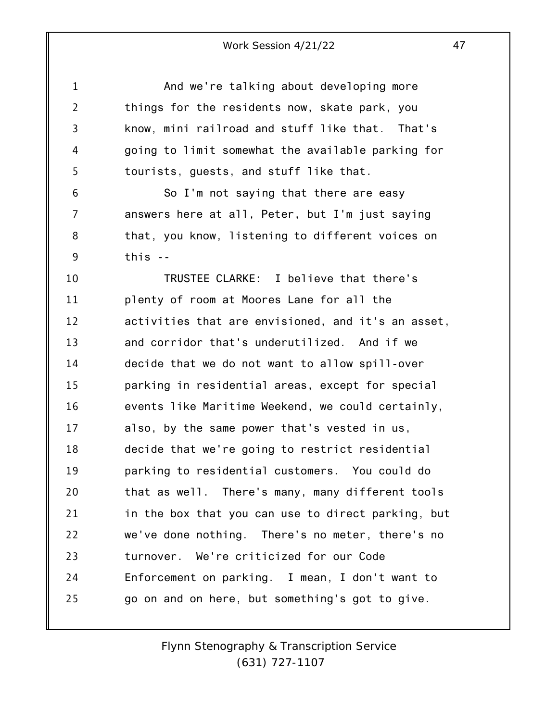1 2 3 4 5 6 7 8 9 10 11 12 13 14 15 16 17 18 19 20 21 22 23 24 25 And we're talking about developing more things for the residents now, skate park, you know, mini railroad and stuff like that. That's going to limit somewhat the available parking for tourists, guests, and stuff like that. So I'm not saying that there are easy answers here at all, Peter, but I'm just saying that, you know, listening to different voices on this -- TRUSTEE CLARKE: I believe that there's plenty of room at Moores Lane for all the activities that are envisioned, and it's an asset, and corridor that's underutilized. And if we decide that we do not want to allow spill-over parking in residential areas, except for special events like Maritime Weekend, we could certainly, also, by the same power that's vested in us, decide that we're going to restrict residential parking to residential customers. You could do that as well. There's many, many different tools in the box that you can use to direct parking, but we've done nothing. There's no meter, there's no turnover. We're criticized for our Code Enforcement on parking. I mean, I don't want to go on and on here, but something's got to give.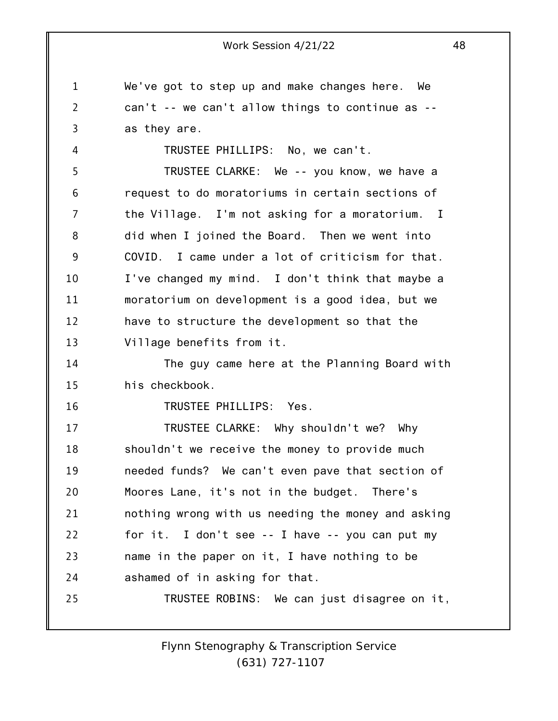1 2 3 4 5 6 7 8 9 10 11 12 13 14 15 16 17 18 19 20 21 22 23 24 25 Work Session 4/21/22 48 We've got to step up and make changes here. We can't -- we can't allow things to continue as - as they are. TRUSTEE PHILLIPS: No, we can't. TRUSTEE CLARKE: We -- you know, we have a request to do moratoriums in certain sections of the Village. I'm not asking for a moratorium. I did when I joined the Board. Then we went into COVID. I came under a lot of criticism for that. I've changed my mind. I don't think that maybe a moratorium on development is a good idea, but we have to structure the development so that the Village benefits from it. The guy came here at the Planning Board with his checkbook. TRUSTEE PHILLIPS: Yes. TRUSTEE CLARKE: Why shouldn't we? Why shouldn't we receive the money to provide much needed funds? We can't even pave that section of Moores Lane, it's not in the budget. There's nothing wrong with us needing the money and asking for it. I don't see -- I have -- you can put my name in the paper on it, I have nothing to be ashamed of in asking for that. TRUSTEE ROBINS: We can just disagree on it,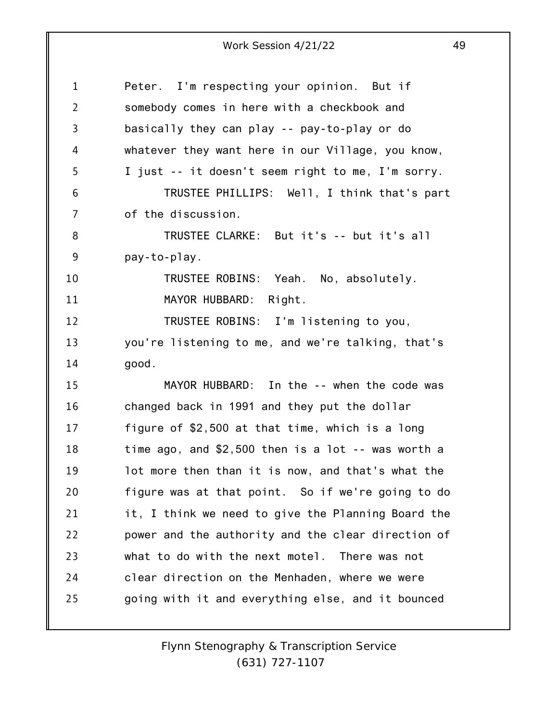| 1              | Peter. I'm respecting your opinion. But if           |
|----------------|------------------------------------------------------|
| $\overline{2}$ | somebody comes in here with a checkbook and          |
| 3              | basically they can play -- pay-to-play or do         |
| 4              | whatever they want here in our Village, you know,    |
| 5              | I just -- it doesn't seem right to me, I'm sorry.    |
| 6              | TRUSTEE PHILLIPS: Well, I think that's part          |
| 7              | of the discussion.                                   |
| 8              | TRUSTEE CLARKE: But it's -- but it's all             |
| 9              | pay-to-play.                                         |
| 10             | TRUSTEE ROBINS: Yeah. No, absolutely.                |
| 11             | MAYOR HUBBARD: Right.                                |
| 12             | TRUSTEE ROBINS: I'm listening to you,                |
| 13             | you're listening to me, and we're talking, that's    |
| 14             | good.                                                |
| 15             | MAYOR HUBBARD: In the -- when the code was           |
| 16             | changed back in 1991 and they put the dollar         |
| 17             | figure of \$2,500 at that time, which is a long      |
| 18             | time ago, and $$2,500$ then is a lot $-$ was worth a |
| 19             | lot more then than it is now, and that's what the    |
| 20             | figure was at that point. So if we're going to do    |
| 21             | it, I think we need to give the Planning Board the   |
| 22             | power and the authority and the clear direction of   |
| 23             | what to do with the next motel.<br>There was not     |
| 24             | clear direction on the Menhaden, where we were       |
| 25             | going with it and everything else, and it bounced    |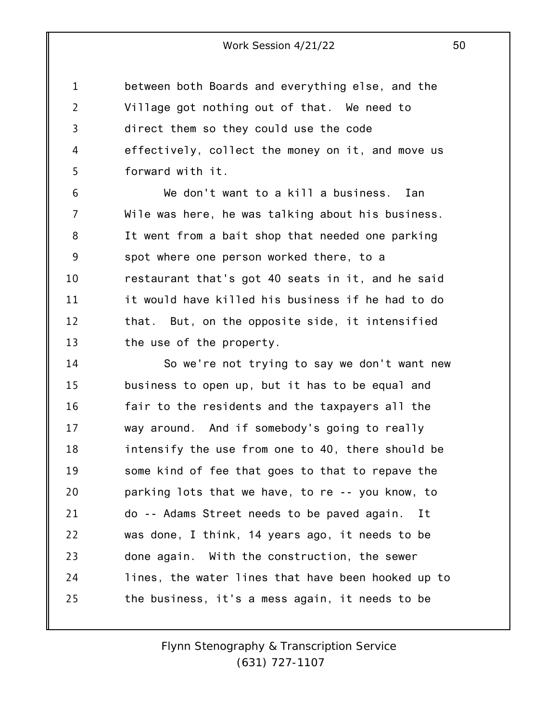1 2 3 4 5 between both Boards and everything else, and the Village got nothing out of that. We need to direct them so they could use the code effectively, collect the money on it, and move us forward with it.

6 7 8 9 10 11 12 13 We don't want to a kill a business. Ian Wile was here, he was talking about his business. It went from a bait shop that needed one parking spot where one person worked there, to a restaurant that's got 40 seats in it, and he said it would have killed his business if he had to do that. But, on the opposite side, it intensified the use of the property.

14 15 16 17 18 19 20 21 22 23 24 25 So we're not trying to say we don't want new business to open up, but it has to be equal and fair to the residents and the taxpayers all the way around. And if somebody's going to really intensify the use from one to 40, there should be some kind of fee that goes to that to repave the parking lots that we have, to re -- you know, to do -- Adams Street needs to be paved again. It was done, I think, 14 years ago, it needs to be done again. With the construction, the sewer lines, the water lines that have been hooked up to the business, it's a mess again, it needs to be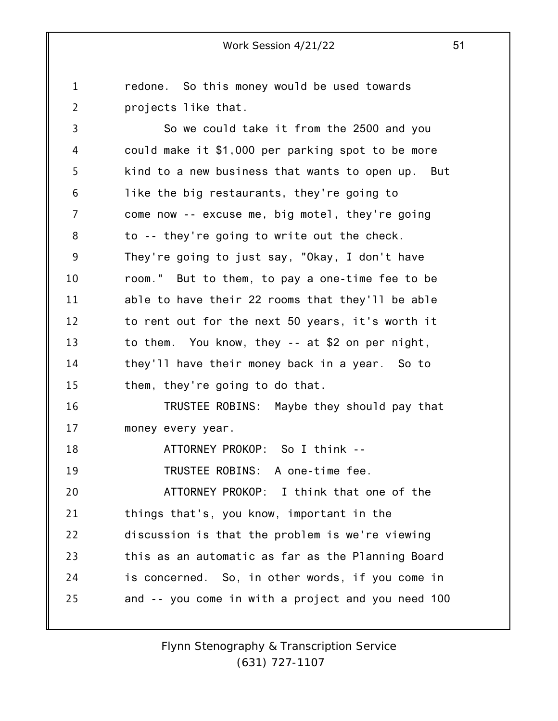1 2 3 4 5 6 7 8 9 10 11 12 13 14 15 16 17 18 19 20 21 22 23 24 25 redone. So this money would be used towards projects like that. So we could take it from the 2500 and you could make it \$1,000 per parking spot to be more kind to a new business that wants to open up. But like the big restaurants, they're going to come now -- excuse me, big motel, they're going to -- they're going to write out the check. They're going to just say, "Okay, I don't have room." But to them, to pay a one-time fee to be able to have their 22 rooms that they'll be able to rent out for the next 50 years, it's worth it to them. You know, they -- at \$2 on per night, they'll have their money back in a year. So to them, they're going to do that. TRUSTEE ROBINS: Maybe they should pay that money every year. ATTORNEY PROKOP: So I think -- TRUSTEE ROBINS: A one-time fee. ATTORNEY PROKOP: I think that one of the things that's, you know, important in the discussion is that the problem is we're viewing this as an automatic as far as the Planning Board is concerned. So, in other words, if you come in and -- you come in with a project and you need 100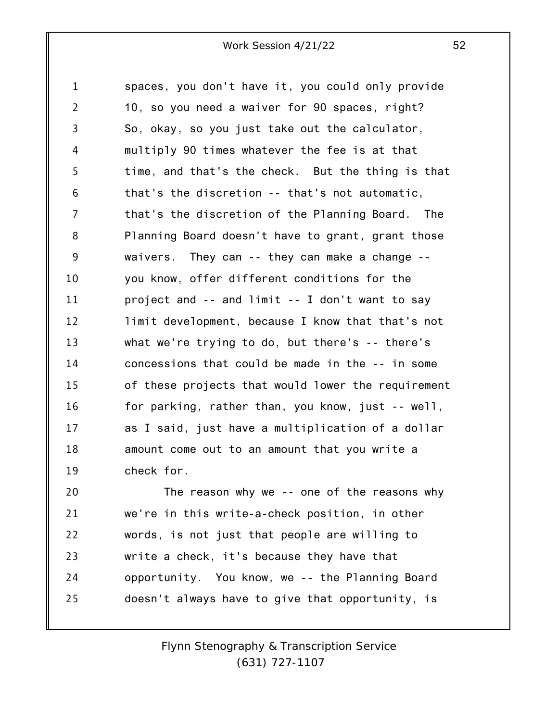1 2 3 4 5 6 7 8 9 10 11 12 13 14 15 16 17 18 19 20 spaces, you don't have it, you could only provide 10, so you need a waiver for 90 spaces, right? So, okay, so you just take out the calculator, multiply 90 times whatever the fee is at that time, and that's the check. But the thing is that that's the discretion -- that's not automatic, that's the discretion of the Planning Board. The Planning Board doesn't have to grant, grant those waivers. They can -- they can make a change - you know, offer different conditions for the project and -- and limit -- I don't want to say limit development, because I know that that's not what we're trying to do, but there's -- there's concessions that could be made in the -- in some of these projects that would lower the requirement for parking, rather than, you know, just -- well, as I said, just have a multiplication of a dollar amount come out to an amount that you write a check for. The reason why we -- one of the reasons why

21 22 23 24 25 we're in this write-a-check position, in other words, is not just that people are willing to write a check, it's because they have that opportunity. You know, we -- the Planning Board doesn't always have to give that opportunity, is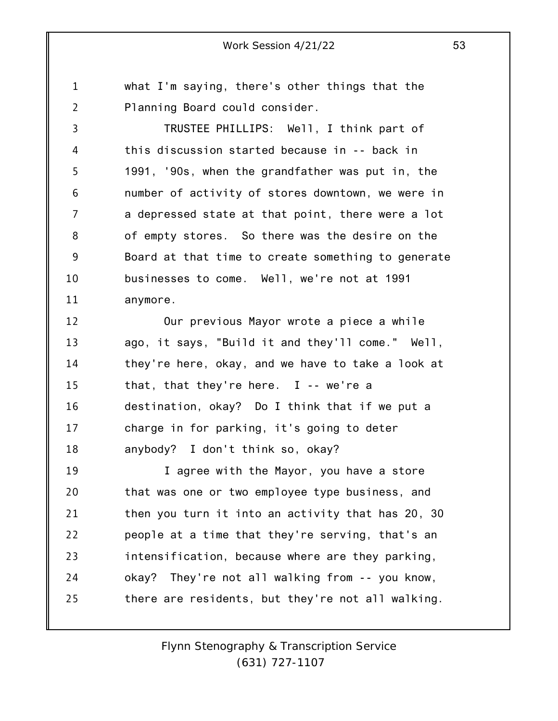1 2 what I'm saying, there's other things that the Planning Board could consider.

3 4 5 6 7 8 9 10 11 TRUSTEE PHILLIPS: Well, I think part of this discussion started because in -- back in 1991, '90s, when the grandfather was put in, the number of activity of stores downtown, we were in a depressed state at that point, there were a lot of empty stores. So there was the desire on the Board at that time to create something to generate businesses to come. Well, we're not at 1991 anymore.

12 13 14 15 16 17 18 Our previous Mayor wrote a piece a while ago, it says, "Build it and they'll come." Well, they're here, okay, and we have to take a look at that, that they're here. I -- we're a destination, okay? Do I think that if we put a charge in for parking, it's going to deter anybody? I don't think so, okay?

19 20 21 22 23 24 25 I agree with the Mayor, you have a store that was one or two employee type business, and then you turn it into an activity that has 20, 30 people at a time that they're serving, that's an intensification, because where are they parking, okay? They're not all walking from -- you know, there are residents, but they're not all walking.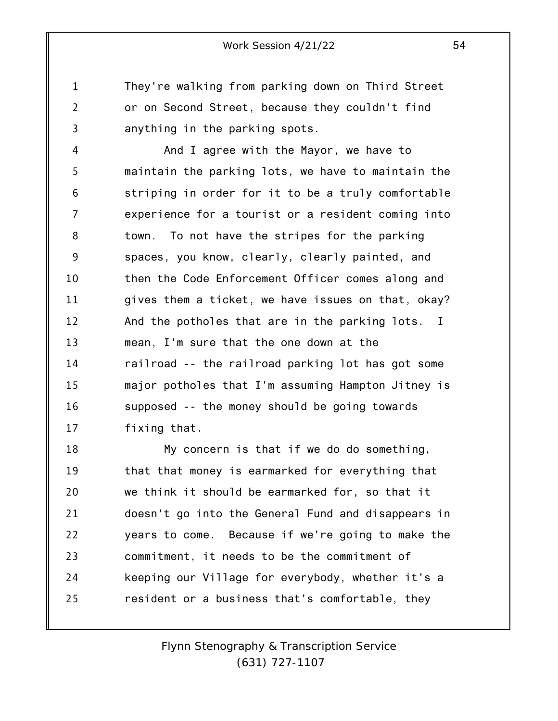They're walking from parking down on Third Street or on Second Street, because they couldn't find anything in the parking spots.

1

2

3

4 5 6 7 8 9 10 11 12 13 14 15 16 17 And I agree with the Mayor, we have to maintain the parking lots, we have to maintain the striping in order for it to be a truly comfortable experience for a tourist or a resident coming into town. To not have the stripes for the parking spaces, you know, clearly, clearly painted, and then the Code Enforcement Officer comes along and gives them a ticket, we have issues on that, okay? And the potholes that are in the parking lots. I mean, I'm sure that the one down at the railroad -- the railroad parking lot has got some major potholes that I'm assuming Hampton Jitney is supposed -- the money should be going towards fixing that.

18 19 20 21 22 23 24 25 My concern is that if we do do something, that that money is earmarked for everything that we think it should be earmarked for, so that it doesn't go into the General Fund and disappears in years to come. Because if we're going to make the commitment, it needs to be the commitment of keeping our Village for everybody, whether it's a resident or a business that's comfortable, they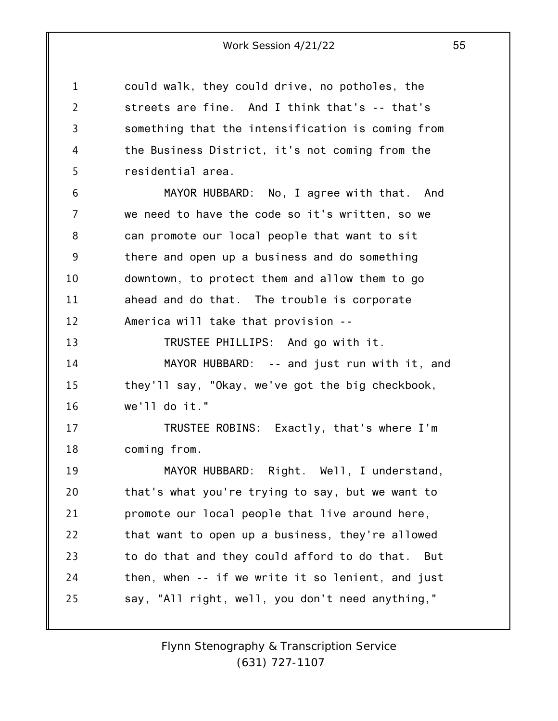1 2 3 4 5 6 7 8 9 10 11 12 13 14 15 16 17 18 19 20 21 22 23 24 25 could walk, they could drive, no potholes, the streets are fine. And I think that's -- that's something that the intensification is coming from the Business District, it's not coming from the residential area. MAYOR HUBBARD: No, I agree with that. And we need to have the code so it's written, so we can promote our local people that want to sit there and open up a business and do something downtown, to protect them and allow them to go ahead and do that. The trouble is corporate America will take that provision -- TRUSTEE PHILLIPS: And go with it. MAYOR HUBBARD: -- and just run with it, and they'll say, "Okay, we've got the big checkbook, we'll do it." TRUSTEE ROBINS: Exactly, that's where I'm coming from. MAYOR HUBBARD: Right. Well, I understand, that's what you're trying to say, but we want to promote our local people that live around here, that want to open up a business, they're allowed to do that and they could afford to do that. But then, when -- if we write it so lenient, and just say, "All right, well, you don't need anything,"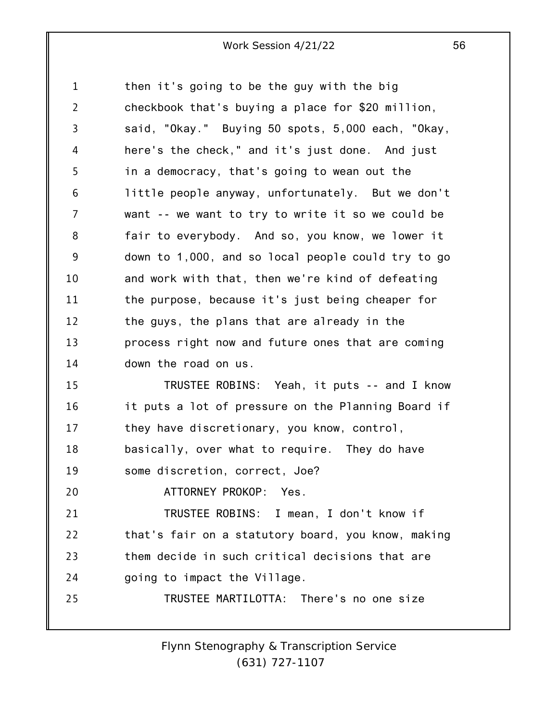1 2 3 4 5 6 7 8 9 10 11 12 13 14 15 16 17 18 19 20 21 22 23 24 25 then it's going to be the guy with the big checkbook that's buying a place for \$20 million, said, "Okay." Buying 50 spots, 5,000 each, "Okay, here's the check," and it's just done. And just in a democracy, that's going to wean out the little people anyway, unfortunately. But we don't want -- we want to try to write it so we could be fair to everybody. And so, you know, we lower it down to 1,000, and so local people could try to go and work with that, then we're kind of defeating the purpose, because it's just being cheaper for the guys, the plans that are already in the process right now and future ones that are coming down the road on us. TRUSTEE ROBINS: Yeah, it puts -- and I know it puts a lot of pressure on the Planning Board if they have discretionary, you know, control, basically, over what to require. They do have some discretion, correct, Joe? ATTORNEY PROKOP: Yes. TRUSTEE ROBINS: I mean, I don't know if that's fair on a statutory board, you know, making them decide in such critical decisions that are going to impact the Village. TRUSTEE MARTILOTTA: There's no one size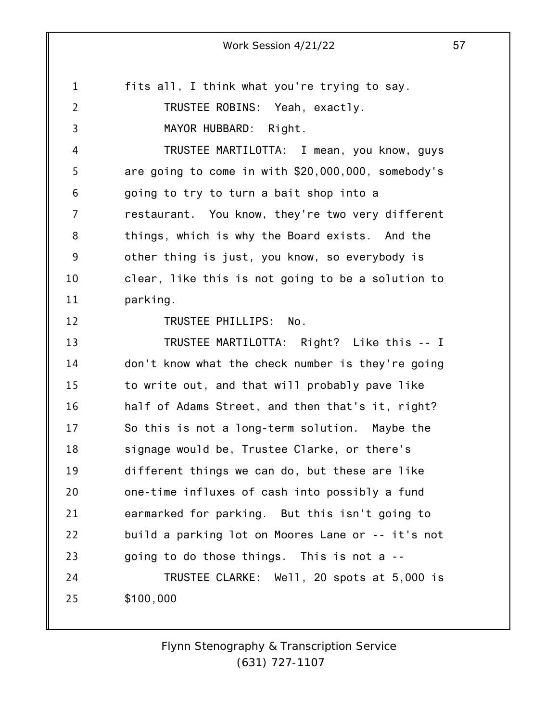1 fits all, I think what you're trying to say.

TRUSTEE ROBINS: Yeah, exactly.

MAYOR HUBBARD: Right.

4 5 6 7 8 9 10 11 TRUSTEE MARTILOTTA: I mean, you know, guys are going to come in with \$20,000,000, somebody's going to try to turn a bait shop into a restaurant. You know, they're two very different things, which is why the Board exists. And the other thing is just, you know, so everybody is clear, like this is not going to be a solution to parking.

12

2

3

TRUSTEE PHILLIPS: No.

13 14 15 16 17 18 19 20 21 22 23 24 25 TRUSTEE MARTILOTTA: Right? Like this -- I don't know what the check number is they're going to write out, and that will probably pave like half of Adams Street, and then that's it, right? So this is not a long-term solution. Maybe the signage would be, Trustee Clarke, or there's different things we can do, but these are like one-time influxes of cash into possibly a fund earmarked for parking. But this isn't going to build a parking lot on Moores Lane or -- it's not going to do those things. This is not a -- TRUSTEE CLARKE: Well, 20 spots at 5,000 is \$100,000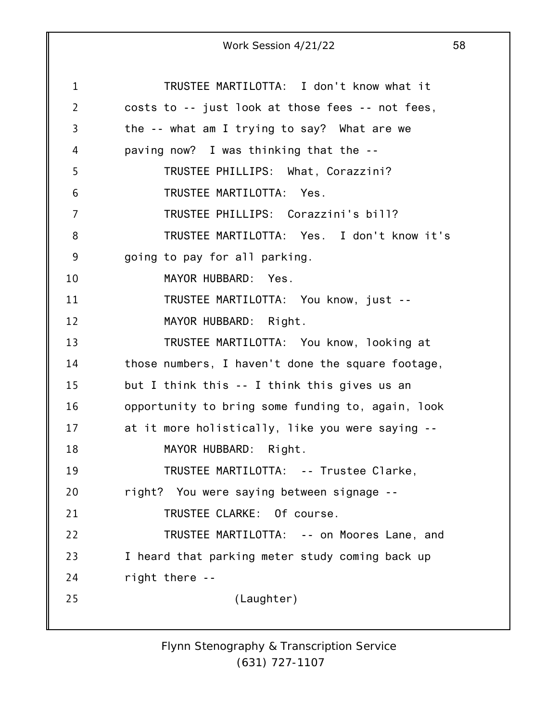1 2 3 4 5 6 7 8 9 10 11 12 13 14 15 16 17 18 19 20 21 22 23 24 25 Work Session 4/21/22 58 TRUSTEE MARTILOTTA: I don't know what it costs to -- just look at those fees -- not fees, the -- what am I trying to say? What are we paving now? I was thinking that the -- TRUSTEE PHILLIPS: What, Corazzini? TRUSTEE MARTILOTTA: Yes. TRUSTEE PHILLIPS: Corazzini's bill? TRUSTEE MARTILOTTA: Yes. I don't know it's going to pay for all parking. MAYOR HUBBARD: Yes. TRUSTEE MARTILOTTA: You know, just -- MAYOR HUBBARD: Right. TRUSTEE MARTILOTTA: You know, looking at those numbers, I haven't done the square footage, but I think this -- I think this gives us an opportunity to bring some funding to, again, look at it more holistically, like you were saying -- MAYOR HUBBARD: Right. TRUSTEE MARTILOTTA: -- Trustee Clarke, right? You were saying between signage -- TRUSTEE CLARKE: Of course. TRUSTEE MARTILOTTA: -- on Moores Lane, and I heard that parking meter study coming back up right there -- (Laughter)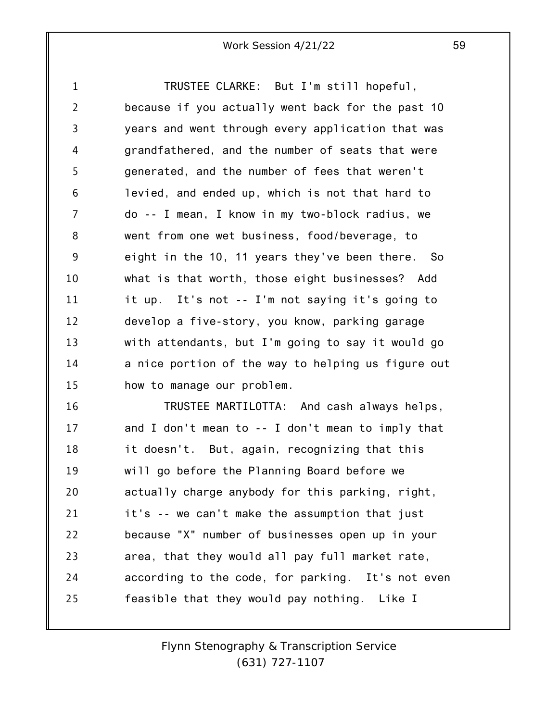1 2 3 4 5 6 7 8 9 10 11 12 13 14 15 TRUSTEE CLARKE: But I'm still hopeful, because if you actually went back for the past 10 years and went through every application that was grandfathered, and the number of seats that were generated, and the number of fees that weren't levied, and ended up, which is not that hard to do -- I mean, I know in my two-block radius, we went from one wet business, food/beverage, to eight in the 10, 11 years they've been there. So what is that worth, those eight businesses? Add it up. It's not -- I'm not saying it's going to develop a five-story, you know, parking garage with attendants, but I'm going to say it would go a nice portion of the way to helping us figure out how to manage our problem.

16 17 18 19 20 21 22 23 24 25 TRUSTEE MARTILOTTA: And cash always helps, and I don't mean to -- I don't mean to imply that it doesn't. But, again, recognizing that this will go before the Planning Board before we actually charge anybody for this parking, right, it's -- we can't make the assumption that just because "X" number of businesses open up in your area, that they would all pay full market rate, according to the code, for parking. It's not even feasible that they would pay nothing. Like I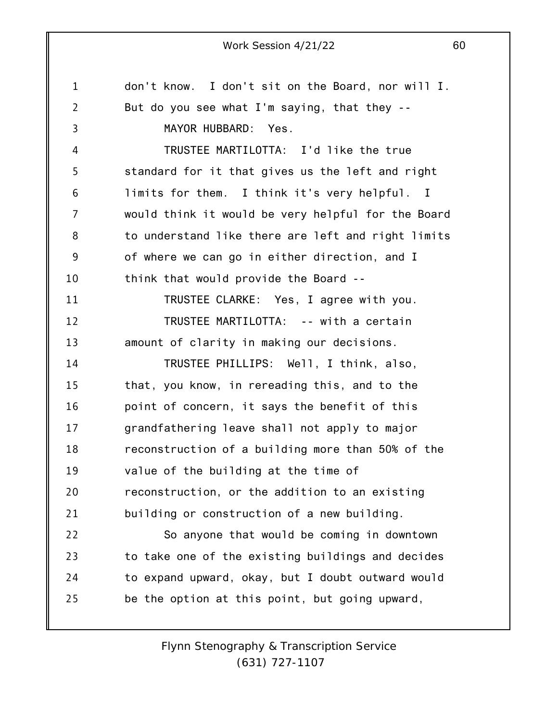1 2 3 4 5 6 7 8 9 10 11 12 13 14 15 16 17 18 19 20 21 22 23 24 25 don't know. I don't sit on the Board, nor will I. But do you see what I'm saying, that they -- MAYOR HUBBARD: Yes. TRUSTEE MARTILOTTA: I'd like the true standard for it that gives us the left and right limits for them. I think it's very helpful. I would think it would be very helpful for the Board to understand like there are left and right limits of where we can go in either direction, and I think that would provide the Board -- TRUSTEE CLARKE: Yes, I agree with you. TRUSTEE MARTILOTTA: -- with a certain amount of clarity in making our decisions. TRUSTEE PHILLIPS: Well, I think, also, that, you know, in rereading this, and to the point of concern, it says the benefit of this grandfathering leave shall not apply to major reconstruction of a building more than 50% of the value of the building at the time of reconstruction, or the addition to an existing building or construction of a new building. So anyone that would be coming in downtown to take one of the existing buildings and decides to expand upward, okay, but I doubt outward would be the option at this point, but going upward,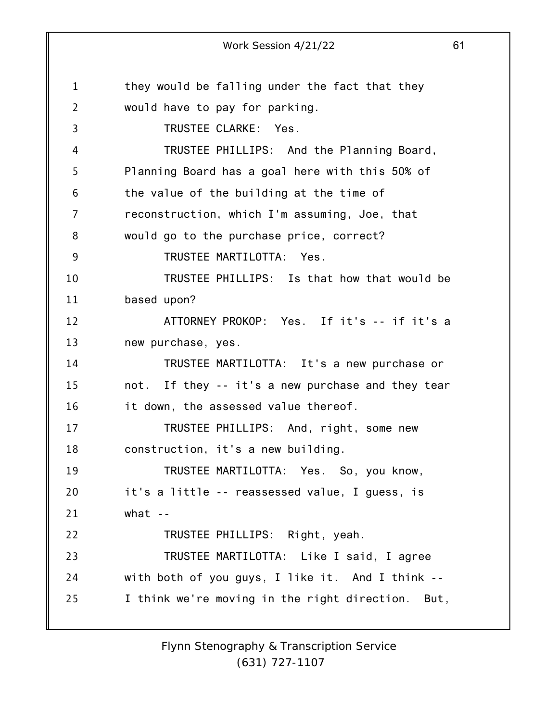1 2 3 4 5 6 7 8 9 10 11 12 13 14 15 16 17 18 19 20 21 22 23 24 25 Work Session 4/21/22 61 they would be falling under the fact that they would have to pay for parking. TRUSTEE CLARKE: Yes. TRUSTEE PHILLIPS: And the Planning Board, Planning Board has a goal here with this 50% of the value of the building at the time of reconstruction, which I'm assuming, Joe, that would go to the purchase price, correct? TRUSTEE MARTILOTTA: Yes. TRUSTEE PHILLIPS: Is that how that would be based upon? ATTORNEY PROKOP: Yes. If it's -- if it's a new purchase, yes. TRUSTEE MARTILOTTA: It's a new purchase or not. If they -- it's a new purchase and they tear it down, the assessed value thereof. TRUSTEE PHILLIPS: And, right, some new construction, it's a new building. TRUSTEE MARTILOTTA: Yes. So, you know, it's a little -- reassessed value, I guess, is what -- TRUSTEE PHILLIPS: Right, yeah. TRUSTEE MARTILOTTA: Like I said, I agree with both of you guys, I like it. And I think -- I think we're moving in the right direction. But,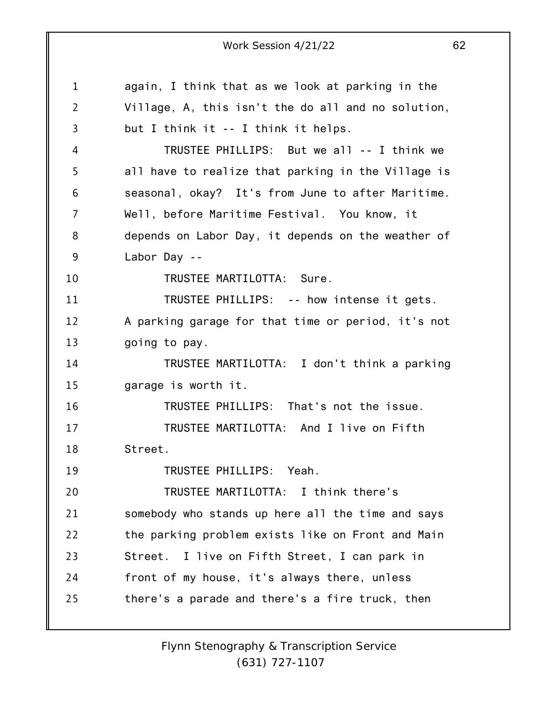1 2 3 4 5 6 7 8 9 10 11 12 13 14 15 16 17 18 19 20 21 22 23 24 25 Work Session 4/21/22 62 again, I think that as we look at parking in the Village, A, this isn't the do all and no solution, but I think it -- I think it helps. TRUSTEE PHILLIPS: But we all -- I think we all have to realize that parking in the Village is seasonal, okay? It's from June to after Maritime. Well, before Maritime Festival. You know, it depends on Labor Day, it depends on the weather of Labor Day -- TRUSTEE MARTILOTTA: Sure. TRUSTEE PHILLIPS: -- how intense it gets. A parking garage for that time or period, it's not going to pay. TRUSTEE MARTILOTTA: I don't think a parking garage is worth it. TRUSTEE PHILLIPS: That's not the issue. TRUSTEE MARTILOTTA: And I live on Fifth Street. TRUSTEE PHILLIPS: Yeah. TRUSTEE MARTILOTTA: I think there's somebody who stands up here all the time and says the parking problem exists like on Front and Main Street. I live on Fifth Street, I can park in front of my house, it's always there, unless there's a parade and there's a fire truck, then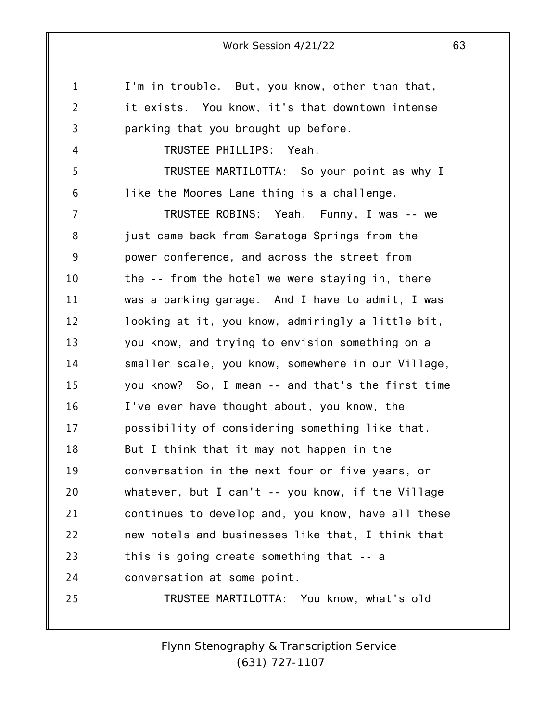1 2 3 4 5 6 7 8 9 10 11 12 13 14 15 16 17 18 19 20 21 22 23 24 25 I'm in trouble. But, you know, other than that, it exists. You know, it's that downtown intense parking that you brought up before. TRUSTEE PHILLIPS: Yeah. TRUSTEE MARTILOTTA: So your point as why I like the Moores Lane thing is a challenge. TRUSTEE ROBINS: Yeah. Funny, I was -- we just came back from Saratoga Springs from the power conference, and across the street from the -- from the hotel we were staying in, there was a parking garage. And I have to admit, I was looking at it, you know, admiringly a little bit, you know, and trying to envision something on a smaller scale, you know, somewhere in our Village, you know? So, I mean -- and that's the first time I've ever have thought about, you know, the possibility of considering something like that. But I think that it may not happen in the conversation in the next four or five years, or whatever, but I can't -- you know, if the Village continues to develop and, you know, have all these new hotels and businesses like that, I think that this is going create something that -- a conversation at some point. TRUSTEE MARTILOTTA: You know, what's old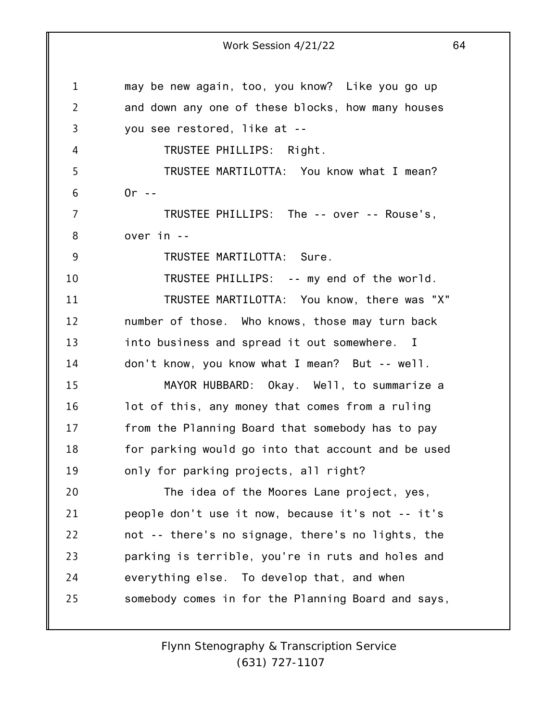1 2 3 4 5 6 7 8 9 10 11 12 13 14 15 16 17 18 19 20 21 22 23 24 25 Work Session 4/21/22 64 may be new again, too, you know? Like you go up and down any one of these blocks, how many houses you see restored, like at -- TRUSTEE PHILLIPS: Right. TRUSTEE MARTILOTTA: You know what I mean?  $0r -$ TRUSTEE PHILLIPS: The -- over -- Rouse's, over in -- TRUSTEE MARTILOTTA: Sure. TRUSTEE PHILLIPS: -- my end of the world. TRUSTEE MARTILOTTA: You know, there was "X" number of those. Who knows, those may turn back into business and spread it out somewhere. I don't know, you know what I mean? But -- well. MAYOR HUBBARD: Okay. Well, to summarize a lot of this, any money that comes from a ruling from the Planning Board that somebody has to pay for parking would go into that account and be used only for parking projects, all right? The idea of the Moores Lane project, yes, people don't use it now, because it's not -- it's not -- there's no signage, there's no lights, the parking is terrible, you're in ruts and holes and everything else. To develop that, and when somebody comes in for the Planning Board and says,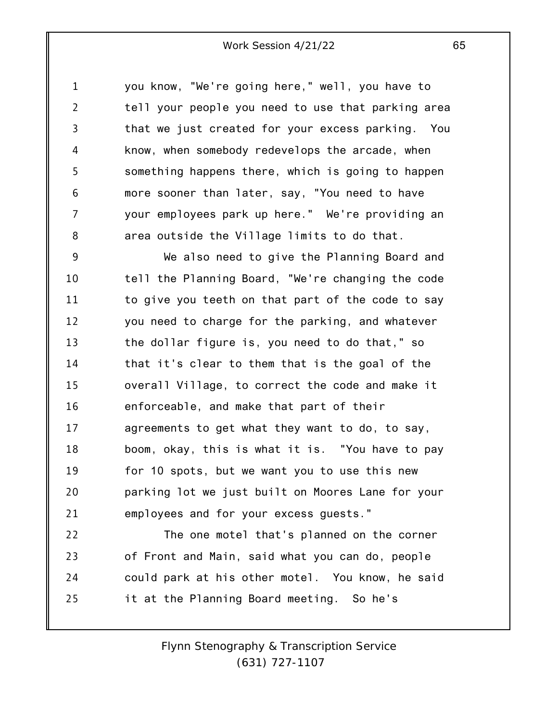1 2 3 4 5 6 7 8 you know, "We're going here," well, you have to tell your people you need to use that parking area that we just created for your excess parking. You know, when somebody redevelops the arcade, when something happens there, which is going to happen more sooner than later, say, "You need to have your employees park up here." We're providing an area outside the Village limits to do that.

9 10 11 12 13 14 15 16 17 18 19 20 21 We also need to give the Planning Board and tell the Planning Board, "We're changing the code to give you teeth on that part of the code to say you need to charge for the parking, and whatever the dollar figure is, you need to do that," so that it's clear to them that is the goal of the overall Village, to correct the code and make it enforceable, and make that part of their agreements to get what they want to do, to say, boom, okay, this is what it is. "You have to pay for 10 spots, but we want you to use this new parking lot we just built on Moores Lane for your employees and for your excess guests."

22 23 24 25 The one motel that's planned on the corner of Front and Main, said what you can do, people could park at his other motel. You know, he said it at the Planning Board meeting. So he's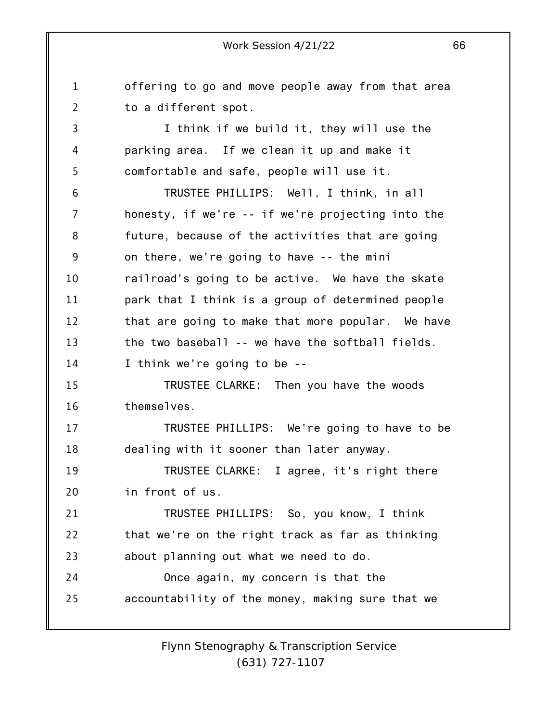1 2 3 4 5 6 7 8 9 10 11 12 13 14 15 16 17 18 19 20 21 22 23 24 25 offering to go and move people away from that area to a different spot. I think if we build it, they will use the parking area. If we clean it up and make it comfortable and safe, people will use it. TRUSTEE PHILLIPS: Well, I think, in all honesty, if we're -- if we're projecting into the future, because of the activities that are going on there, we're going to have -- the mini railroad's going to be active. We have the skate park that I think is a group of determined people that are going to make that more popular. We have the two baseball -- we have the softball fields. I think we're going to be -- TRUSTEE CLARKE: Then you have the woods themselves. TRUSTEE PHILLIPS: We're going to have to be dealing with it sooner than later anyway. TRUSTEE CLARKE: I agree, it's right there in front of us. TRUSTEE PHILLIPS: So, you know, I think that we're on the right track as far as thinking about planning out what we need to do. Once again, my concern is that the accountability of the money, making sure that we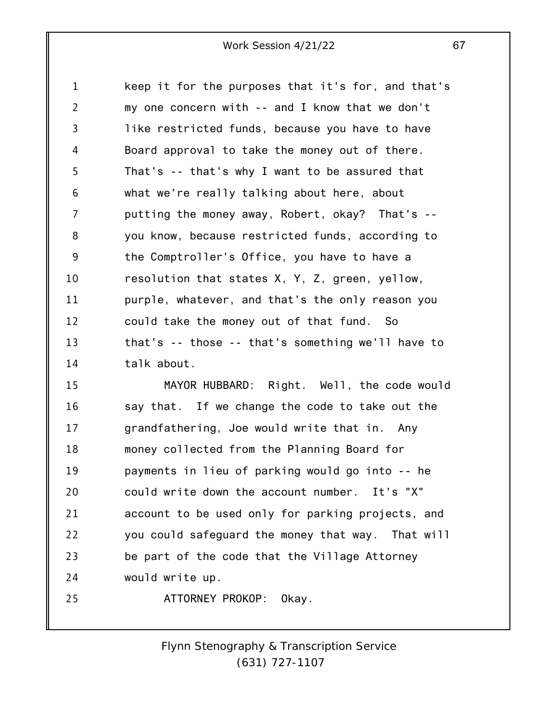1 2 3 4 5 6 7 8 9 10 11 12 13 14 keep it for the purposes that it's for, and that's my one concern with -- and I know that we don't like restricted funds, because you have to have Board approval to take the money out of there. That's -- that's why I want to be assured that what we're really talking about here, about putting the money away, Robert, okay? That's - you know, because restricted funds, according to the Comptroller's Office, you have to have a resolution that states X, Y, Z, green, yellow, purple, whatever, and that's the only reason you could take the money out of that fund. So that's -- those -- that's something we'll have to talk about.

15 16 17 18 19 20 21 22 23 24 25 MAYOR HUBBARD: Right. Well, the code would say that. If we change the code to take out the grandfathering, Joe would write that in. Any money collected from the Planning Board for payments in lieu of parking would go into -- he could write down the account number. It's "X" account to be used only for parking projects, and you could safeguard the money that way. That will be part of the code that the Village Attorney would write up. ATTORNEY PROKOP: Okay.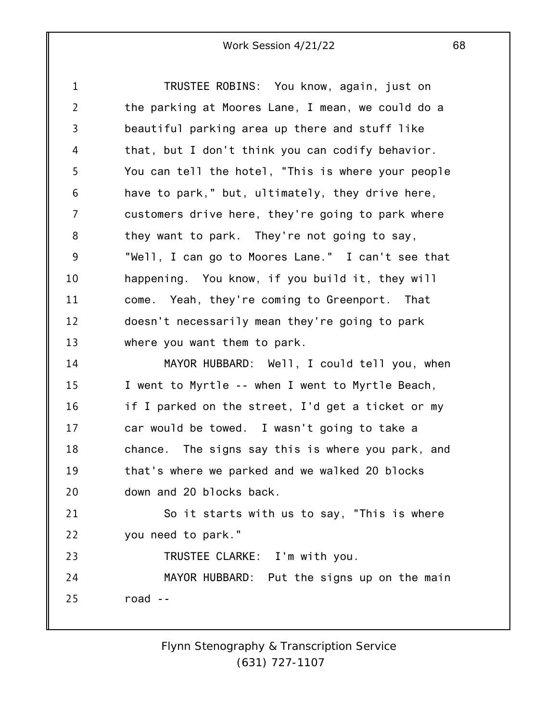1 2 3 4 5 6 7 8 9 10 11 12 13 14 15 16 17 18 19 20 21 22 23 24 TRUSTEE ROBINS: You know, again, just on the parking at Moores Lane, I mean, we could do a beautiful parking area up there and stuff like that, but I don't think you can codify behavior. You can tell the hotel, "This is where your people have to park," but, ultimately, they drive here, customers drive here, they're going to park where they want to park. They're not going to say, "Well, I can go to Moores Lane." I can't see that happening. You know, if you build it, they will come. Yeah, they're coming to Greenport. That doesn't necessarily mean they're going to park where you want them to park. MAYOR HUBBARD: Well, I could tell you, when I went to Myrtle -- when I went to Myrtle Beach, if I parked on the street, I'd get a ticket or my car would be towed. I wasn't going to take a chance. The signs say this is where you park, and that's where we parked and we walked 20 blocks down and 20 blocks back. So it starts with us to say, "This is where you need to park." TRUSTEE CLARKE: I'm with you. MAYOR HUBBARD: Put the signs up on the main

25 road --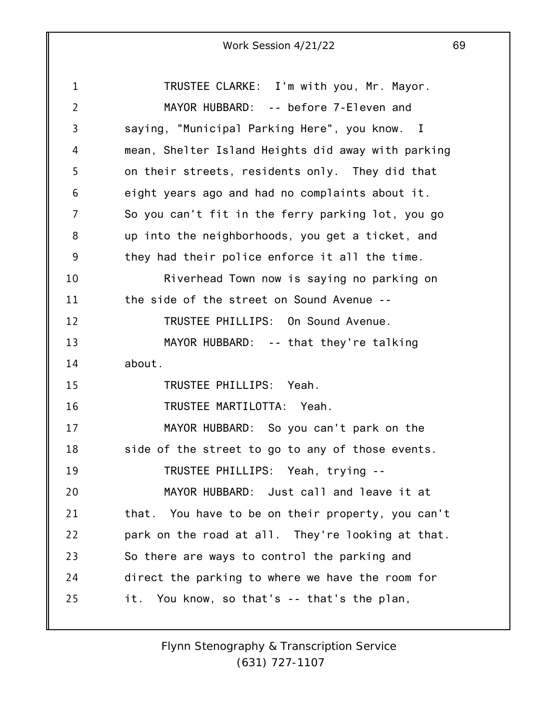1 2 3 4 5 6 7 8 9 10 11 12 13 14 15 16 17 18 19 20 21 22 23 24 25 TRUSTEE CLARKE: I'm with you, Mr. Mayor. MAYOR HUBBARD: -- before 7-Eleven and saying, "Municipal Parking Here", you know. I mean, Shelter Island Heights did away with parking on their streets, residents only. They did that eight years ago and had no complaints about it. So you can't fit in the ferry parking lot, you go up into the neighborhoods, you get a ticket, and they had their police enforce it all the time. Riverhead Town now is saying no parking on the side of the street on Sound Avenue -- TRUSTEE PHILLIPS: On Sound Avenue. MAYOR HUBBARD: -- that they're talking about. TRUSTEE PHILLIPS: Yeah. TRUSTEE MARTILOTTA: Yeah. MAYOR HUBBARD: So you can't park on the side of the street to go to any of those events. TRUSTEE PHILLIPS: Yeah, trying -- MAYOR HUBBARD: Just call and leave it at that. You have to be on their property, you can't park on the road at all. They're looking at that. So there are ways to control the parking and direct the parking to where we have the room for it. You know, so that's -- that's the plan,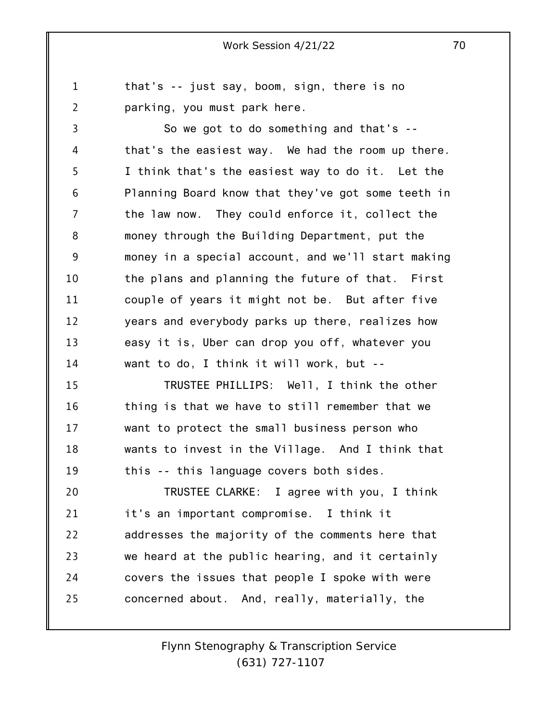1 2 that's -- just say, boom, sign, there is no parking, you must park here.

3 4 5 6 7 8 9 10 11 12 13 14 So we got to do something and that's - that's the easiest way. We had the room up there. I think that's the easiest way to do it. Let the Planning Board know that they've got some teeth in the law now. They could enforce it, collect the money through the Building Department, put the money in a special account, and we'll start making the plans and planning the future of that. First couple of years it might not be. But after five years and everybody parks up there, realizes how easy it is, Uber can drop you off, whatever you want to do, I think it will work, but --

15 16 17 18 19 TRUSTEE PHILLIPS: Well, I think the other thing is that we have to still remember that we want to protect the small business person who wants to invest in the Village. And I think that this -- this language covers both sides.

20 21 22 23 24 25 TRUSTEE CLARKE: I agree with you, I think it's an important compromise. I think it addresses the majority of the comments here that we heard at the public hearing, and it certainly covers the issues that people I spoke with were concerned about. And, really, materially, the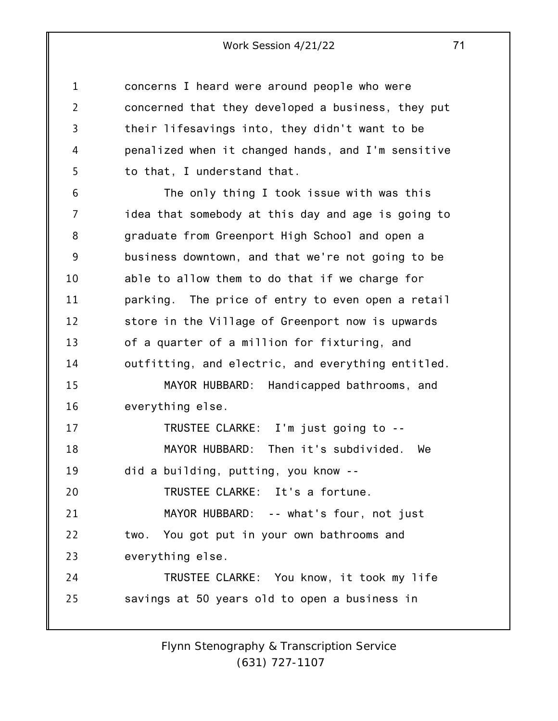1 2 3 4 5 concerns I heard were around people who were concerned that they developed a business, they put their lifesavings into, they didn't want to be penalized when it changed hands, and I'm sensitive to that, I understand that.

6 7 8 9 10 11 12 13 14 15 16 17 18 19 20 21 22 23 24 25 The only thing I took issue with was this idea that somebody at this day and age is going to graduate from Greenport High School and open a business downtown, and that we're not going to be able to allow them to do that if we charge for parking. The price of entry to even open a retail store in the Village of Greenport now is upwards of a quarter of a million for fixturing, and outfitting, and electric, and everything entitled. MAYOR HUBBARD: Handicapped bathrooms, and everything else. TRUSTEE CLARKE: I'm just going to -- MAYOR HUBBARD: Then it's subdivided. We did a building, putting, you know -- TRUSTEE CLARKE: It's a fortune. MAYOR HUBBARD: -- what's four, not just two. You got put in your own bathrooms and everything else. TRUSTEE CLARKE: You know, it took my life savings at 50 years old to open a business in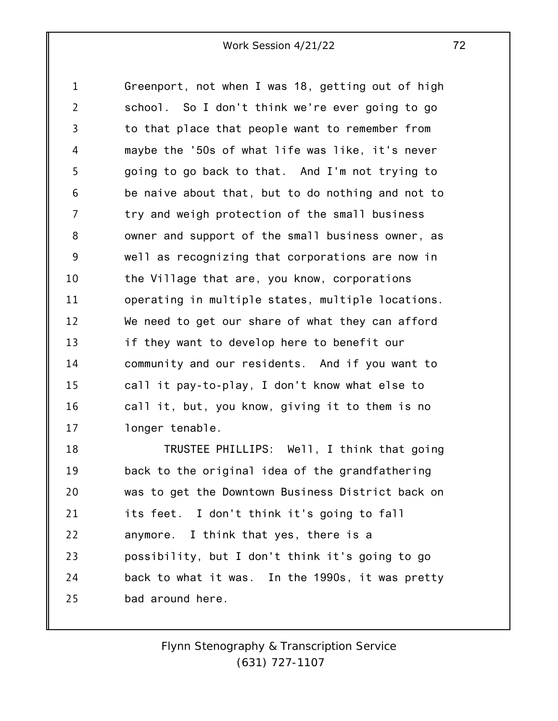1 2 3 4 5 6 7 8 9 10 11 12 13 14 15 16 17 Greenport, not when I was 18, getting out of high school. So I don't think we're ever going to go to that place that people want to remember from maybe the '50s of what life was like, it's never going to go back to that. And I'm not trying to be naive about that, but to do nothing and not to try and weigh protection of the small business owner and support of the small business owner, as well as recognizing that corporations are now in the Village that are, you know, corporations operating in multiple states, multiple locations. We need to get our share of what they can afford if they want to develop here to benefit our community and our residents. And if you want to call it pay-to-play, I don't know what else to call it, but, you know, giving it to them is no longer tenable.

18 19 20 21 22 23 24 25 TRUSTEE PHILLIPS: Well, I think that going back to the original idea of the grandfathering was to get the Downtown Business District back on its feet. I don't think it's going to fall anymore. I think that yes, there is a possibility, but I don't think it's going to go back to what it was. In the 1990s, it was pretty bad around here.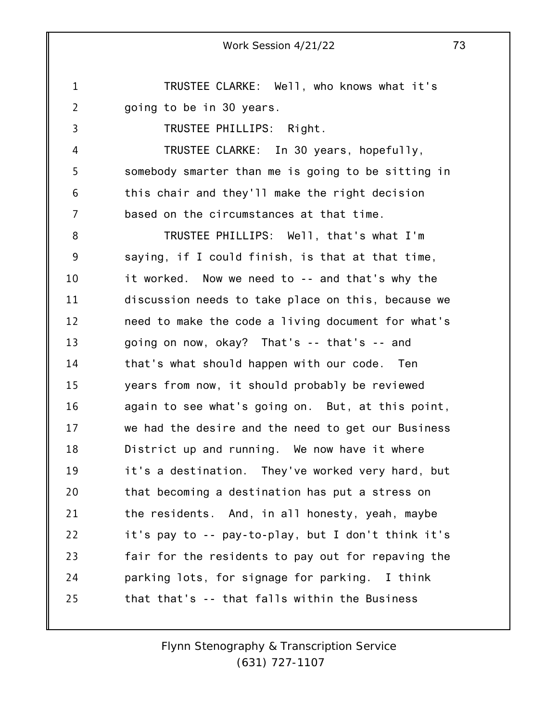1 2 TRUSTEE CLARKE: Well, who knows what it's going to be in 30 years.

3

4

5

6

7

TRUSTEE PHILLIPS: Right.

TRUSTEE CLARKE: In 30 years, hopefully, somebody smarter than me is going to be sitting in this chair and they'll make the right decision based on the circumstances at that time.

8 9 10 11 12 13 14 15 16 17 18 19 20 21 22 23 24 25 TRUSTEE PHILLIPS: Well, that's what I'm saying, if I could finish, is that at that time, it worked. Now we need to -- and that's why the discussion needs to take place on this, because we need to make the code a living document for what's going on now, okay? That's -- that's -- and that's what should happen with our code. Ten years from now, it should probably be reviewed again to see what's going on. But, at this point, we had the desire and the need to get our Business District up and running. We now have it where it's a destination. They've worked very hard, but that becoming a destination has put a stress on the residents. And, in all honesty, yeah, maybe it's pay to -- pay-to-play, but I don't think it's fair for the residents to pay out for repaving the parking lots, for signage for parking. I think that that's -- that falls within the Business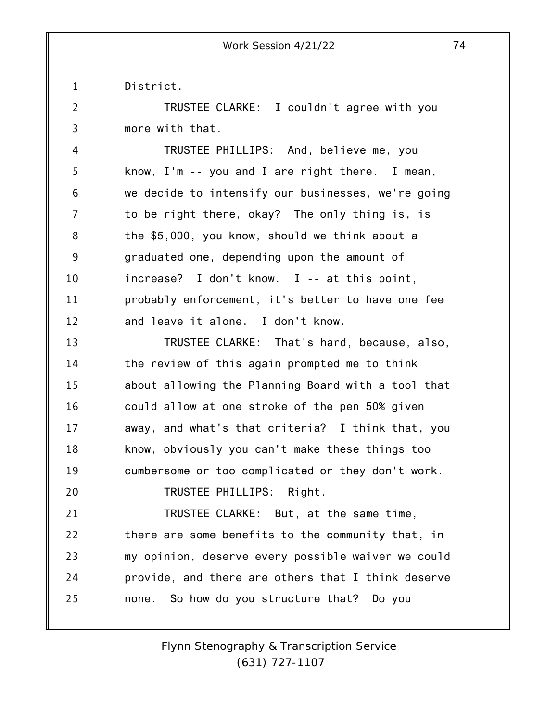1 District.

2

20

3 TRUSTEE CLARKE: I couldn't agree with you more with that.

4 5 6 7 8 9 10 11 12 TRUSTEE PHILLIPS: And, believe me, you know, I'm -- you and I are right there. I mean, we decide to intensify our businesses, we're going to be right there, okay? The only thing is, is the \$5,000, you know, should we think about a graduated one, depending upon the amount of increase? I don't know. I -- at this point, probably enforcement, it's better to have one fee and leave it alone. I don't know.

13 14 15 16 17 18 19 TRUSTEE CLARKE: That's hard, because, also, the review of this again prompted me to think about allowing the Planning Board with a tool that could allow at one stroke of the pen 50% given away, and what's that criteria? I think that, you know, obviously you can't make these things too cumbersome or too complicated or they don't work.

TRUSTEE PHILLIPS: Right.

21 22 23 24 25 TRUSTEE CLARKE: But, at the same time, there are some benefits to the community that, in my opinion, deserve every possible waiver we could provide, and there are others that I think deserve none. So how do you structure that? Do you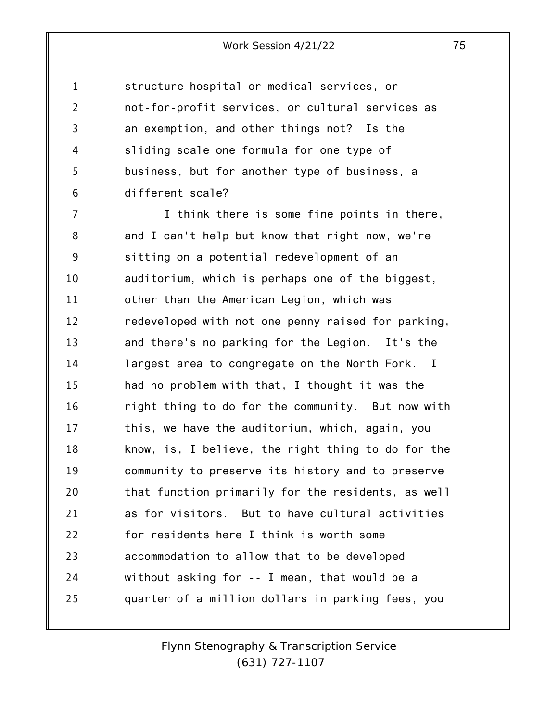1 2 3 4 5 6 structure hospital or medical services, or not-for-profit services, or cultural services as an exemption, and other things not? Is the sliding scale one formula for one type of business, but for another type of business, a different scale?

7 8 9 10 11 12 13 14 15 16 17 18 19 20 21 22 23 24 25 I think there is some fine points in there, and I can't help but know that right now, we're sitting on a potential redevelopment of an auditorium, which is perhaps one of the biggest, other than the American Legion, which was redeveloped with not one penny raised for parking, and there's no parking for the Legion. It's the largest area to congregate on the North Fork. I had no problem with that, I thought it was the right thing to do for the community. But now with this, we have the auditorium, which, again, you know, is, I believe, the right thing to do for the community to preserve its history and to preserve that function primarily for the residents, as well as for visitors. But to have cultural activities for residents here I think is worth some accommodation to allow that to be developed without asking for -- I mean, that would be a quarter of a million dollars in parking fees, you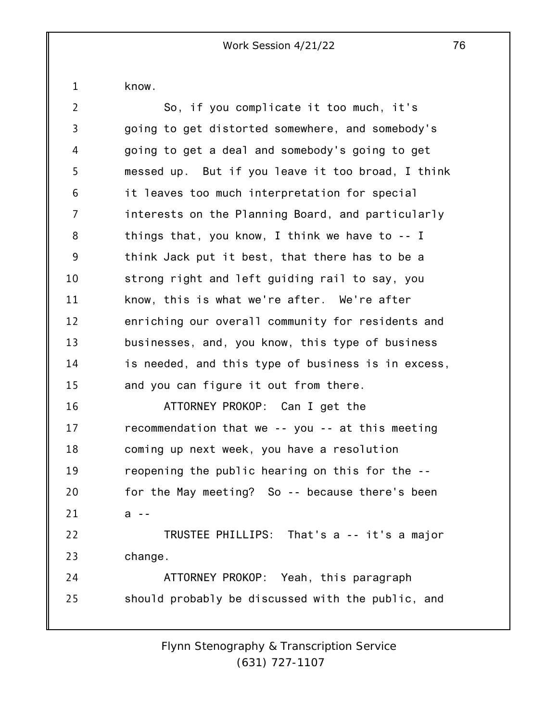know.

1

| $\overline{2}$ | So, if you complicate it too much, it's            |
|----------------|----------------------------------------------------|
| 3              | going to get distorted somewhere, and somebody's   |
| 4              | going to get a deal and somebody's going to get    |
| 5              | messed up. But if you leave it too broad, I think  |
| 6              | it leaves too much interpretation for special      |
| 7              | interests on the Planning Board, and particularly  |
| 8              | things that, you know, I think we have to $-1$     |
| 9              | think Jack put it best, that there has to be a     |
| 10             | strong right and left guiding rail to say, you     |
| 11             | know, this is what we're after. We're after        |
| 12             | enriching our overall community for residents and  |
| 13             | businesses, and, you know, this type of business   |
| 14             | is needed, and this type of business is in excess, |
| 15             | and you can figure it out from there.              |
| 16             | ATTORNEY PROKOP: Can I get the                     |
| 17             | recommendation that we -- you -- at this meeting   |
| 18             | coming up next week, you have a resolution         |
| 19             | reopening the public hearing on this for the --    |
| 20             | for the May meeting? So -- because there's been    |
| 21             | а                                                  |
| 22             | TRUSTEE PHILLIPS: That's a -- it's a major         |
| 23             | change.                                            |
| 24             | ATTORNEY PROKOP: Yeah, this paragraph              |
| 25             | should probably be discussed with the public, and  |
|                |                                                    |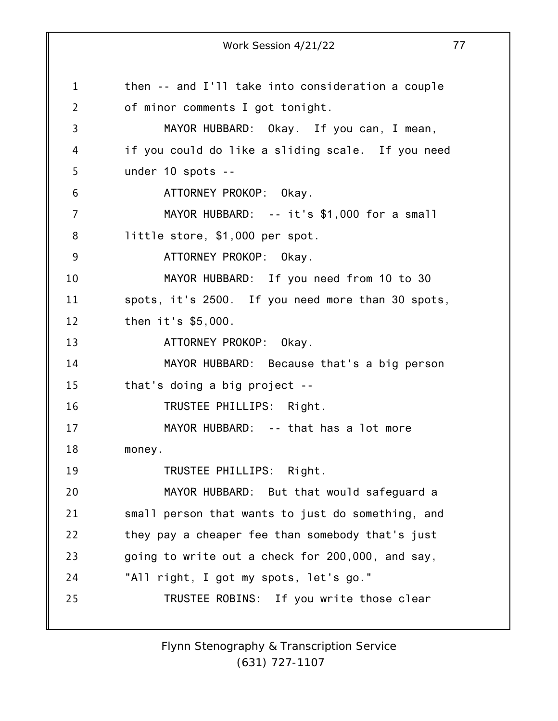1 2 3 4 5 6 7 8 9 10 11 12 13 14 15 16 17 18 19 20 21 22 23 24 25 Work Session 4/21/22 77 then -- and I'll take into consideration a couple of minor comments I got tonight. MAYOR HUBBARD: Okay. If you can, I mean, if you could do like a sliding scale. If you need under 10 spots -- ATTORNEY PROKOP: Okay. MAYOR HUBBARD: -- it's \$1,000 for a small little store, \$1,000 per spot. ATTORNEY PROKOP: Okay. MAYOR HUBBARD: If you need from 10 to 30 spots, it's 2500. If you need more than 30 spots, then it's \$5,000. ATTORNEY PROKOP: Okay. MAYOR HUBBARD: Because that's a big person that's doing a big project -- TRUSTEE PHILLIPS: Right. MAYOR HUBBARD: -- that has a lot more money. TRUSTEE PHILLIPS: Right. MAYOR HUBBARD: But that would safeguard a small person that wants to just do something, and they pay a cheaper fee than somebody that's just going to write out a check for 200,000, and say, "All right, I got my spots, let's go." TRUSTEE ROBINS: If you write those clear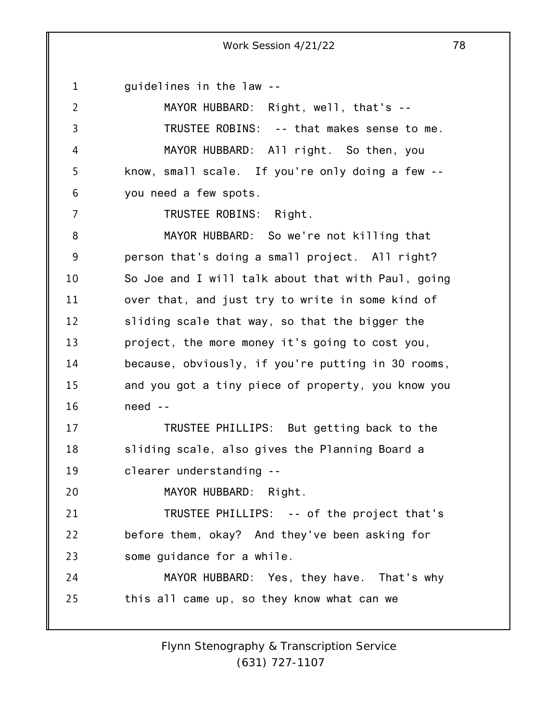1 guidelines in the law --

7

2 3 4 5 6 MAYOR HUBBARD: Right, well, that's -- TRUSTEE ROBINS: -- that makes sense to me. MAYOR HUBBARD: All right. So then, you know, small scale. If you're only doing a few - you need a few spots.

TRUSTEE ROBINS: Right.

8 9 10 11 12 13 14 15 16 MAYOR HUBBARD: So we're not killing that person that's doing a small project. All right? So Joe and I will talk about that with Paul, going over that, and just try to write in some kind of sliding scale that way, so that the bigger the project, the more money it's going to cost you, because, obviously, if you're putting in 30 rooms, and you got a tiny piece of property, you know you need --

17 18 19 TRUSTEE PHILLIPS: But getting back to the sliding scale, also gives the Planning Board a clearer understanding --

20 MAYOR HUBBARD: Right.

21 22 23 TRUSTEE PHILLIPS: -- of the project that's before them, okay? And they've been asking for some guidance for a while.

24 25 MAYOR HUBBARD: Yes, they have. That's why this all came up, so they know what can we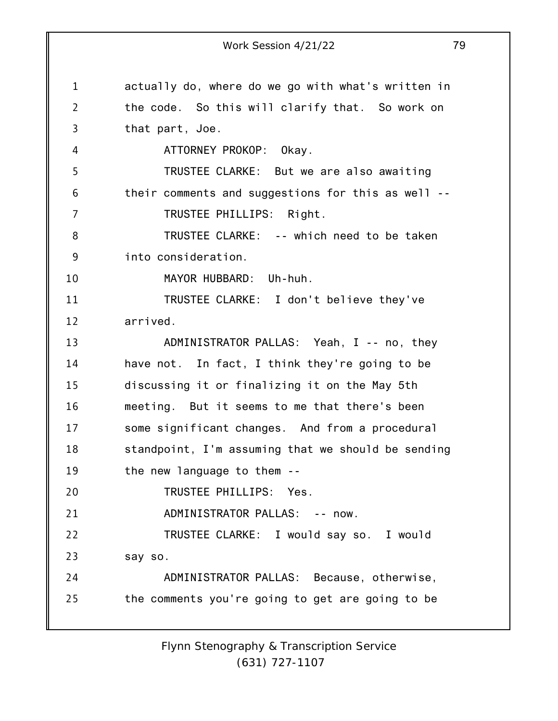1 2 3 4 5 6 7 8 9 10 11 12 13 14 15 16 17 18 19 20 21 22 23 24 25 Work Session 4/21/22 79 actually do, where do we go with what's written in the code. So this will clarify that. So work on that part, Joe. ATTORNEY PROKOP: Okay. TRUSTEE CLARKE: But we are also awaiting their comments and suggestions for this as well -- TRUSTEE PHILLIPS: Right. TRUSTEE CLARKE: -- which need to be taken into consideration. MAYOR HUBBARD: Uh-huh. TRUSTEE CLARKE: I don't believe they've arrived. ADMINISTRATOR PALLAS: Yeah, I -- no, they have not. In fact, I think they're going to be discussing it or finalizing it on the May 5th meeting. But it seems to me that there's been some significant changes. And from a procedural standpoint, I'm assuming that we should be sending the new language to them -- TRUSTEE PHILLIPS: Yes. ADMINISTRATOR PALLAS: -- now. TRUSTEE CLARKE: I would say so. I would say so. ADMINISTRATOR PALLAS: Because, otherwise, the comments you're going to get are going to be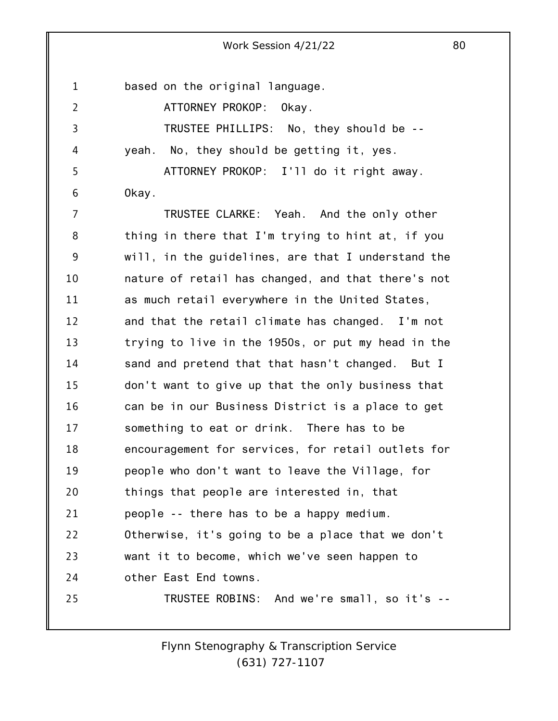1 2 3 4 5 6 7 8 9 10 11 12 13 14 15 16 17 18 19 20 21 22 23 24 25 based on the original language. ATTORNEY PROKOP: Okay. TRUSTEE PHILLIPS: No, they should be - yeah. No, they should be getting it, yes. ATTORNEY PROKOP: I'll do it right away. Okay. TRUSTEE CLARKE: Yeah. And the only other thing in there that I'm trying to hint at, if you will, in the guidelines, are that I understand the nature of retail has changed, and that there's not as much retail everywhere in the United States, and that the retail climate has changed. I'm not trying to live in the 1950s, or put my head in the sand and pretend that that hasn't changed. But I don't want to give up that the only business that can be in our Business District is a place to get something to eat or drink. There has to be encouragement for services, for retail outlets for people who don't want to leave the Village, for things that people are interested in, that people -- there has to be a happy medium. Otherwise, it's going to be a place that we don't want it to become, which we've seen happen to other East End towns. TRUSTEE ROBINS: And we're small, so it's --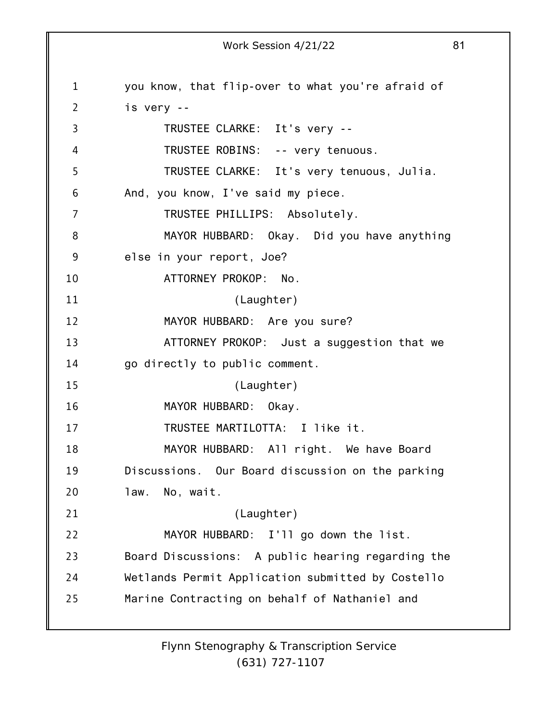1 2 3 4 5 6 7 8 9 10 11 12 13 14 15 16 17 18 19 20 21 22 23 24 25 Work Session 4/21/22 81 you know, that flip-over to what you're afraid of is very -- TRUSTEE CLARKE: It's very -- TRUSTEE ROBINS: -- very tenuous. TRUSTEE CLARKE: It's very tenuous, Julia. And, you know, I've said my piece. TRUSTEE PHILLIPS: Absolutely. MAYOR HUBBARD: Okay. Did you have anything else in your report, Joe? ATTORNEY PROKOP: No. (Laughter) MAYOR HUBBARD: Are you sure? ATTORNEY PROKOP: Just a suggestion that we go directly to public comment. (Laughter) MAYOR HUBBARD: Okay. TRUSTEE MARTILOTTA: I like it. MAYOR HUBBARD: All right. We have Board Discussions. Our Board discussion on the parking law. No, wait. (Laughter) MAYOR HUBBARD: I'll go down the list. Board Discussions: A public hearing regarding the Wetlands Permit Application submitted by Costello Marine Contracting on behalf of Nathaniel and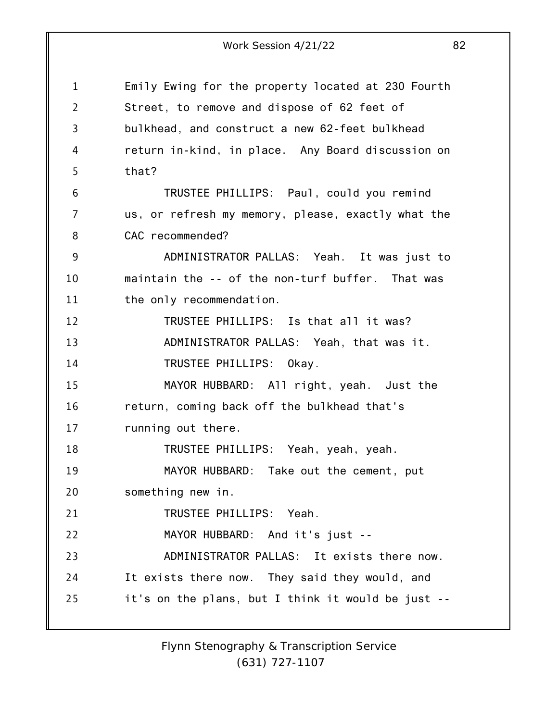1 2 3 4 5 6 7 8 9 10 11 12 13 14 15 16 17 18 19 20 21 22 23 24 25 Emily Ewing for the property located at 230 Fourth Street, to remove and dispose of 62 feet of bulkhead, and construct a new 62-feet bulkhead return in-kind, in place. Any Board discussion on that? TRUSTEE PHILLIPS: Paul, could you remind us, or refresh my memory, please, exactly what the CAC recommended? ADMINISTRATOR PALLAS: Yeah. It was just to maintain the -- of the non-turf buffer. That was the only recommendation. TRUSTEE PHILLIPS: Is that all it was? ADMINISTRATOR PALLAS: Yeah, that was it. TRUSTEE PHILLIPS: Okay. MAYOR HUBBARD: All right, yeah. Just the return, coming back off the bulkhead that's running out there. TRUSTEE PHILLIPS: Yeah, yeah, yeah. MAYOR HUBBARD: Take out the cement, put something new in. TRUSTEE PHILLIPS: Yeah. MAYOR HUBBARD: And it's just -- ADMINISTRATOR PALLAS: It exists there now. It exists there now. They said they would, and it's on the plans, but I think it would be just --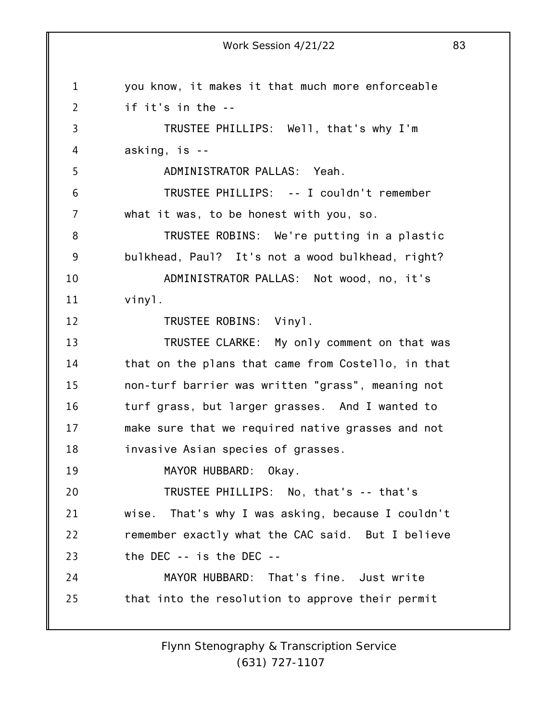4 5 asking, is --

if it's in the --

ADMINISTRATOR PALLAS: Yeah.

6 7 TRUSTEE PHILLIPS: -- I couldn't remember what it was, to be honest with you, so.

8 9 10 TRUSTEE ROBINS: We're putting in a plastic bulkhead, Paul? It's not a wood bulkhead, right? ADMINISTRATOR PALLAS: Not wood, no, it's

vinyl.

1

2

3

11

12

TRUSTEE ROBINS: Vinyl.

13 14 15 16 17 18 TRUSTEE CLARKE: My only comment on that was that on the plans that came from Costello, in that non-turf barrier was written "grass", meaning not turf grass, but larger grasses. And I wanted to make sure that we required native grasses and not invasive Asian species of grasses.

19 MAYOR HUBBARD: Okay.

20 21 22 23 TRUSTEE PHILLIPS: No, that's -- that's wise. That's why I was asking, because I couldn't remember exactly what the CAC said. But I believe the DEC -- is the DEC --

24 25 MAYOR HUBBARD: That's fine. Just write that into the resolution to approve their permit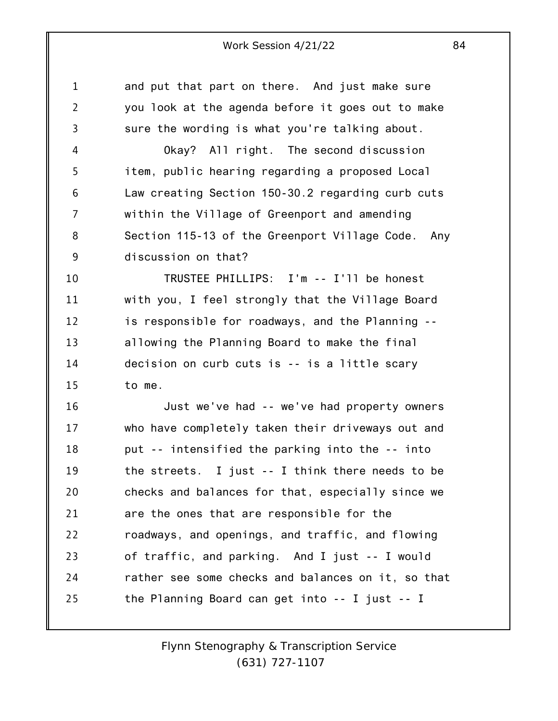1 2 3 4 5 6 7 8 9 10 11 12 13 14 15 16 17 18 19 20 21 22 23 24 25 and put that part on there. And just make sure you look at the agenda before it goes out to make sure the wording is what you're talking about. Okay? All right. The second discussion item, public hearing regarding a proposed Local Law creating Section 150-30.2 regarding curb cuts within the Village of Greenport and amending Section 115-13 of the Greenport Village Code. Any discussion on that? TRUSTEE PHILLIPS: I'm -- I'll be honest with you, I feel strongly that the Village Board is responsible for roadways, and the Planning - allowing the Planning Board to make the final decision on curb cuts is -- is a little scary to me. Just we've had -- we've had property owners who have completely taken their driveways out and put -- intensified the parking into the -- into the streets. I just -- I think there needs to be checks and balances for that, especially since we are the ones that are responsible for the roadways, and openings, and traffic, and flowing of traffic, and parking. And I just -- I would rather see some checks and balances on it, so that the Planning Board can get into -- I just -- I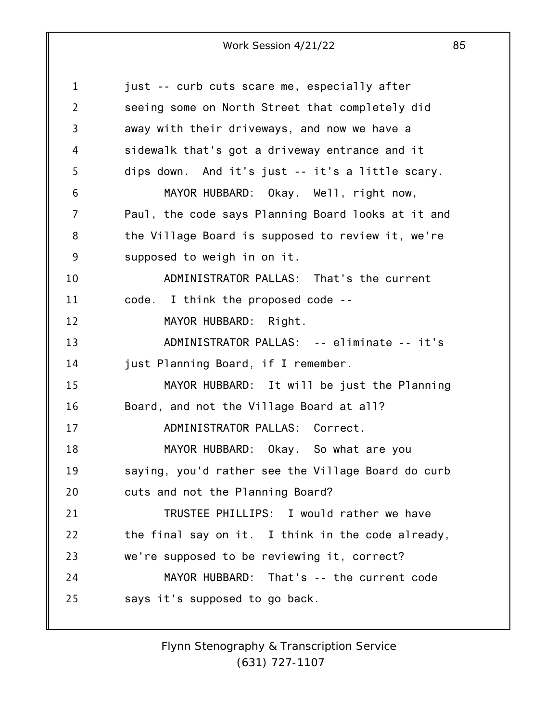1 2 3 4 5 6 7 8 9 10 11 12 13 14 15 16 17 18 19 20 21 22 23 24 25 just -- curb cuts scare me, especially after seeing some on North Street that completely did away with their driveways, and now we have a sidewalk that's got a driveway entrance and it dips down. And it's just -- it's a little scary. MAYOR HUBBARD: Okay. Well, right now, Paul, the code says Planning Board looks at it and the Village Board is supposed to review it, we're supposed to weigh in on it. ADMINISTRATOR PALLAS: That's the current code. I think the proposed code -- MAYOR HUBBARD: Right. ADMINISTRATOR PALLAS: -- eliminate -- it's just Planning Board, if I remember. MAYOR HUBBARD: It will be just the Planning Board, and not the Village Board at all? ADMINISTRATOR PALLAS: Correct. MAYOR HUBBARD: Okay. So what are you saying, you'd rather see the Village Board do curb cuts and not the Planning Board? TRUSTEE PHILLIPS: I would rather we have the final say on it. I think in the code already, we're supposed to be reviewing it, correct? MAYOR HUBBARD: That's -- the current code says it's supposed to go back.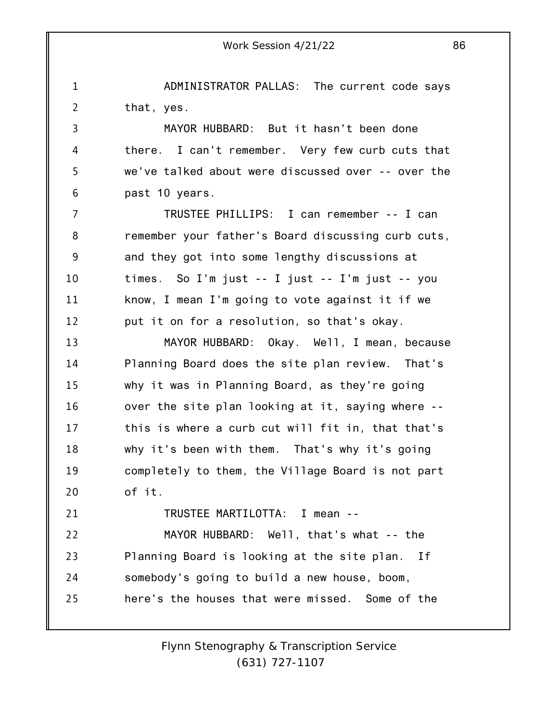1 2 3 4 5 6 7 8 9 10 11 12 13 14 15 16 17 18 19 20 21 22 23 24 25 ADMINISTRATOR PALLAS: The current code says that, yes. MAYOR HUBBARD: But it hasn't been done there. I can't remember. Very few curb cuts that we've talked about were discussed over -- over the past 10 years. TRUSTEE PHILLIPS: I can remember -- I can remember your father's Board discussing curb cuts, and they got into some lengthy discussions at times. So I'm just -- I just -- I'm just -- you know, I mean I'm going to vote against it if we put it on for a resolution, so that's okay. MAYOR HUBBARD: Okay. Well, I mean, because Planning Board does the site plan review. That's why it was in Planning Board, as they're going over the site plan looking at it, saying where - this is where a curb cut will fit in, that that's why it's been with them. That's why it's going completely to them, the Village Board is not part of it. TRUSTEE MARTILOTTA: I mean -- MAYOR HUBBARD: Well, that's what -- the Planning Board is looking at the site plan. If somebody's going to build a new house, boom, here's the houses that were missed. Some of the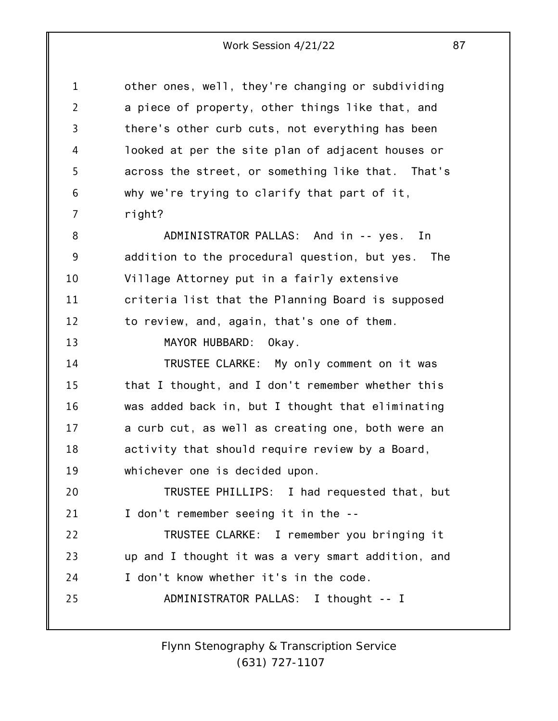1 2 3 4 5 6 7 8 9 10 11 12 13 14 15 16 17 18 19 20 21 22 23 24 25 other ones, well, they're changing or subdividing a piece of property, other things like that, and there's other curb cuts, not everything has been looked at per the site plan of adjacent houses or across the street, or something like that. That's why we're trying to clarify that part of it, right? ADMINISTRATOR PALLAS: And in -- yes. In addition to the procedural question, but yes. The Village Attorney put in a fairly extensive criteria list that the Planning Board is supposed to review, and, again, that's one of them. MAYOR HUBBARD: Okay. TRUSTEE CLARKE: My only comment on it was that I thought, and I don't remember whether this was added back in, but I thought that eliminating a curb cut, as well as creating one, both were an activity that should require review by a Board, whichever one is decided upon. TRUSTEE PHILLIPS: I had requested that, but I don't remember seeing it in the -- TRUSTEE CLARKE: I remember you bringing it up and I thought it was a very smart addition, and I don't know whether it's in the code. ADMINISTRATOR PALLAS: I thought -- I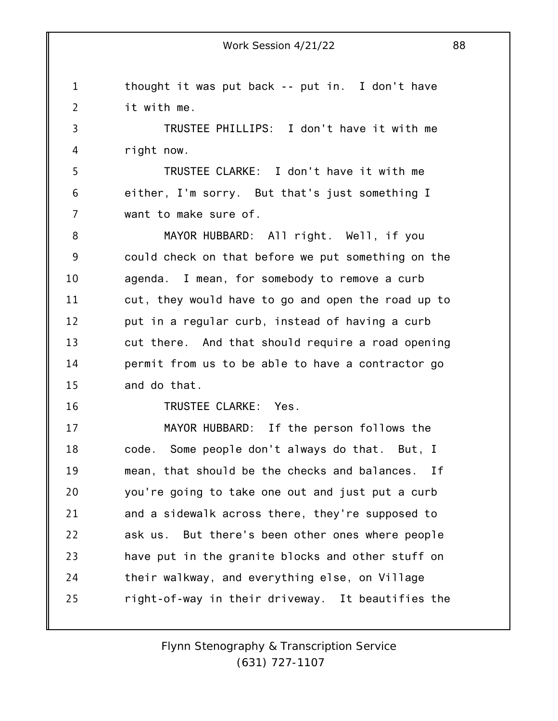1 2 thought it was put back -- put in. I don't have it with me.

3 4 TRUSTEE PHILLIPS: I don't have it with me right now.

5 6 7 TRUSTEE CLARKE: I don't have it with me either, I'm sorry. But that's just something I want to make sure of.

8 9 10 11 12 13 14 15 MAYOR HUBBARD: All right. Well, if you could check on that before we put something on the agenda. I mean, for somebody to remove a curb cut, they would have to go and open the road up to put in a regular curb, instead of having a curb cut there. And that should require a road opening permit from us to be able to have a contractor go and do that.

16

TRUSTEE CLARKE: Yes.

17 18 19 20 21 22 23 24 25 MAYOR HUBBARD: If the person follows the code. Some people don't always do that. But, I mean, that should be the checks and balances. If you're going to take one out and just put a curb and a sidewalk across there, they're supposed to ask us. But there's been other ones where people have put in the granite blocks and other stuff on their walkway, and everything else, on Village right-of-way in their driveway. It beautifies the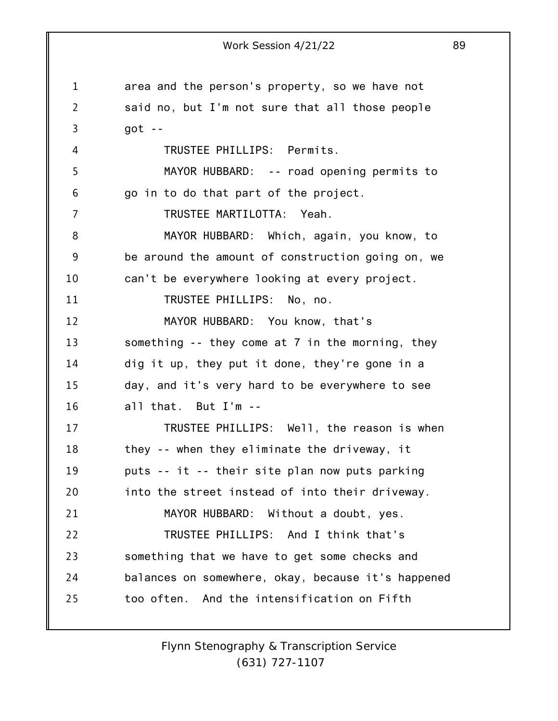1 2 3 4 5 6 7 8 9 10 11 12 13 14 15 16 17 18 19 20 21 22 23 24 25 Work Session 4/21/22 89 area and the person's property, so we have not said no, but I'm not sure that all those people got -- TRUSTEE PHILLIPS: Permits. MAYOR HUBBARD: -- road opening permits to go in to do that part of the project. TRUSTEE MARTILOTTA: Yeah. MAYOR HUBBARD: Which, again, you know, to be around the amount of construction going on, we can't be everywhere looking at every project. TRUSTEE PHILLIPS: No, no. MAYOR HUBBARD: You know, that's something -- they come at 7 in the morning, they dig it up, they put it done, they're gone in a day, and it's very hard to be everywhere to see all that. But I'm -- TRUSTEE PHILLIPS: Well, the reason is when they -- when they eliminate the driveway, it puts -- it -- their site plan now puts parking into the street instead of into their driveway. MAYOR HUBBARD: Without a doubt, yes. TRUSTEE PHILLIPS: And I think that's something that we have to get some checks and balances on somewhere, okay, because it's happened too often. And the intensification on Fifth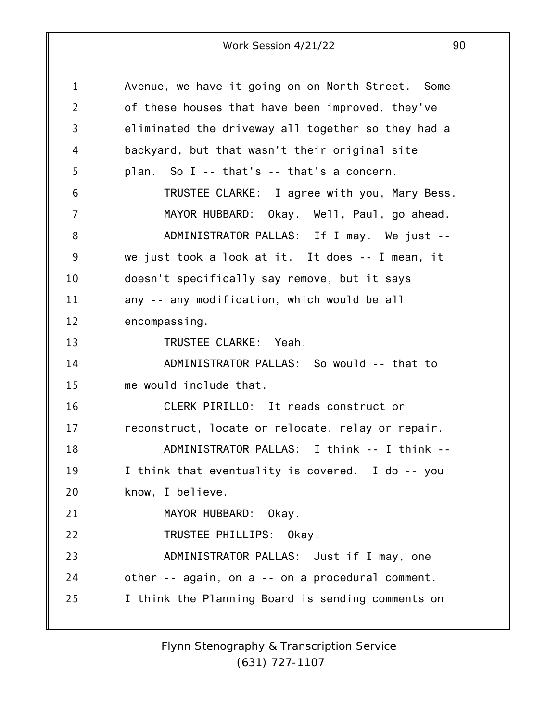1 2 3 4 5 6 7 8 9 10 11 12 13 14 15 16 17 18 19 20 21 22 23 24 25 Avenue, we have it going on on North Street. Some of these houses that have been improved, they've eliminated the driveway all together so they had a backyard, but that wasn't their original site plan. So I -- that's -- that's a concern. TRUSTEE CLARKE: I agree with you, Mary Bess. MAYOR HUBBARD: Okay. Well, Paul, go ahead. ADMINISTRATOR PALLAS: If I may. We just - we just took a look at it. It does -- I mean, it doesn't specifically say remove, but it says any -- any modification, which would be all encompassing. TRUSTEE CLARKE: Yeah. ADMINISTRATOR PALLAS: So would -- that to me would include that. CLERK PIRILLO: It reads construct or reconstruct, locate or relocate, relay or repair. ADMINISTRATOR PALLAS: I think -- I think -- I think that eventuality is covered. I do -- you know, I believe. MAYOR HUBBARD: Okay. TRUSTEE PHILLIPS: Okay. ADMINISTRATOR PALLAS: Just if I may, one other -- again, on a -- on a procedural comment. I think the Planning Board is sending comments on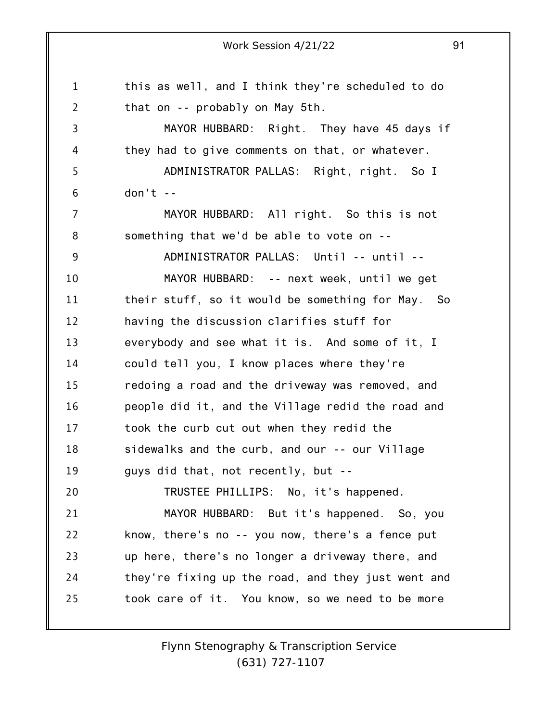1 2 3 4 5 6 7 8 9 10 11 12 13 14 15 16 17 18 19 20 21 22 23 24 25 Work Session 4/21/22 91 this as well, and I think they're scheduled to do that on -- probably on May 5th. MAYOR HUBBARD: Right. They have 45 days if they had to give comments on that, or whatever. ADMINISTRATOR PALLAS: Right, right. So I  $don't - -$ MAYOR HUBBARD: All right. So this is not something that we'd be able to vote on -- ADMINISTRATOR PALLAS: Until -- until -- MAYOR HUBBARD: -- next week, until we get their stuff, so it would be something for May. So having the discussion clarifies stuff for everybody and see what it is. And some of it, I could tell you, I know places where they're redoing a road and the driveway was removed, and people did it, and the Village redid the road and took the curb cut out when they redid the sidewalks and the curb, and our -- our Village guys did that, not recently, but -- TRUSTEE PHILLIPS: No, it's happened. MAYOR HUBBARD: But it's happened. So, you know, there's no -- you now, there's a fence put up here, there's no longer a driveway there, and they're fixing up the road, and they just went and took care of it. You know, so we need to be more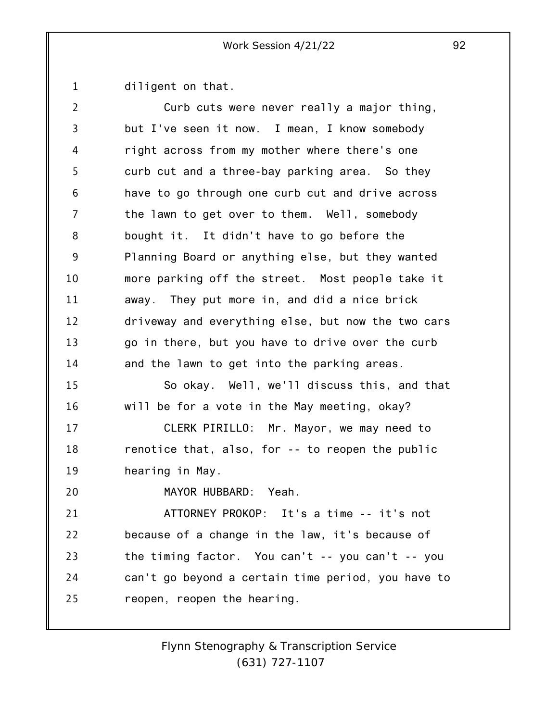1 diligent on that.

| 2  | Curb cuts were never really a major thing,         |
|----|----------------------------------------------------|
| 3  | but I've seen it now. I mean, I know somebody      |
| 4  | right across from my mother where there's one      |
| 5  | curb cut and a three-bay parking area. So they     |
| 6  | have to go through one curb cut and drive across   |
| 7  | the lawn to get over to them. Well, somebody       |
| 8  | bought it. It didn't have to go before the         |
| 9  | Planning Board or anything else, but they wanted   |
| 10 | more parking off the street. Most people take it   |
| 11 | away. They put more in, and did a nice brick       |
| 12 | driveway and everything else, but now the two cars |
| 13 | go in there, but you have to drive over the curb   |
| 14 | and the lawn to get into the parking areas.        |
| 15 | So okay. Well, we'll discuss this, and that        |
| 16 | will be for a vote in the May meeting, okay?       |
| 17 | CLERK PIRILLO: Mr. Mayor, we may need to           |
| 18 | renotice that, also, for -- to reopen the public   |
| 19 | hearing in May.                                    |
| 20 | MAYOR HUBBARD:<br>Yeah.                            |
| 21 | ATTORNEY PROKOP: It's a time -- it's not           |
| 22 | because of a change in the law, it's because of    |
| 23 | the timing factor. You can't -- you can't -- you   |
| 24 | can't go beyond a certain time period, you have to |
| 25 | reopen, reopen the hearing.                        |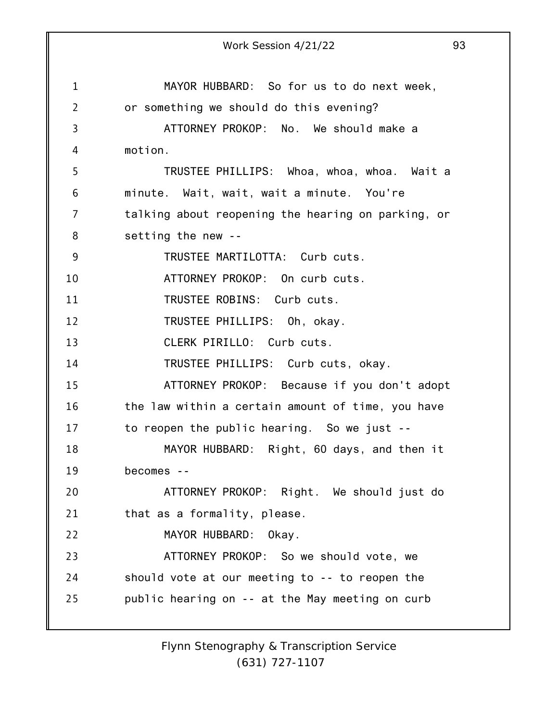1 2 3 4 5 6 7 8 9 10 11 12 13 14 15 16 17 18 19 20 21 22 23 24 25 Work Session 4/21/22 93 MAYOR HUBBARD: So for us to do next week, or something we should do this evening? ATTORNEY PROKOP: No. We should make a motion. TRUSTEE PHILLIPS: Whoa, whoa, whoa. Wait a minute. Wait, wait, wait a minute. You're talking about reopening the hearing on parking, or setting the new -- TRUSTEE MARTILOTTA: Curb cuts. ATTORNEY PROKOP: On curb cuts. TRUSTEE ROBINS: Curb cuts. TRUSTEE PHILLIPS: Oh, okay. CLERK PIRILLO: Curb cuts. TRUSTEE PHILLIPS: Curb cuts, okay. ATTORNEY PROKOP: Because if you don't adopt the law within a certain amount of time, you have to reopen the public hearing. So we just -- MAYOR HUBBARD: Right, 60 days, and then it becomes -- ATTORNEY PROKOP: Right. We should just do that as a formality, please. MAYOR HUBBARD: Okay. ATTORNEY PROKOP: So we should vote, we should vote at our meeting to -- to reopen the public hearing on -- at the May meeting on curb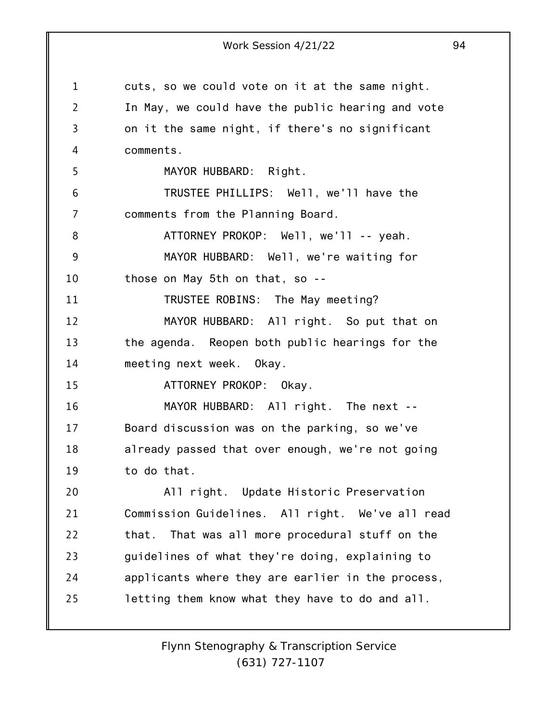1 2 3 4 5 6 7 8 9 10 11 12 13 14 15 16 17 18 19 20 21 22 23 24 25 Work Session 4/21/22 94 cuts, so we could vote on it at the same night. In May, we could have the public hearing and vote on it the same night, if there's no significant comments. MAYOR HUBBARD: Right. TRUSTEE PHILLIPS: Well, we'll have the comments from the Planning Board. ATTORNEY PROKOP: Well, we'll -- yeah. MAYOR HUBBARD: Well, we're waiting for those on May 5th on that, so -- TRUSTEE ROBINS: The May meeting? MAYOR HUBBARD: All right. So put that on the agenda. Reopen both public hearings for the meeting next week. Okay. ATTORNEY PROKOP: Okay. MAYOR HUBBARD: All right. The next -- Board discussion was on the parking, so we've already passed that over enough, we're not going to do that. All right. Update Historic Preservation Commission Guidelines. All right. We've all read that. That was all more procedural stuff on the guidelines of what they're doing, explaining to applicants where they are earlier in the process, letting them know what they have to do and all.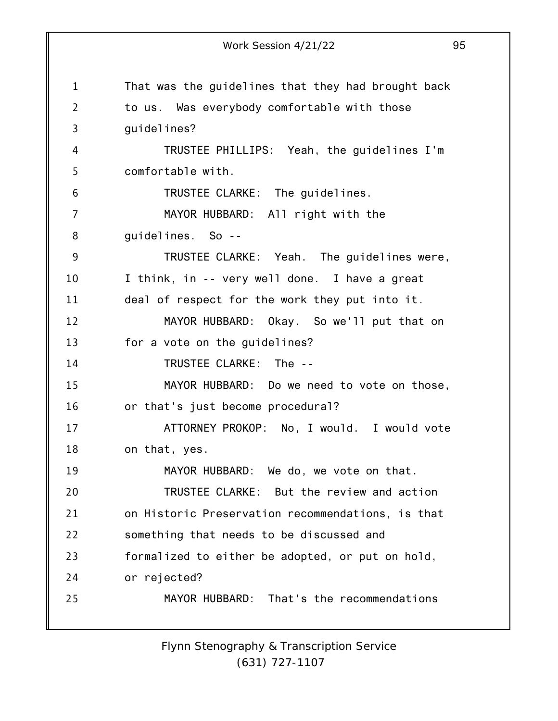1 2 3 4 5 6 7 8 9 10 11 12 13 14 15 16 17 18 19 20 21 22 23 24 25 Work Session 4/21/22 95 That was the guidelines that they had brought back to us. Was everybody comfortable with those guidelines? TRUSTEE PHILLIPS: Yeah, the guidelines I'm comfortable with. TRUSTEE CLARKE: The guidelines. MAYOR HUBBARD: All right with the guidelines. So -- TRUSTEE CLARKE: Yeah. The guidelines were, I think, in -- very well done. I have a great deal of respect for the work they put into it. MAYOR HUBBARD: Okay. So we'll put that on for a vote on the guidelines? TRUSTEE CLARKE: The -- MAYOR HUBBARD: Do we need to vote on those, or that's just become procedural? ATTORNEY PROKOP: No, I would. I would vote on that, yes. MAYOR HUBBARD: We do, we vote on that. TRUSTEE CLARKE: But the review and action on Historic Preservation recommendations, is that something that needs to be discussed and formalized to either be adopted, or put on hold, or rejected? MAYOR HUBBARD: That's the recommendations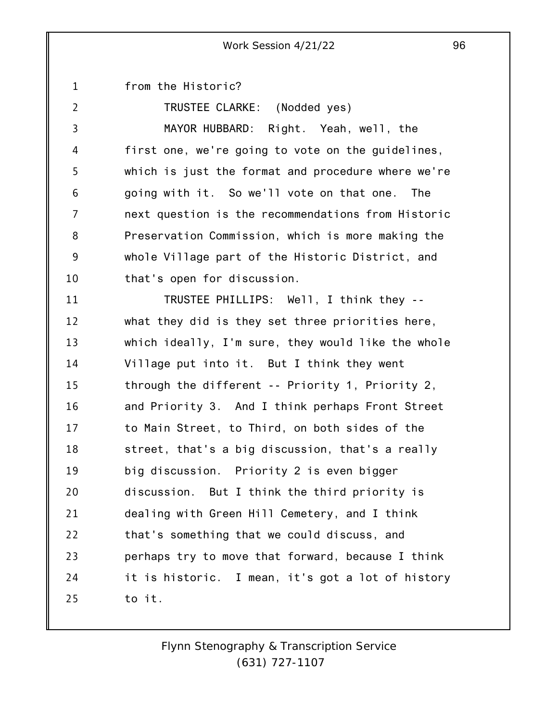1 from the Historic?

2 3 4 5 6 7 8 9 10 TRUSTEE CLARKE: (Nodded yes) MAYOR HUBBARD: Right. Yeah, well, the first one, we're going to vote on the guidelines, which is just the format and procedure where we're going with it. So we'll vote on that one. The next question is the recommendations from Historic Preservation Commission, which is more making the whole Village part of the Historic District, and that's open for discussion.

11 12 13 14 15 16 17 18 19 20 21 22 23 24 25 TRUSTEE PHILLIPS: Well, I think they - what they did is they set three priorities here, which ideally, I'm sure, they would like the whole Village put into it. But I think they went through the different -- Priority 1, Priority 2, and Priority 3. And I think perhaps Front Street to Main Street, to Third, on both sides of the street, that's a big discussion, that's a really big discussion. Priority 2 is even bigger discussion. But I think the third priority is dealing with Green Hill Cemetery, and I think that's something that we could discuss, and perhaps try to move that forward, because I think it is historic. I mean, it's got a lot of history to it.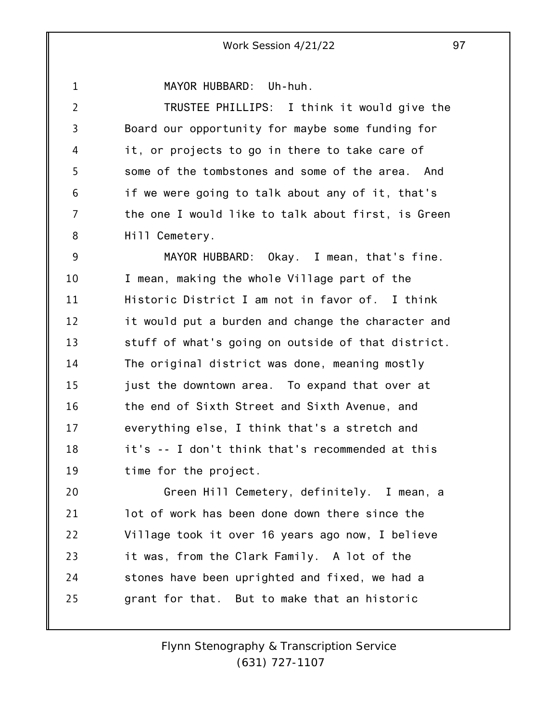1

MAYOR HUBBARD: Uh-huh.

2 3 4 5 6 7 8 TRUSTEE PHILLIPS: I think it would give the Board our opportunity for maybe some funding for it, or projects to go in there to take care of some of the tombstones and some of the area. And if we were going to talk about any of it, that's the one I would like to talk about first, is Green Hill Cemetery.

9 10 11 12 13 14 15 16 17 18 19 MAYOR HUBBARD: Okay. I mean, that's fine. I mean, making the whole Village part of the Historic District I am not in favor of. I think it would put a burden and change the character and stuff of what's going on outside of that district. The original district was done, meaning mostly just the downtown area. To expand that over at the end of Sixth Street and Sixth Avenue, and everything else, I think that's a stretch and it's -- I don't think that's recommended at this time for the project.

20 21 22 23 24 25 Green Hill Cemetery, definitely. I mean, a lot of work has been done down there since the Village took it over 16 years ago now, I believe it was, from the Clark Family. A lot of the stones have been uprighted and fixed, we had a grant for that. But to make that an historic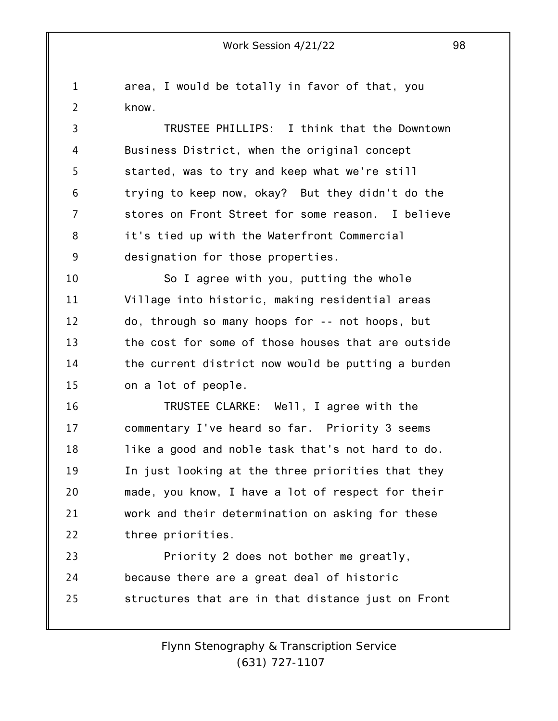1 2 area, I would be totally in favor of that, you know.

3 4 5 6 7 8 9 TRUSTEE PHILLIPS: I think that the Downtown Business District, when the original concept started, was to try and keep what we're still trying to keep now, okay? But they didn't do the stores on Front Street for some reason. I believe it's tied up with the Waterfront Commercial designation for those properties.

10 11 12 13 14 15 So I agree with you, putting the whole Village into historic, making residential areas do, through so many hoops for -- not hoops, but the cost for some of those houses that are outside the current district now would be putting a burden on a lot of people.

16 17 18 19 20 21 22 TRUSTEE CLARKE: Well, I agree with the commentary I've heard so far. Priority 3 seems like a good and noble task that's not hard to do. In just looking at the three priorities that they made, you know, I have a lot of respect for their work and their determination on asking for these three priorities.

23 24 25 Priority 2 does not bother me greatly, because there are a great deal of historic structures that are in that distance just on Front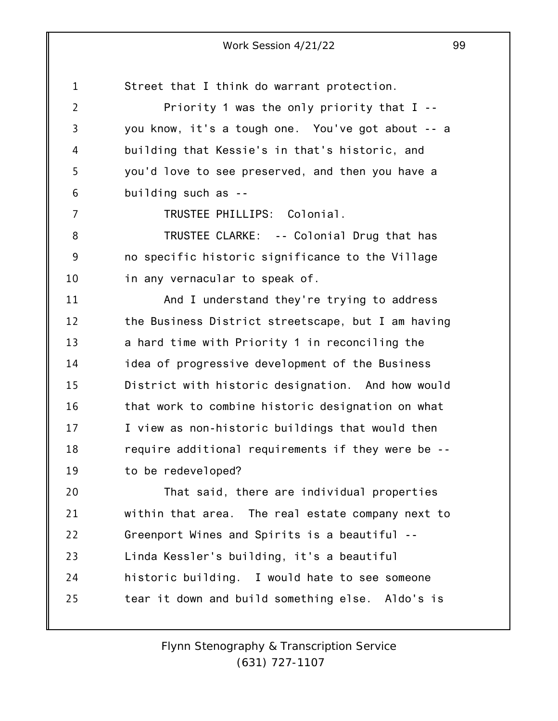1 Street that I think do warrant protection.

2 3 4 5 6 Priority 1 was the only priority that I - you know, it's a tough one. You've got about -- a building that Kessie's in that's historic, and you'd love to see preserved, and then you have a building such as --

7

TRUSTEE PHILLIPS: Colonial.

8 9 10 TRUSTEE CLARKE: -- Colonial Drug that has no specific historic significance to the Village in any vernacular to speak of.

11 12 13 14 15 16 17 18 19 And I understand they're trying to address the Business District streetscape, but I am having a hard time with Priority 1 in reconciling the idea of progressive development of the Business District with historic designation. And how would that work to combine historic designation on what I view as non-historic buildings that would then require additional requirements if they were be - to be redeveloped?

20 21 22 23 24 25 That said, there are individual properties within that area. The real estate company next to Greenport Wines and Spirits is a beautiful -- Linda Kessler's building, it's a beautiful historic building. I would hate to see someone tear it down and build something else. Aldo's is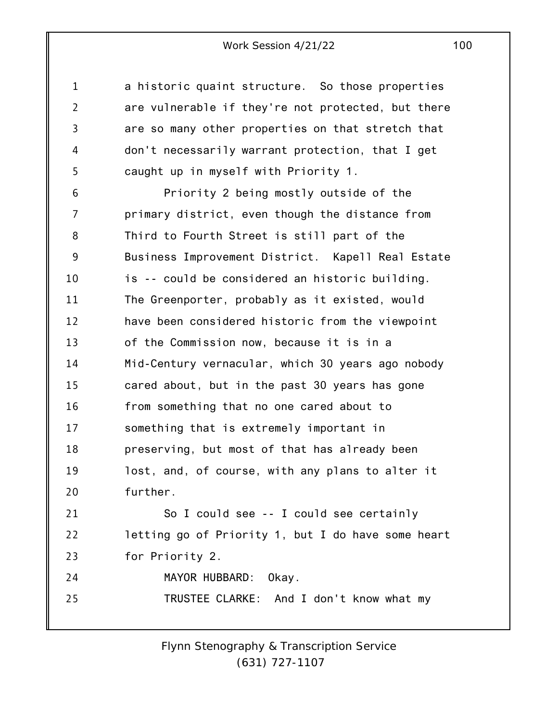a historic quaint structure. So those properties are vulnerable if they're not protected, but there are so many other properties on that stretch that don't necessarily warrant protection, that I get caught up in myself with Priority 1.

1

2

3

4

5

6 7 8 9 10 11 12 13 14 15 16 17 18 19 20 21 22 23 Priority 2 being mostly outside of the primary district, even though the distance from Third to Fourth Street is still part of the Business Improvement District. Kapell Real Estate is -- could be considered an historic building. The Greenporter, probably as it existed, would have been considered historic from the viewpoint of the Commission now, because it is in a Mid-Century vernacular, which 30 years ago nobody cared about, but in the past 30 years has gone from something that no one cared about to something that is extremely important in preserving, but most of that has already been lost, and, of course, with any plans to alter it further. So I could see -- I could see certainly letting go of Priority 1, but I do have some heart for Priority 2.

24 25 MAYOR HUBBARD: Okay. TRUSTEE CLARKE: And I don't know what my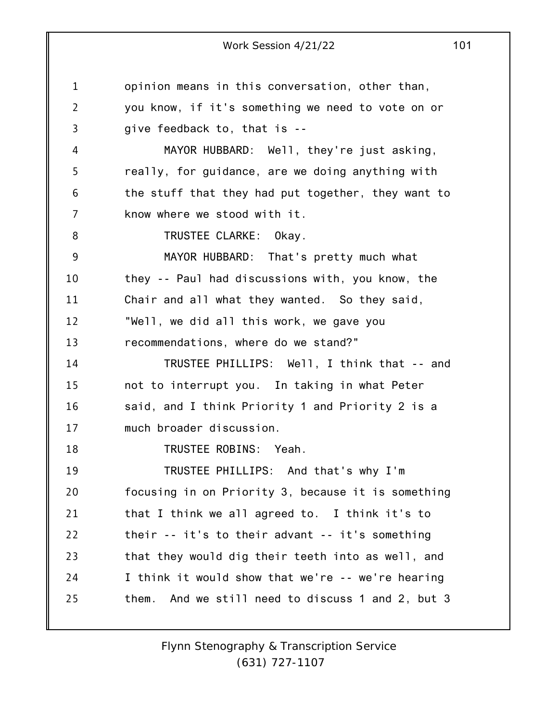1 2 3 4 5 6 7 8 9 10 11 12 13 14 15 16 17 18 19 20 21 22 23 24 25 opinion means in this conversation, other than, you know, if it's something we need to vote on or give feedback to, that is -- MAYOR HUBBARD: Well, they're just asking, really, for guidance, are we doing anything with the stuff that they had put together, they want to know where we stood with it. TRUSTEE CLARKE: Okay. MAYOR HUBBARD: That's pretty much what they -- Paul had discussions with, you know, the Chair and all what they wanted. So they said, "Well, we did all this work, we gave you recommendations, where do we stand?" TRUSTEE PHILLIPS: Well, I think that -- and not to interrupt you. In taking in what Peter said, and I think Priority 1 and Priority 2 is a much broader discussion. TRUSTEE ROBINS: Yeah. TRUSTEE PHILLIPS: And that's why I'm focusing in on Priority 3, because it is something that I think we all agreed to. I think it's to their -- it's to their advant -- it's something that they would dig their teeth into as well, and I think it would show that we're -- we're hearing them. And we still need to discuss 1 and 2, but 3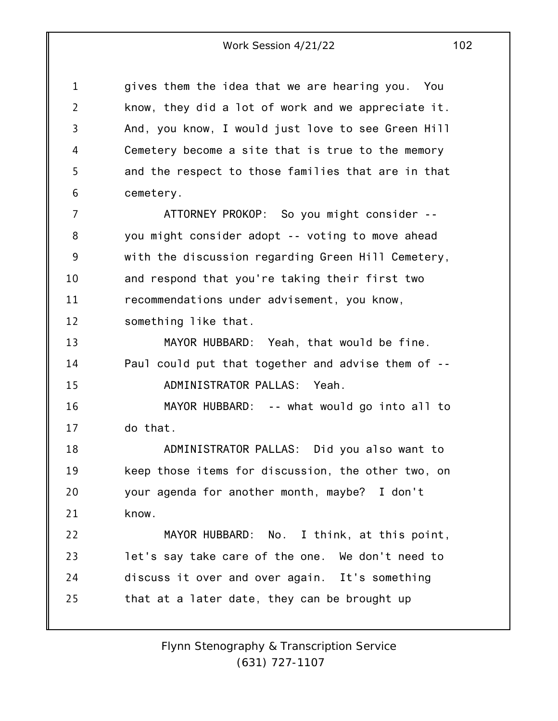1 2 3 4 5 6 7 8 9 10 11 12 13 14 15 16 17 18 19 20 21 22 23 24 25 gives them the idea that we are hearing you. You know, they did a lot of work and we appreciate it. And, you know, I would just love to see Green Hill Cemetery become a site that is true to the memory and the respect to those families that are in that cemetery. ATTORNEY PROKOP: So you might consider - you might consider adopt -- voting to move ahead with the discussion regarding Green Hill Cemetery, and respond that you're taking their first two recommendations under advisement, you know, something like that. MAYOR HUBBARD: Yeah, that would be fine. Paul could put that together and advise them of -- ADMINISTRATOR PALLAS: Yeah. MAYOR HUBBARD: -- what would go into all to do that. ADMINISTRATOR PALLAS: Did you also want to keep those items for discussion, the other two, on your agenda for another month, maybe? I don't know. MAYOR HUBBARD: No. I think, at this point, let's say take care of the one. We don't need to discuss it over and over again. It's something that at a later date, they can be brought up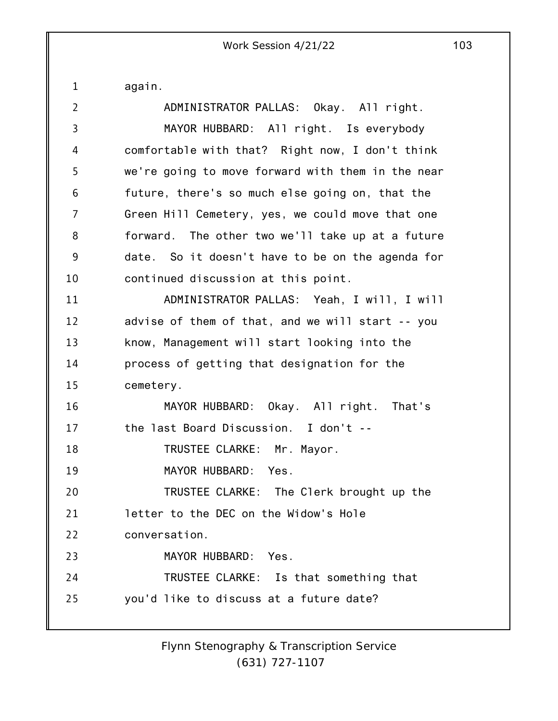again.

1

| $\overline{2}$ | ADMINISTRATOR PALLAS: Okay. All right.            |
|----------------|---------------------------------------------------|
| 3              | MAYOR HUBBARD: All right. Is everybody            |
| 4              | comfortable with that? Right now, I don't think   |
| 5              | we're going to move forward with them in the near |
| 6              | future, there's so much else going on, that the   |
| $\overline{7}$ | Green Hill Cemetery, yes, we could move that one  |
| 8              | forward. The other two we'll take up at a future  |
| 9              | date. So it doesn't have to be on the agenda for  |
| 10             | continued discussion at this point.               |
| 11             | ADMINISTRATOR PALLAS: Yeah, I will, I will        |
| 12             | advise of them of that, and we will start -- you  |
| 13             | know, Management will start looking into the      |
| 14             | process of getting that designation for the       |
| 15             | cemetery.                                         |
| 16             | MAYOR HUBBARD: Okay. All right. That's            |
| 17             | the last Board Discussion. I don't --             |
| 18             | TRUSTEE CLARKE: Mr. Mayor.                        |
| 19             | MAYOR HUBBARD: Yes.                               |
| 20             | TRUSTEE CLARKE: The Clerk brought up the          |
| 21             | letter to the DEC on the Widow's Hole             |
| 22             | conversation.                                     |
| 23             | MAYOR HUBBARD: Yes.                               |
| 24             | TRUSTEE CLARKE: Is that something that            |
| 25             | you'd like to discuss at a future date?           |
|                |                                                   |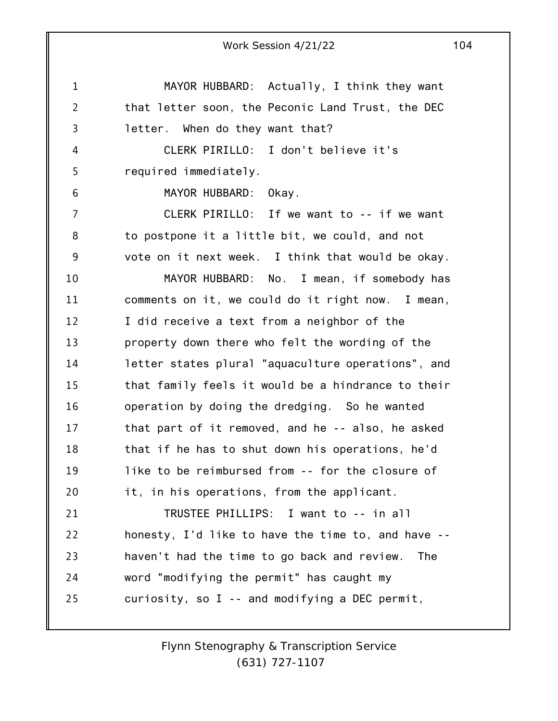1 2 3 4 5 6 7 8 9 10 11 12 13 14 15 16 17 18 19 20 21 22 23 24 25 Work Session 4/21/22 104 MAYOR HUBBARD: Actually, I think they want that letter soon, the Peconic Land Trust, the DEC letter. When do they want that? CLERK PIRILLO: I don't believe it's required immediately. MAYOR HUBBARD: Okay. CLERK PIRILLO: If we want to -- if we want to postpone it a little bit, we could, and not vote on it next week. I think that would be okay. MAYOR HUBBARD: No. I mean, if somebody has comments on it, we could do it right now. I mean, I did receive a text from a neighbor of the property down there who felt the wording of the letter states plural "aquaculture operations", and that family feels it would be a hindrance to their operation by doing the dredging. So he wanted that part of it removed, and he -- also, he asked that if he has to shut down his operations, he'd like to be reimbursed from -- for the closure of it, in his operations, from the applicant. TRUSTEE PHILLIPS: I want to -- in all honesty, I'd like to have the time to, and have - haven't had the time to go back and review. The word "modifying the permit" has caught my curiosity, so I -- and modifying a DEC permit,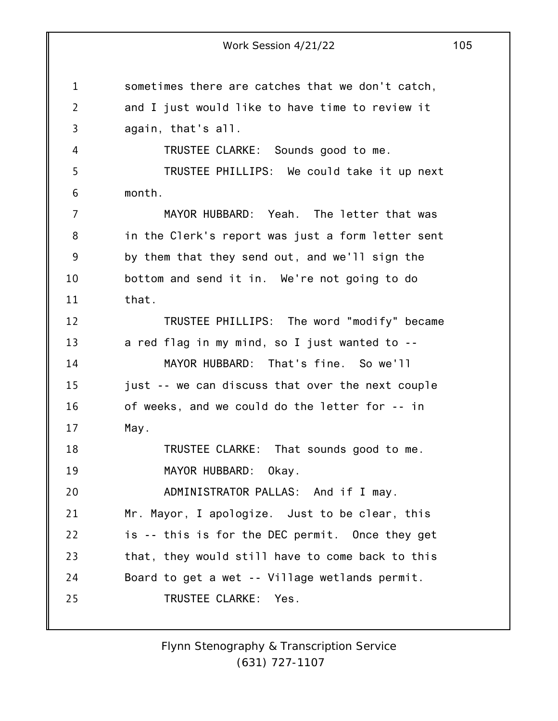1 2 3 4 5 6 7 8 9 10 11 12 13 14 15 16 17 18 19 20 21 22 23 24 25 Work Session 4/21/22 105 sometimes there are catches that we don't catch, and I just would like to have time to review it again, that's all. TRUSTEE CLARKE: Sounds good to me. TRUSTEE PHILLIPS: We could take it up next month. MAYOR HUBBARD: Yeah. The letter that was in the Clerk's report was just a form letter sent by them that they send out, and we'll sign the bottom and send it in. We're not going to do that. TRUSTEE PHILLIPS: The word "modify" became a red flag in my mind, so I just wanted to -- MAYOR HUBBARD: That's fine. So we'll just -- we can discuss that over the next couple of weeks, and we could do the letter for -- in May. TRUSTEE CLARKE: That sounds good to me. MAYOR HUBBARD: Okay. ADMINISTRATOR PALLAS: And if I may. Mr. Mayor, I apologize. Just to be clear, this is -- this is for the DEC permit. Once they get that, they would still have to come back to this Board to get a wet -- Village wetlands permit. TRUSTEE CLARKE: Yes.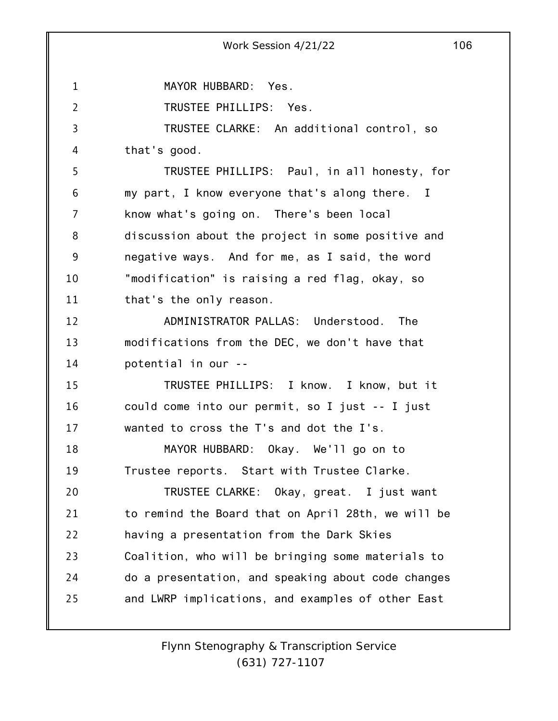1 2 3 4 5 6 7 8 9 10 11 12 13 14 15 16 17 18 19 20 21 22 23 24 25 Work Session 4/21/22 106 MAYOR HUBBARD: Yes. TRUSTEE PHILLIPS: Yes. TRUSTEE CLARKE: An additional control, so that's good. TRUSTEE PHILLIPS: Paul, in all honesty, for my part, I know everyone that's along there. I know what's going on. There's been local discussion about the project in some positive and negative ways. And for me, as I said, the word "modification" is raising a red flag, okay, so that's the only reason. ADMINISTRATOR PALLAS: Understood. The modifications from the DEC, we don't have that potential in our -- TRUSTEE PHILLIPS: I know. I know, but it could come into our permit, so I just -- I just wanted to cross the T's and dot the I's. MAYOR HUBBARD: Okay. We'll go on to Trustee reports. Start with Trustee Clarke. TRUSTEE CLARKE: Okay, great. I just want to remind the Board that on April 28th, we will be having a presentation from the Dark Skies Coalition, who will be bringing some materials to do a presentation, and speaking about code changes and LWRP implications, and examples of other East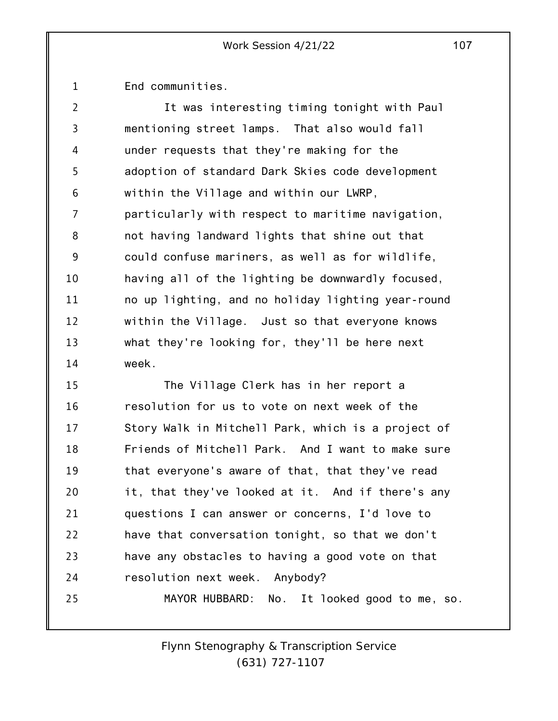1 End communities.

2 3 4 5 6 7 8 9 10 11 12 13 14 It was interesting timing tonight with Paul mentioning street lamps. That also would fall under requests that they're making for the adoption of standard Dark Skies code development within the Village and within our LWRP, particularly with respect to maritime navigation, not having landward lights that shine out that could confuse mariners, as well as for wildlife, having all of the lighting be downwardly focused, no up lighting, and no holiday lighting year-round within the Village. Just so that everyone knows what they're looking for, they'll be here next week.

15 16 17 18 19 20 21 22 23 24 25 The Village Clerk has in her report a resolution for us to vote on next week of the Story Walk in Mitchell Park, which is a project of Friends of Mitchell Park. And I want to make sure that everyone's aware of that, that they've read it, that they've looked at it. And if there's any questions I can answer or concerns, I'd love to have that conversation tonight, so that we don't have any obstacles to having a good vote on that resolution next week. Anybody? MAYOR HUBBARD: No. It looked good to me, so.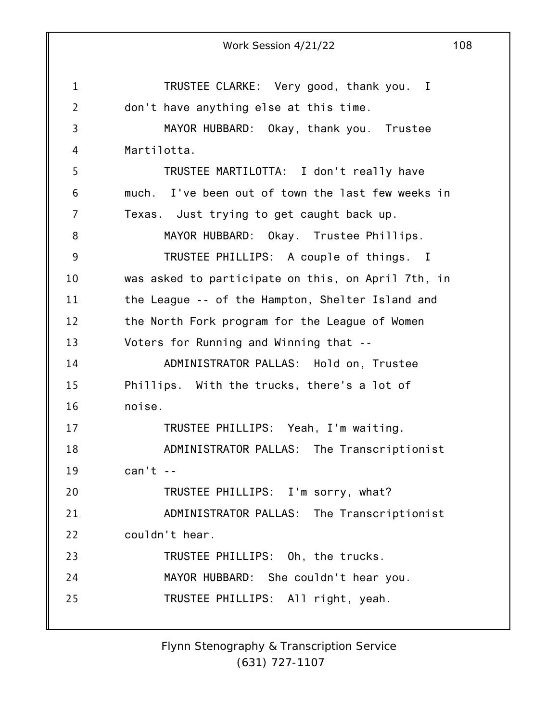1 2 3 4 5 6 7 8 9 10 11 12 13 14 15 16 17 18 19 20 21 22 23 24 25 Work Session 4/21/22 108 TRUSTEE CLARKE: Very good, thank you. I don't have anything else at this time. MAYOR HUBBARD: Okay, thank you. Trustee Martilotta. TRUSTEE MARTILOTTA: I don't really have much. I've been out of town the last few weeks in Texas. Just trying to get caught back up. MAYOR HUBBARD: Okay. Trustee Phillips. TRUSTEE PHILLIPS: A couple of things. I was asked to participate on this, on April 7th, in the League -- of the Hampton, Shelter Island and the North Fork program for the League of Women Voters for Running and Winning that -- ADMINISTRATOR PALLAS: Hold on, Trustee Phillips. With the trucks, there's a lot of noise. TRUSTEE PHILLIPS: Yeah, I'm waiting. ADMINISTRATOR PALLAS: The Transcriptionist  $can't --$ TRUSTEE PHILLIPS: I'm sorry, what? ADMINISTRATOR PALLAS: The Transcriptionist couldn't hear. TRUSTEE PHILLIPS: Oh, the trucks. MAYOR HUBBARD: She couldn't hear you. TRUSTEE PHILLIPS: All right, yeah.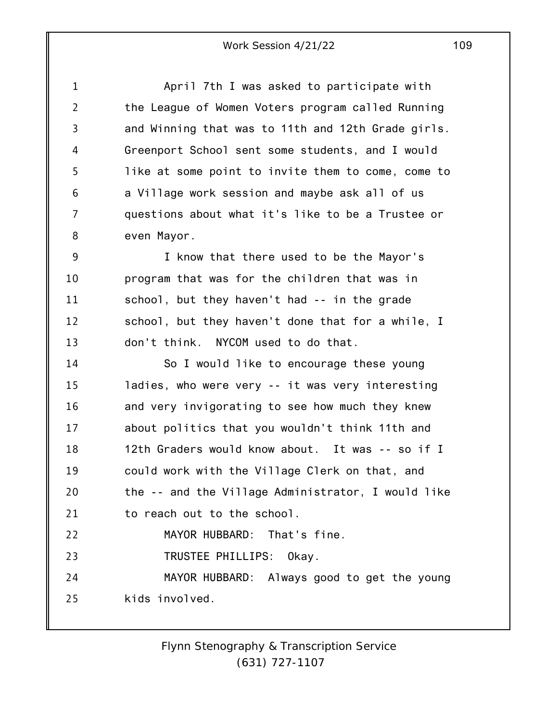1 2 3 4 5 6 7 8 April 7th I was asked to participate with the League of Women Voters program called Running and Winning that was to 11th and 12th Grade girls. Greenport School sent some students, and I would like at some point to invite them to come, come to a Village work session and maybe ask all of us questions about what it's like to be a Trustee or even Mayor.

9 10 11 12 13 I know that there used to be the Mayor's program that was for the children that was in school, but they haven't had -- in the grade school, but they haven't done that for a while, I don't think. NYCOM used to do that.

14 15 16 17 18 19 20 21 22 23 24 So I would like to encourage these young ladies, who were very -- it was very interesting and very invigorating to see how much they knew about politics that you wouldn't think 11th and 12th Graders would know about. It was -- so if I could work with the Village Clerk on that, and the -- and the Village Administrator, I would like to reach out to the school. MAYOR HUBBARD: That's fine. TRUSTEE PHILLIPS: Okay. MAYOR HUBBARD: Always good to get the young

25 kids involved.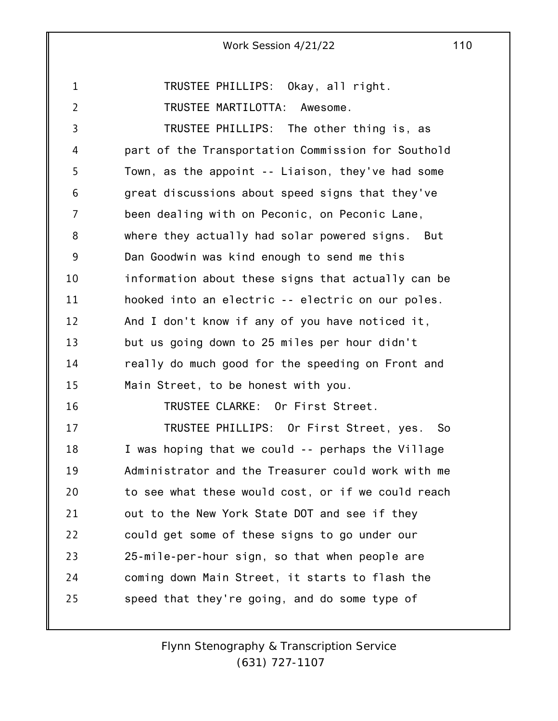1 2 3 4 5 6 7 8 9 10 11 12 13 14 15 16 17 18 19 20 21 22 Work Session 4/21/22 110 TRUSTEE PHILLIPS: Okay, all right. TRUSTEE MARTILOTTA: Awesome. TRUSTEE PHILLIPS: The other thing is, as part of the Transportation Commission for Southold Town, as the appoint -- Liaison, they've had some great discussions about speed signs that they've been dealing with on Peconic, on Peconic Lane, where they actually had solar powered signs. But Dan Goodwin was kind enough to send me this information about these signs that actually can be hooked into an electric -- electric on our poles. And I don't know if any of you have noticed it, but us going down to 25 miles per hour didn't really do much good for the speeding on Front and Main Street, to be honest with you. TRUSTEE CLARKE: Or First Street. TRUSTEE PHILLIPS: Or First Street, yes. So I was hoping that we could -- perhaps the Village Administrator and the Treasurer could work with me to see what these would cost, or if we could reach out to the New York State DOT and see if they could get some of these signs to go under our

23 24 25 25-mile-per-hour sign, so that when people are coming down Main Street, it starts to flash the speed that they're going, and do some type of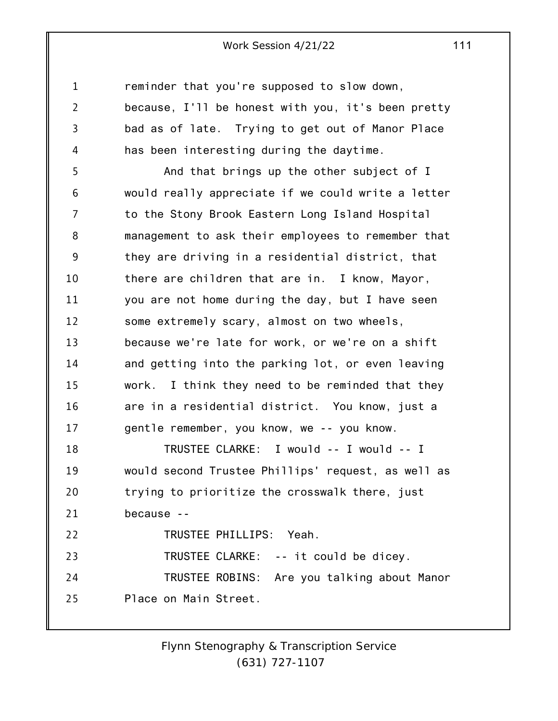1 2 3 4 5 6 7 8 9 10 11 12 13 14 15 16 17 18 19 20 21 22 23 24 25 reminder that you're supposed to slow down, because, I'll be honest with you, it's been pretty bad as of late. Trying to get out of Manor Place has been interesting during the daytime. And that brings up the other subject of I would really appreciate if we could write a letter to the Stony Brook Eastern Long Island Hospital management to ask their employees to remember that they are driving in a residential district, that there are children that are in. I know, Mayor, you are not home during the day, but I have seen some extremely scary, almost on two wheels, because we're late for work, or we're on a shift and getting into the parking lot, or even leaving work. I think they need to be reminded that they are in a residential district. You know, just a gentle remember, you know, we -- you know. TRUSTEE CLARKE: I would -- I would -- I would second Trustee Phillips' request, as well as trying to prioritize the crosswalk there, just because -- TRUSTEE PHILLIPS: Yeah. TRUSTEE CLARKE: -- it could be dicey. TRUSTEE ROBINS: Are you talking about Manor Place on Main Street.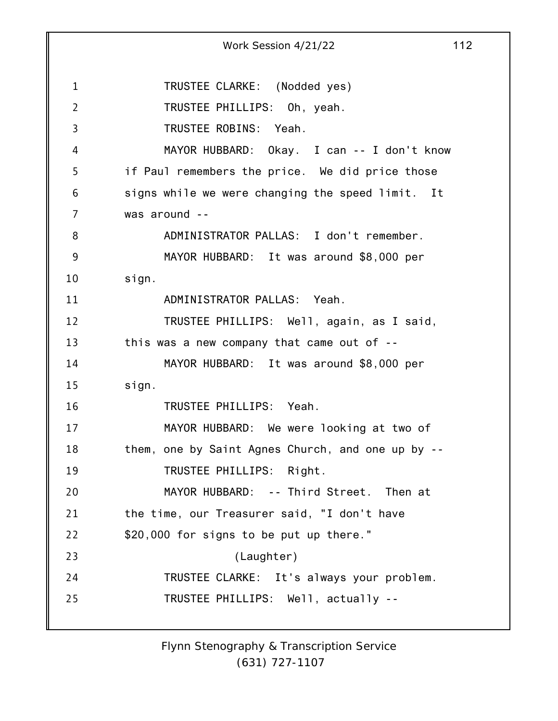1 2 3 4 5 6 7 8 9 10 11 12 13 14 15 16 17 18 19 20 21 22 23 24 25 Work Session 4/21/22 112 TRUSTEE CLARKE: (Nodded yes) TRUSTEE PHILLIPS: Oh, yeah. TRUSTEE ROBINS: Yeah. MAYOR HUBBARD: Okay. I can -- I don't know if Paul remembers the price. We did price those signs while we were changing the speed limit. It was around -- ADMINISTRATOR PALLAS: I don't remember. MAYOR HUBBARD: It was around \$8,000 per sign. ADMINISTRATOR PALLAS: Yeah. TRUSTEE PHILLIPS: Well, again, as I said, this was a new company that came out of -- MAYOR HUBBARD: It was around \$8,000 per sign. TRUSTEE PHILLIPS: Yeah. MAYOR HUBBARD: We were looking at two of them, one by Saint Agnes Church, and one up by -- TRUSTEE PHILLIPS: Right. MAYOR HUBBARD: -- Third Street. Then at the time, our Treasurer said, "I don't have \$20,000 for signs to be put up there." (Laughter) TRUSTEE CLARKE: It's always your problem. TRUSTEE PHILLIPS: Well, actually --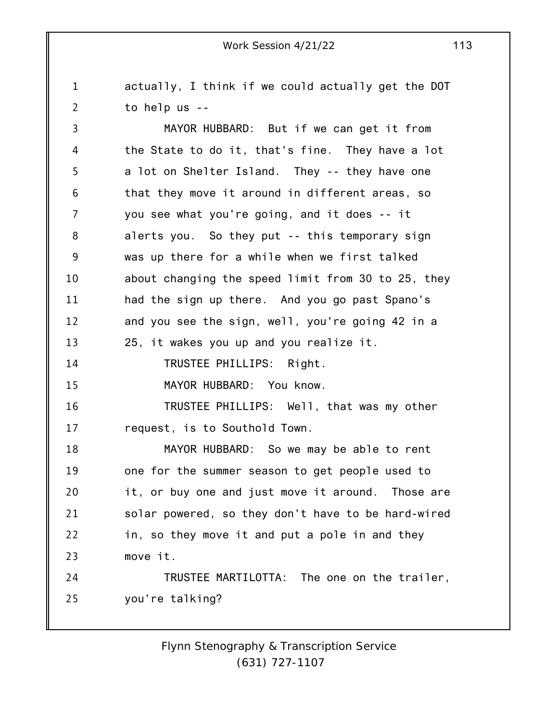1 2 actually, I think if we could actually get the DOT to help us --

3 4 5 6 7 8 9 10 11 12 13 14 15 16 17 18 19 20 21 22 23 24 25 MAYOR HUBBARD: But if we can get it from the State to do it, that's fine. They have a lot a lot on Shelter Island. They -- they have one that they move it around in different areas, so you see what you're going, and it does -- it alerts you. So they put -- this temporary sign was up there for a while when we first talked about changing the speed limit from 30 to 25, they had the sign up there. And you go past Spano's and you see the sign, well, you're going 42 in a 25, it wakes you up and you realize it. TRUSTEE PHILLIPS: Right. MAYOR HUBBARD: You know. TRUSTEE PHILLIPS: Well, that was my other request, is to Southold Town. MAYOR HUBBARD: So we may be able to rent one for the summer season to get people used to it, or buy one and just move it around. Those are solar powered, so they don't have to be hard-wired in, so they move it and put a pole in and they move it. TRUSTEE MARTILOTTA: The one on the trailer, you're talking?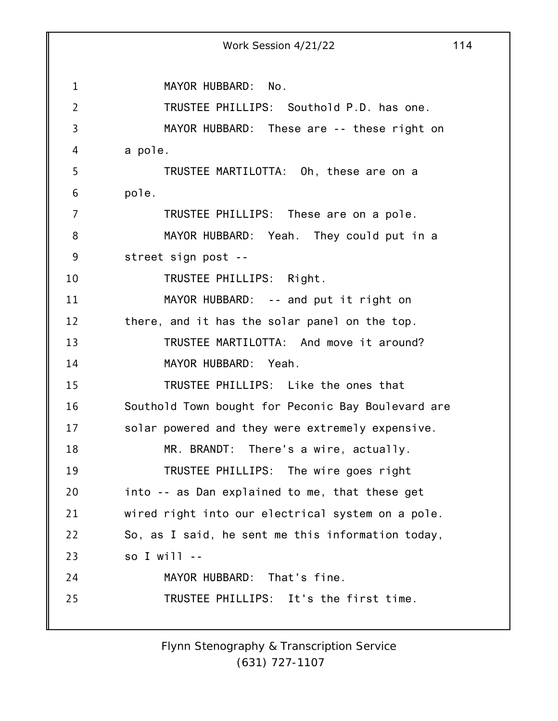1 2 3 4 5 6 7 8 9 10 11 12 13 14 15 16 17 18 19 20 21 22 23 24 25 Work Session 4/21/22 114 MAYOR HUBBARD: No. TRUSTEE PHILLIPS: Southold P.D. has one. MAYOR HUBBARD: These are -- these right on a pole. TRUSTEE MARTILOTTA: Oh, these are on a pole. TRUSTEE PHILLIPS: These are on a pole. MAYOR HUBBARD: Yeah. They could put in a street sign post -- TRUSTEE PHILLIPS: Right. MAYOR HUBBARD: -- and put it right on there, and it has the solar panel on the top. TRUSTEE MARTILOTTA: And move it around? MAYOR HUBBARD: Yeah. TRUSTEE PHILLIPS: Like the ones that Southold Town bought for Peconic Bay Boulevard are solar powered and they were extremely expensive. MR. BRANDT: There's a wire, actually. TRUSTEE PHILLIPS: The wire goes right into -- as Dan explained to me, that these get wired right into our electrical system on a pole. So, as I said, he sent me this information today, so I will -- MAYOR HUBBARD: That's fine. TRUSTEE PHILLIPS: It's the first time.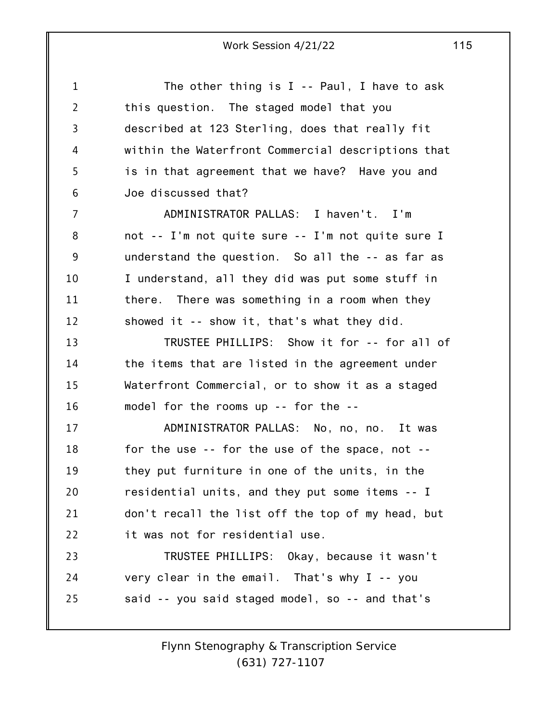| $\mathbf{1}$   | The other thing is $I - Paul$ , I have to ask      |
|----------------|----------------------------------------------------|
| $\overline{2}$ | this question. The staged model that you           |
| 3              | described at 123 Sterling, does that really fit    |
| 4              | within the Waterfront Commercial descriptions that |
| 5              | is in that agreement that we have? Have you and    |
| 6              | Joe discussed that?                                |
| 7              | ADMINISTRATOR PALLAS: I haven't. I'm               |
| 8              | not -- I'm not quite sure -- I'm not quite sure I  |
| 9              | understand the question. So all the -- as far as   |
| 10             | I understand, all they did was put some stuff in   |
| 11             | there. There was something in a room when they     |
| 12             | showed it -- show it, that's what they did.        |
| 13             | TRUSTEE PHILLIPS: Show it for -- for all of        |
| 14             | the items that are listed in the agreement under   |
| 15             | Waterfront Commercial, or to show it as a staged   |
| 16             | model for the rooms up -- for the --               |
| 17             | ADMINISTRATOR PALLAS: No, no, no. It was           |
| 18             | for the use -- for the use of the space, not --    |
| 19             | they put furniture in one of the units, in the     |
| 20             | residential units, and they put some items -- I    |
| 21             | don't recall the list off the top of my head, but  |
| 22             | it was not for residential use.                    |
| 23             | TRUSTEE PHILLIPS: Okay, because it wasn't          |
| 24             | very clear in the email. That's why I -- you       |
| 25             | said -- you said staged model, so -- and that's    |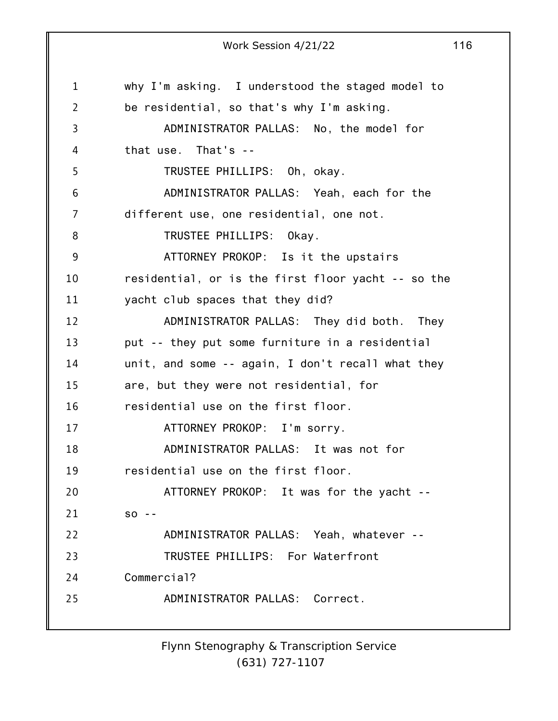1 2 3 4 5 6 7 8 9 10 11 12 13 14 15 16 17 18 19 20 21 22 23 24 25 Work Session 4/21/22 116 why I'm asking. I understood the staged model to be residential, so that's why I'm asking. ADMINISTRATOR PALLAS: No, the model for that use. That's -- TRUSTEE PHILLIPS: Oh, okay. ADMINISTRATOR PALLAS: Yeah, each for the different use, one residential, one not. TRUSTEE PHILLIPS: Okay. ATTORNEY PROKOP: Is it the upstairs residential, or is the first floor yacht -- so the yacht club spaces that they did? ADMINISTRATOR PALLAS: They did both. They put -- they put some furniture in a residential unit, and some -- again, I don't recall what they are, but they were not residential, for residential use on the first floor. ATTORNEY PROKOP: I'm sorry. ADMINISTRATOR PALLAS: It was not for residential use on the first floor. ATTORNEY PROKOP: It was for the yacht - so -- ADMINISTRATOR PALLAS: Yeah, whatever -- TRUSTEE PHILLIPS: For Waterfront Commercial? ADMINISTRATOR PALLAS: Correct.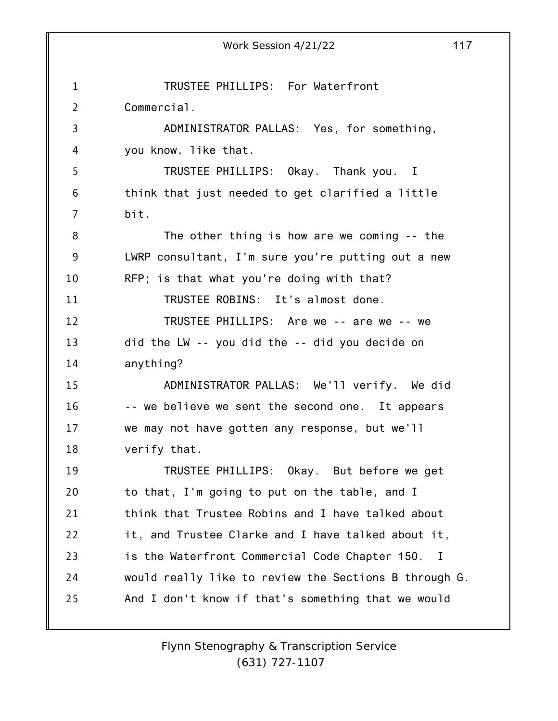1 2 3 4 5 6 7 8 9 10 11 12 13 14 15 16 17 18 19 20 21 22 23 24 25 Work Session 4/21/22 117 TRUSTEE PHILLIPS: For Waterfront Commercial. ADMINISTRATOR PALLAS: Yes, for something, you know, like that. TRUSTEE PHILLIPS: Okay. Thank you. I think that just needed to get clarified a little bit. The other thing is how are we coming -- the LWRP consultant, I'm sure you're putting out a new RFP; is that what you're doing with that? TRUSTEE ROBINS: It's almost done. TRUSTEE PHILLIPS: Are we -- are we -- we did the LW -- you did the -- did you decide on anything? ADMINISTRATOR PALLAS: We'll verify. We did -- we believe we sent the second one. It appears we may not have gotten any response, but we'll verify that. TRUSTEE PHILLIPS: Okay. But before we get to that, I'm going to put on the table, and I think that Trustee Robins and I have talked about it, and Trustee Clarke and I have talked about it, is the Waterfront Commercial Code Chapter 150. I would really like to review the Sections B through G. And I don't know if that's something that we would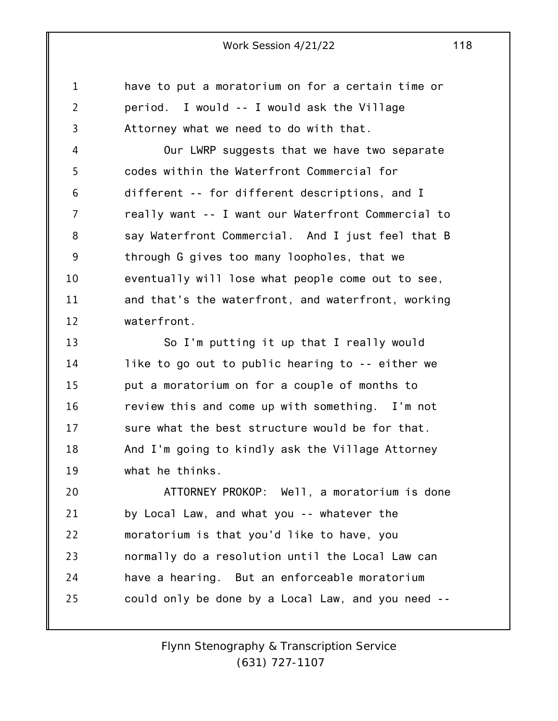1 2 3 have to put a moratorium on for a certain time or period. I would -- I would ask the Village Attorney what we need to do with that.

4 5 6 7 8 9 10 11 12 Our LWRP suggests that we have two separate codes within the Waterfront Commercial for different -- for different descriptions, and I really want -- I want our Waterfront Commercial to say Waterfront Commercial. And I just feel that B through G gives too many loopholes, that we eventually will lose what people come out to see, and that's the waterfront, and waterfront, working waterfront.

13 14 15 16 17 18 19 So I'm putting it up that I really would like to go out to public hearing to -- either we put a moratorium on for a couple of months to review this and come up with something. I'm not sure what the best structure would be for that. And I'm going to kindly ask the Village Attorney what he thinks.

20 21 22 23 24 25 ATTORNEY PROKOP: Well, a moratorium is done by Local Law, and what you -- whatever the moratorium is that you'd like to have, you normally do a resolution until the Local Law can have a hearing. But an enforceable moratorium could only be done by a Local Law, and you need --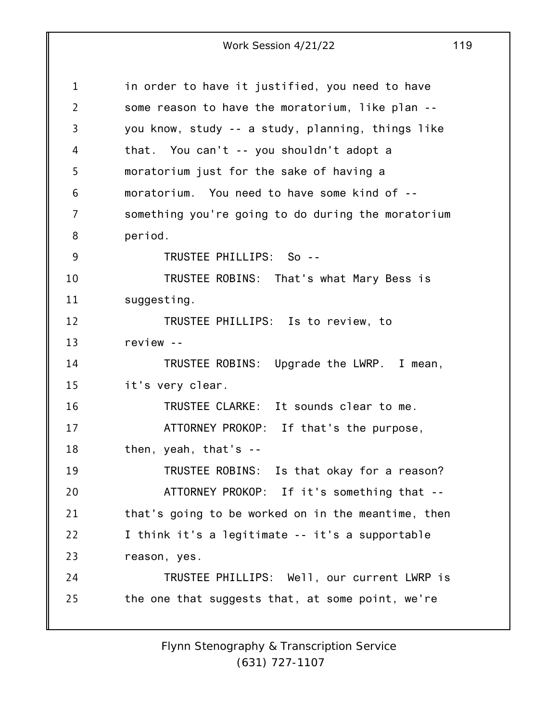1 2 3 4 5 6 7 8 9 10 11 12 13 14 15 16 17 18 19 20 21 22 23 24 25 in order to have it justified, you need to have some reason to have the moratorium, like plan - you know, study -- a study, planning, things like that. You can't -- you shouldn't adopt a moratorium just for the sake of having a moratorium. You need to have some kind of - something you're going to do during the moratorium period. TRUSTEE PHILLIPS: So -- TRUSTEE ROBINS: That's what Mary Bess is suggesting. TRUSTEE PHILLIPS: Is to review, to review -- TRUSTEE ROBINS: Upgrade the LWRP. I mean, it's very clear. TRUSTEE CLARKE: It sounds clear to me. ATTORNEY PROKOP: If that's the purpose, then, yeah, that's -- TRUSTEE ROBINS: Is that okay for a reason? ATTORNEY PROKOP: If it's something that - that's going to be worked on in the meantime, then I think it's a legitimate -- it's a supportable reason, yes. TRUSTEE PHILLIPS: Well, our current LWRP is the one that suggests that, at some point, we're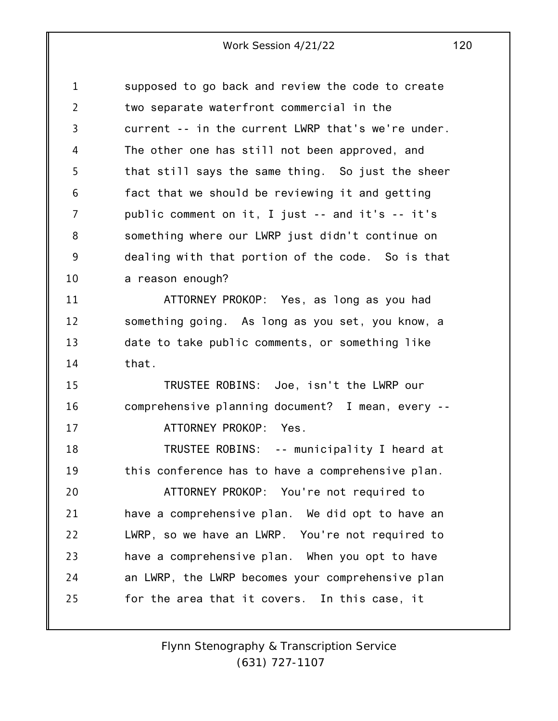1 2 3 4 5 6 7 8 9 10 supposed to go back and review the code to create two separate waterfront commercial in the current -- in the current LWRP that's we're under. The other one has still not been approved, and that still says the same thing. So just the sheer fact that we should be reviewing it and getting public comment on it, I just -- and it's -- it's something where our LWRP just didn't continue on dealing with that portion of the code. So is that a reason enough?

11 12 13 14 ATTORNEY PROKOP: Yes, as long as you had something going. As long as you set, you know, a date to take public comments, or something like that.

15 16 17 TRUSTEE ROBINS: Joe, isn't the LWRP our comprehensive planning document? I mean, every -- ATTORNEY PROKOP: Yes.

18 19 20 21 TRUSTEE ROBINS: -- municipality I heard at this conference has to have a comprehensive plan. ATTORNEY PROKOP: You're not required to have a comprehensive plan. We did opt to have an

22 23 24 25 LWRP, so we have an LWRP. You're not required to have a comprehensive plan. When you opt to have an LWRP, the LWRP becomes your comprehensive plan for the area that it covers. In this case, it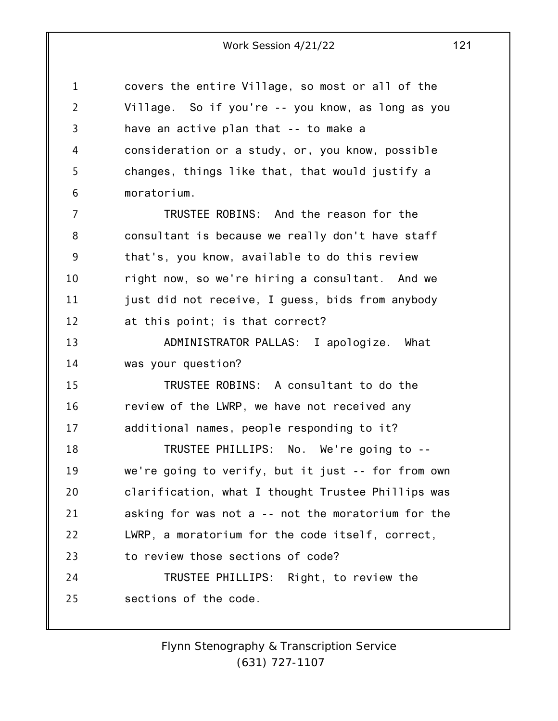1 2 3 4 5 6 7 8 9 10 11 12 13 14 15 16 17 18 19 20 21 22 23 24 25 covers the entire Village, so most or all of the Village. So if you're -- you know, as long as you have an active plan that -- to make a consideration or a study, or, you know, possible changes, things like that, that would justify a moratorium. TRUSTEE ROBINS: And the reason for the consultant is because we really don't have staff that's, you know, available to do this review right now, so we're hiring a consultant. And we just did not receive, I guess, bids from anybody at this point; is that correct? ADMINISTRATOR PALLAS: I apologize. What was your question? TRUSTEE ROBINS: A consultant to do the review of the LWRP, we have not received any additional names, people responding to it? TRUSTEE PHILLIPS: No. We're going to - we're going to verify, but it just -- for from own clarification, what I thought Trustee Phillips was asking for was not a -- not the moratorium for the LWRP, a moratorium for the code itself, correct, to review those sections of code? TRUSTEE PHILLIPS: Right, to review the sections of the code.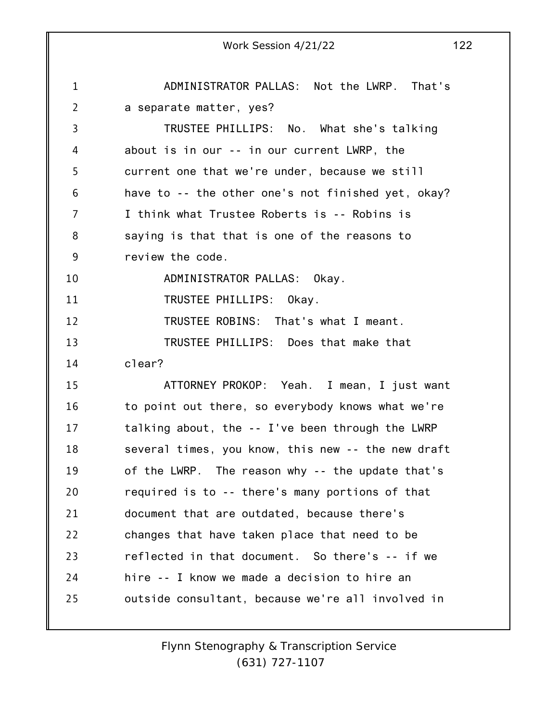1 2 3 4 5 6 7 8 9 10 11 12 13 14 15 16 17 18 19 20 21 22 23 24 25 Work Session 4/21/22 122 ADMINISTRATOR PALLAS: Not the LWRP. That's a separate matter, yes? TRUSTEE PHILLIPS: No. What she's talking about is in our -- in our current LWRP, the current one that we're under, because we still have to -- the other one's not finished yet, okay? I think what Trustee Roberts is -- Robins is saying is that that is one of the reasons to review the code. ADMINISTRATOR PALLAS: Okay. TRUSTEE PHILLIPS: Okay. TRUSTEE ROBINS: That's what I meant. TRUSTEE PHILLIPS: Does that make that clear? ATTORNEY PROKOP: Yeah. I mean, I just want to point out there, so everybody knows what we're talking about, the -- I've been through the LWRP several times, you know, this new -- the new draft of the LWRP. The reason why -- the update that's required is to -- there's many portions of that document that are outdated, because there's changes that have taken place that need to be reflected in that document. So there's -- if we hire -- I know we made a decision to hire an outside consultant, because we're all involved in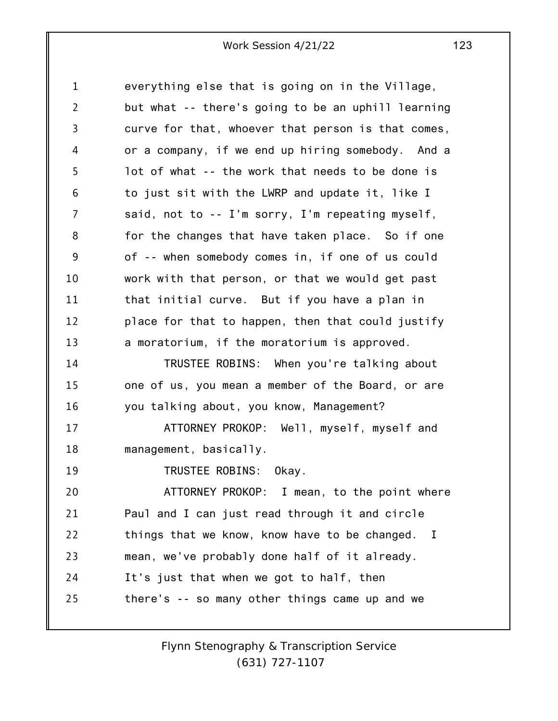| 1  | everything else that is going on in the Village,              |
|----|---------------------------------------------------------------|
| 2  | but what -- there's going to be an uphill learning            |
| 3  | curve for that, whoever that person is that comes,            |
| 4  | or a company, if we end up hiring somebody. And a             |
| 5  | lot of what -- the work that needs to be done is              |
| 6  | to just sit with the LWRP and update it, like I               |
| 7  | said, not to -- I'm sorry, I'm repeating myself,              |
| 8  | for the changes that have taken place. So if one              |
| 9  | of -- when somebody comes in, if one of us could              |
| 10 | work with that person, or that we would get past              |
| 11 | that initial curve. But if you have a plan in                 |
| 12 | place for that to happen, then that could justify             |
| 13 | a moratorium, if the moratorium is approved.                  |
| 14 | TRUSTEE ROBINS: When you're talking about                     |
| 15 | one of us, you mean a member of the Board, or are             |
| 16 | you talking about, you know, Management?                      |
| 17 | ATTORNEY PROKOP: Well, myself, myself and                     |
| 18 | management, basically.                                        |
| 19 | TRUSTEE ROBINS: Okay.                                         |
| 20 | ATTORNEY PROKOP: I mean, to the point where                   |
| 21 | Paul and I can just read through it and circle                |
| 22 | things that we know, know have to be changed.<br>$\mathbf{I}$ |
| 23 | mean, we've probably done half of it already.                 |
| 24 | It's just that when we got to half, then                      |
| 25 | there's -- so many other things came up and we                |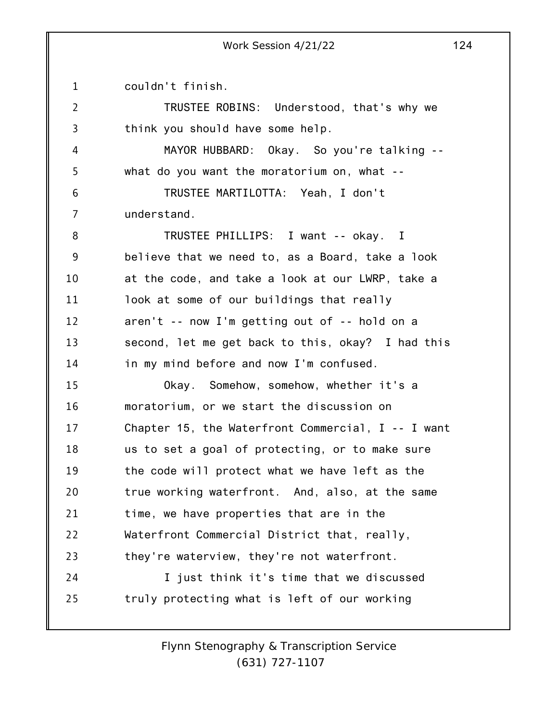1 couldn't finish.

2 3 4 5 6 7 8 9 10 11 12 13 14 15 16 17 18 19 20 21 22 23 24 25 TRUSTEE ROBINS: Understood, that's why we think you should have some help. MAYOR HUBBARD: Okay. So you're talking - what do you want the moratorium on, what -- TRUSTEE MARTILOTTA: Yeah, I don't understand. TRUSTEE PHILLIPS: I want -- okay. I believe that we need to, as a Board, take a look at the code, and take a look at our LWRP, take a look at some of our buildings that really aren't -- now I'm getting out of -- hold on a second, let me get back to this, okay? I had this in my mind before and now I'm confused. Okay. Somehow, somehow, whether it's a moratorium, or we start the discussion on Chapter 15, the Waterfront Commercial, I -- I want us to set a goal of protecting, or to make sure the code will protect what we have left as the true working waterfront. And, also, at the same time, we have properties that are in the Waterfront Commercial District that, really, they're waterview, they're not waterfront. I just think it's time that we discussed truly protecting what is left of our working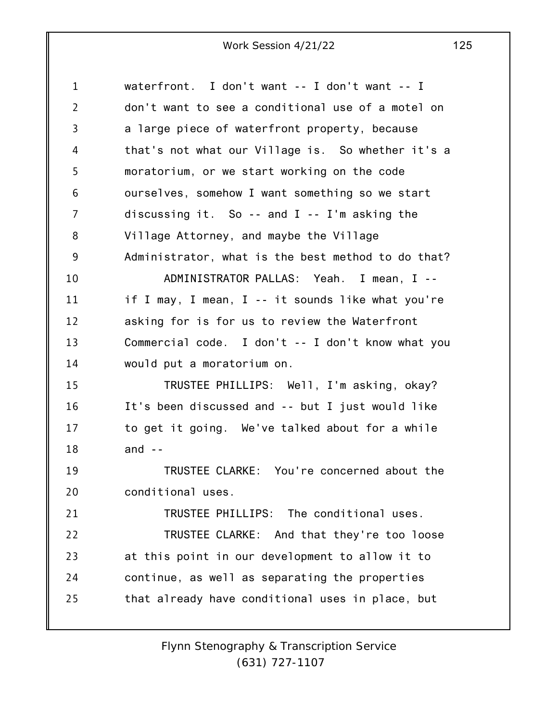| $\mathbf 1$ | waterfront. I don't want -- I don't want -- I      |
|-------------|----------------------------------------------------|
| 2           | don't want to see a conditional use of a motel on  |
| 3           | a large piece of waterfront property, because      |
| 4           | that's not what our Village is. So whether it's a  |
| 5           | moratorium, or we start working on the code        |
| 6           | ourselves, somehow I want something so we start    |
| 7           | discussing it. So -- and $I$ -- I'm asking the     |
| 8           | Village Attorney, and maybe the Village            |
| 9           | Administrator, what is the best method to do that? |
| 10          | ADMINISTRATOR PALLAS: Yeah. I mean, I --           |
| 11          | if I may, I mean, I -- it sounds like what you're  |
| 12          | asking for is for us to review the Waterfront      |
| 13          | Commercial code. I don't -- I don't know what you  |
| 14          | would put a moratorium on.                         |
| 15          | TRUSTEE PHILLIPS: Well, I'm asking, okay?          |
| 16          | It's been discussed and -- but I just would like   |
| 17          | to get it going. We've talked about for a while    |
| 18          | and $-$                                            |
| 19          | TRUSTEE CLARKE: You're concerned about the         |
| 20          | conditional uses.                                  |
| 21          | TRUSTEE PHILLIPS: The conditional uses.            |
| 22          | TRUSTEE CLARKE: And that they're too loose         |
| 23          | at this point in our development to allow it to    |
| 24          | continue, as well as separating the properties     |
| 25          | that already have conditional uses in place, but   |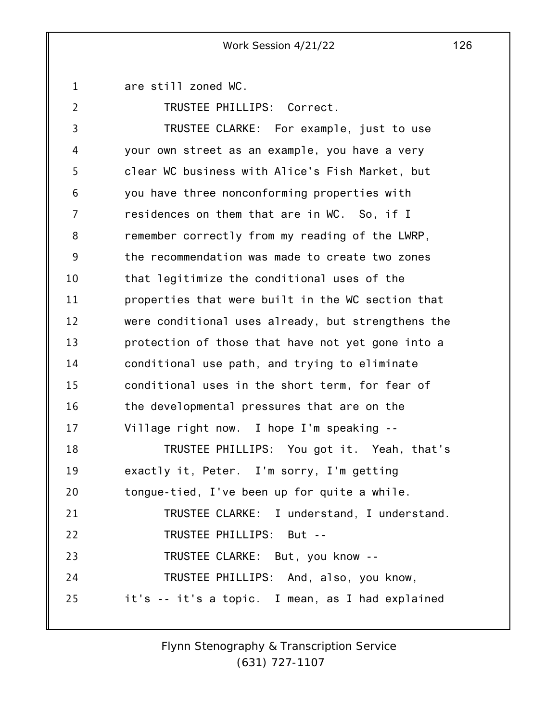1 are still zoned WC.

2

TRUSTEE PHILLIPS: Correct.

3 4 5 6 7 8 9 10 11 12 13 14 15 16 17 18 19 20 21 22 23 24 25 TRUSTEE CLARKE: For example, just to use your own street as an example, you have a very clear WC business with Alice's Fish Market, but you have three nonconforming properties with residences on them that are in WC. So, if I remember correctly from my reading of the LWRP, the recommendation was made to create two zones that legitimize the conditional uses of the properties that were built in the WC section that were conditional uses already, but strengthens the protection of those that have not yet gone into a conditional use path, and trying to eliminate conditional uses in the short term, for fear of the developmental pressures that are on the Village right now. I hope I'm speaking -- TRUSTEE PHILLIPS: You got it. Yeah, that's exactly it, Peter. I'm sorry, I'm getting tongue-tied, I've been up for quite a while. TRUSTEE CLARKE: I understand, I understand. TRUSTEE PHILLIPS: But -- TRUSTEE CLARKE: But, you know -- TRUSTEE PHILLIPS: And, also, you know, it's -- it's a topic. I mean, as I had explained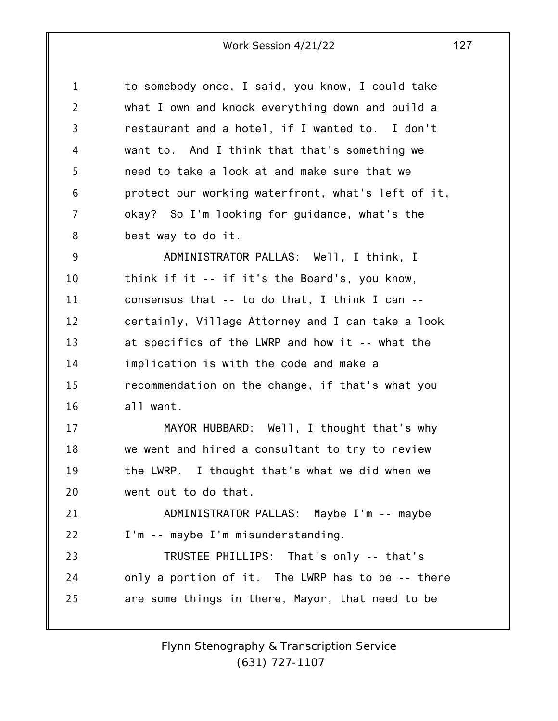| 1              | to somebody once, I said, you know, I could take   |
|----------------|----------------------------------------------------|
| $\overline{2}$ | what I own and knock everything down and build a   |
| 3              | restaurant and a hotel, if I wanted to. I don't    |
| 4              | want to. And I think that that's something we      |
| 5              | need to take a look at and make sure that we       |
| 6              | protect our working waterfront, what's left of it, |
| 7              | okay? So I'm looking for guidance, what's the      |
| 8              | best way to do it.                                 |
| 9              | ADMINISTRATOR PALLAS: Well, I think, I             |
| 10             | think if it -- if it's the Board's, you know,      |
| 11             | consensus that -- to do that, I think I can --     |
| 12             | certainly, Village Attorney and I can take a look  |
| 13             | at specifics of the LWRP and how it -- what the    |
| 14             | implication is with the code and make a            |
| 15             | recommendation on the change, if that's what you   |
| 16             | all want.                                          |
| 17             | MAYOR HUBBARD: Well, I thought that's why          |
| 18             | we went and hired a consultant to try to review    |
| 19             | the LWRP. I thought that's what we did when we     |
| 20             | went out to do that.                               |
| 21             | ADMINISTRATOR PALLAS: Maybe I'm -- maybe           |
| 22             | I'm -- maybe I'm misunderstanding.                 |
| 23             | TRUSTEE PHILLIPS: That's only -- that's            |
| 24             | only a portion of it. The LWRP has to be -- there  |
| 25             | are some things in there, Mayor, that need to be   |
|                |                                                    |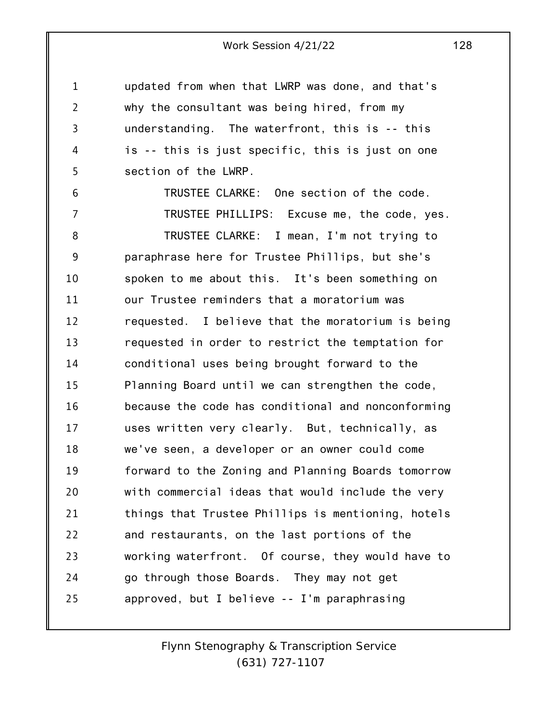updated from when that LWRP was done, and that's why the consultant was being hired, from my understanding. The waterfront, this is -- this is -- this is just specific, this is just on one section of the LWRP.

1

2

3

4

5

6 7 8 9 10 11 12 13 14 15 16 17 18 19 20 21 22 23 24 25 TRUSTEE CLARKE: One section of the code. TRUSTEE PHILLIPS: Excuse me, the code, yes. TRUSTEE CLARKE: I mean, I'm not trying to paraphrase here for Trustee Phillips, but she's spoken to me about this. It's been something on our Trustee reminders that a moratorium was requested. I believe that the moratorium is being requested in order to restrict the temptation for conditional uses being brought forward to the Planning Board until we can strengthen the code, because the code has conditional and nonconforming uses written very clearly. But, technically, as we've seen, a developer or an owner could come forward to the Zoning and Planning Boards tomorrow with commercial ideas that would include the very things that Trustee Phillips is mentioning, hotels and restaurants, on the last portions of the working waterfront. Of course, they would have to go through those Boards. They may not get approved, but I believe -- I'm paraphrasing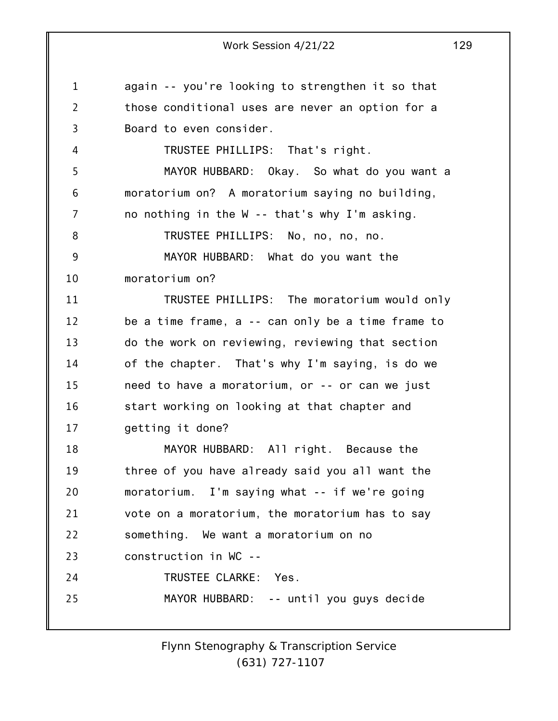1 2 3 4 5 6 7 8 9 10 11 12 13 14 15 16 17 18 19 20 21 22 23 24 25 again -- you're looking to strengthen it so that those conditional uses are never an option for a Board to even consider. TRUSTEE PHILLIPS: That's right. MAYOR HUBBARD: Okay. So what do you want a moratorium on? A moratorium saying no building, no nothing in the W -- that's why I'm asking. TRUSTEE PHILLIPS: No, no, no, no. MAYOR HUBBARD: What do you want the moratorium on? TRUSTEE PHILLIPS: The moratorium would only be a time frame, a -- can only be a time frame to do the work on reviewing, reviewing that section of the chapter. That's why I'm saying, is do we need to have a moratorium, or -- or can we just start working on looking at that chapter and getting it done? MAYOR HUBBARD: All right. Because the three of you have already said you all want the moratorium. I'm saying what -- if we're going vote on a moratorium, the moratorium has to say something. We want a moratorium on no construction in WC -- TRUSTEE CLARKE: Yes. MAYOR HUBBARD: -- until you guys decide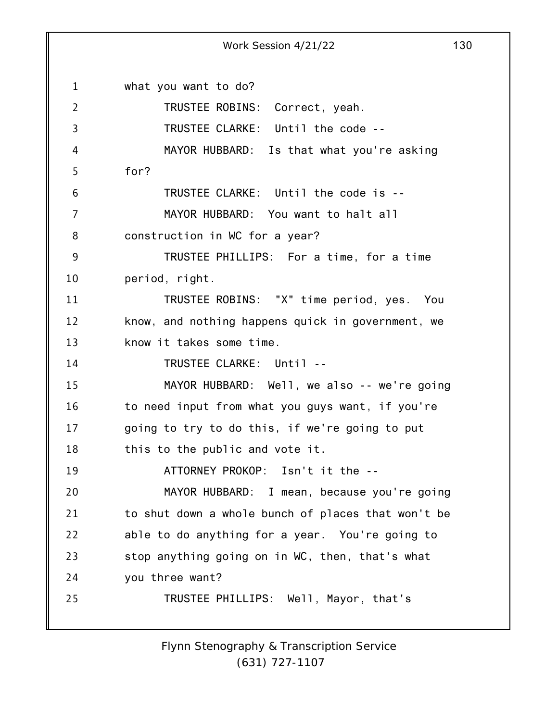1 2 3 4 5 6 7 8 9 10 11 12 13 14 15 16 17 18 19 20 21 22 23 24 25 Work Session 4/21/22 130 what you want to do? TRUSTEE ROBINS: Correct, yeah. TRUSTEE CLARKE: Until the code -- MAYOR HUBBARD: Is that what you're asking for? TRUSTEE CLARKE: Until the code is -- MAYOR HUBBARD: You want to halt all construction in WC for a year? TRUSTEE PHILLIPS: For a time, for a time period, right. TRUSTEE ROBINS: "X" time period, yes. You know, and nothing happens quick in government, we know it takes some time. TRUSTEE CLARKE: Until -- MAYOR HUBBARD: Well, we also -- we're going to need input from what you guys want, if you're going to try to do this, if we're going to put this to the public and vote it. ATTORNEY PROKOP: Isn't it the -- MAYOR HUBBARD: I mean, because you're going to shut down a whole bunch of places that won't be able to do anything for a year. You're going to stop anything going on in WC, then, that's what you three want? TRUSTEE PHILLIPS: Well, Mayor, that's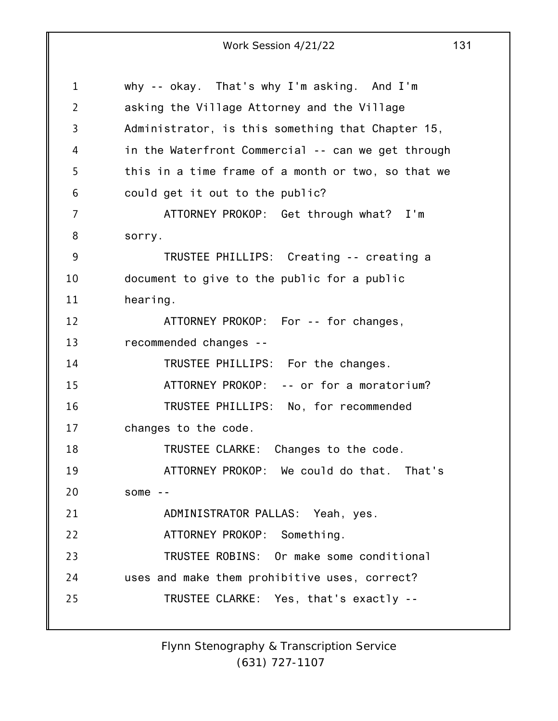1 2 3 4 5 6 7 8 9 10 11 12 13 14 15 16 17 18 19 20 21 22 23 24 25 why -- okay. That's why I'm asking. And I'm asking the Village Attorney and the Village Administrator, is this something that Chapter 15, in the Waterfront Commercial -- can we get through this in a time frame of a month or two, so that we could get it out to the public? ATTORNEY PROKOP: Get through what? I'm sorry. TRUSTEE PHILLIPS: Creating -- creating a document to give to the public for a public hearing. ATTORNEY PROKOP: For -- for changes, recommended changes -- TRUSTEE PHILLIPS: For the changes. ATTORNEY PROKOP: -- or for a moratorium? TRUSTEE PHILLIPS: No, for recommended changes to the code. TRUSTEE CLARKE: Changes to the code. ATTORNEY PROKOP: We could do that. That's some -- ADMINISTRATOR PALLAS: Yeah, yes. ATTORNEY PROKOP: Something. TRUSTEE ROBINS: Or make some conditional uses and make them prohibitive uses, correct? TRUSTEE CLARKE: Yes, that's exactly --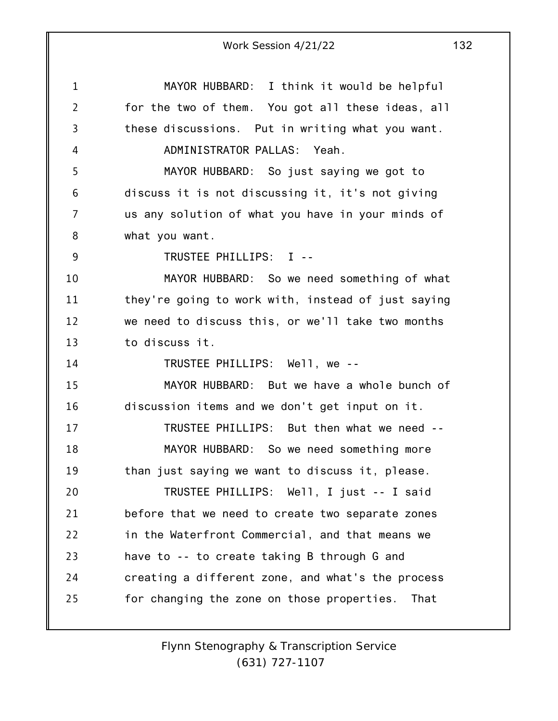|                | Work Session 4/21/22<br>132                        |
|----------------|----------------------------------------------------|
| $\mathbf 1$    | MAYOR HUBBARD: I think it would be helpful         |
| $\overline{2}$ | for the two of them. You got all these ideas, all  |
| 3              | these discussions. Put in writing what you want.   |
| 4              | ADMINISTRATOR PALLAS: Yeah.                        |
| 5              | MAYOR HUBBARD: So just saying we got to            |
| 6              | discuss it is not discussing it, it's not giving   |
| 7              | us any solution of what you have in your minds of  |
| 8              | what you want.                                     |
| 9              | TRUSTEE PHILLIPS: I --                             |
| 10             | MAYOR HUBBARD: So we need something of what        |
| 11             | they're going to work with, instead of just saying |
| 12             | we need to discuss this, or we'll take two months  |
| 13             | to discuss it.                                     |
| 14             | TRUSTEE PHILLIPS: Well, we --                      |
| 15             | MAYOR HUBBARD: But we have a whole bunch of        |
| 16             | discussion items and we don't get input on it.     |
| 17             | TRUSTEE PHILLIPS: But then what we need --         |
| 18             | MAYOR HUBBARD: So we need something more           |
| 19             | than just saying we want to discuss it, please.    |
| 20             | TRUSTEE PHILLIPS: Well, I just -- I said           |
| 21             | before that we need to create two separate zones   |
| 22             | in the Waterfront Commercial, and that means we    |
| 23             | have to -- to create taking B through G and        |
| 24             | creating a different zone, and what's the process  |
| 25             | for changing the zone on those properties.<br>That |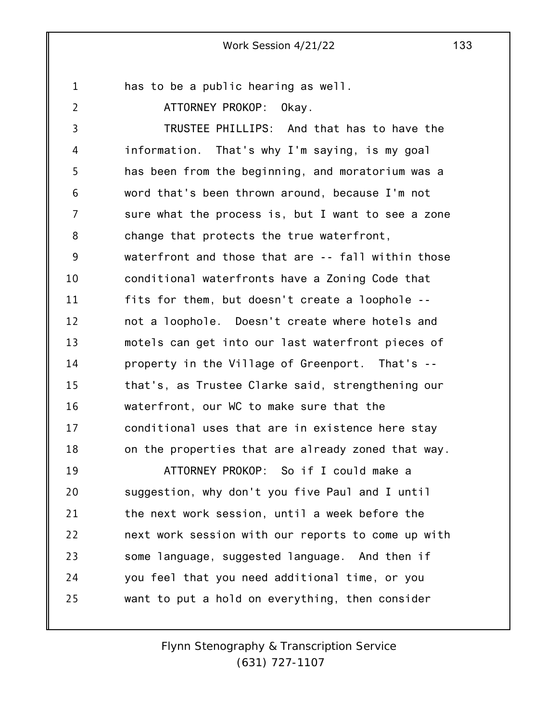1 has to be a public hearing as well.

2

ATTORNEY PROKOP: Okay.

3 4 5 6 7 8 9 10 11 12 13 14 15 16 17 18 19 TRUSTEE PHILLIPS: And that has to have the information. That's why I'm saying, is my goal has been from the beginning, and moratorium was a word that's been thrown around, because I'm not sure what the process is, but I want to see a zone change that protects the true waterfront, waterfront and those that are -- fall within those conditional waterfronts have a Zoning Code that fits for them, but doesn't create a loophole - not a loophole. Doesn't create where hotels and motels can get into our last waterfront pieces of property in the Village of Greenport. That's - that's, as Trustee Clarke said, strengthening our waterfront, our WC to make sure that the conditional uses that are in existence here stay on the properties that are already zoned that way. ATTORNEY PROKOP: So if I could make a

20 21 22 23 24 25 suggestion, why don't you five Paul and I until the next work session, until a week before the next work session with our reports to come up with some language, suggested language. And then if you feel that you need additional time, or you want to put a hold on everything, then consider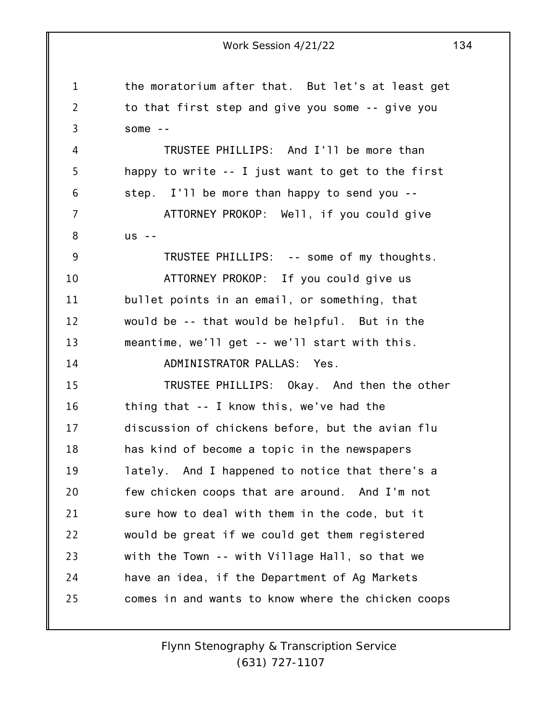1 2 3 4 5 6 7 8 9 10 11 12 13 14 15 16 17 18 19 20 21 22 23 24 25 Work Session 4/21/22 134 the moratorium after that. But let's at least get to that first step and give you some -- give you some -- TRUSTEE PHILLIPS: And I'll be more than happy to write -- I just want to get to the first step. I'll be more than happy to send you -- ATTORNEY PROKOP: Well, if you could give us -- TRUSTEE PHILLIPS: -- some of my thoughts. ATTORNEY PROKOP: If you could give us bullet points in an email, or something, that would be -- that would be helpful. But in the meantime, we'll get -- we'll start with this. ADMINISTRATOR PALLAS: Yes. TRUSTEE PHILLIPS: Okay. And then the other thing that -- I know this, we've had the discussion of chickens before, but the avian flu has kind of become a topic in the newspapers lately. And I happened to notice that there's a few chicken coops that are around. And I'm not sure how to deal with them in the code, but it would be great if we could get them registered with the Town -- with Village Hall, so that we have an idea, if the Department of Ag Markets comes in and wants to know where the chicken coops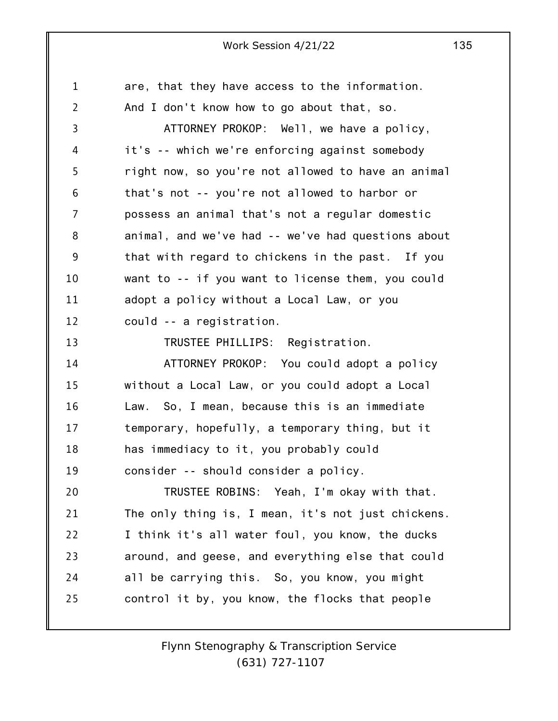1 2 3 4 5 6 7 8 9 10 11 12 13 14 15 16 17 18 19 20 21 22 23 24 25 are, that they have access to the information. And I don't know how to go about that, so. ATTORNEY PROKOP: Well, we have a policy, it's -- which we're enforcing against somebody right now, so you're not allowed to have an animal that's not -- you're not allowed to harbor or possess an animal that's not a regular domestic animal, and we've had -- we've had questions about that with regard to chickens in the past. If you want to -- if you want to license them, you could adopt a policy without a Local Law, or you could -- a registration. TRUSTEE PHILLIPS: Registration. ATTORNEY PROKOP: You could adopt a policy without a Local Law, or you could adopt a Local Law. So, I mean, because this is an immediate temporary, hopefully, a temporary thing, but it has immediacy to it, you probably could consider -- should consider a policy. TRUSTEE ROBINS: Yeah, I'm okay with that. The only thing is, I mean, it's not just chickens. I think it's all water foul, you know, the ducks around, and geese, and everything else that could all be carrying this. So, you know, you might control it by, you know, the flocks that people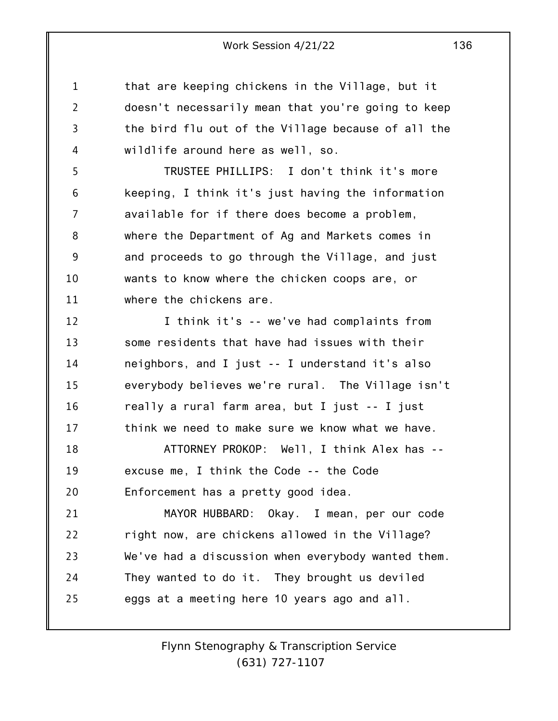1 2 3 4 that are keeping chickens in the Village, but it doesn't necessarily mean that you're going to keep the bird flu out of the Village because of all the wildlife around here as well, so.

5 6 7 8 9 10 11 TRUSTEE PHILLIPS: I don't think it's more keeping, I think it's just having the information available for if there does become a problem, where the Department of Ag and Markets comes in and proceeds to go through the Village, and just wants to know where the chicken coops are, or where the chickens are.

12 13 14 15 16 17 I think it's -- we've had complaints from some residents that have had issues with their neighbors, and I just -- I understand it's also everybody believes we're rural. The Village isn't really a rural farm area, but I just -- I just think we need to make sure we know what we have.

18 19 20 ATTORNEY PROKOP: Well, I think Alex has - excuse me, I think the Code -- the Code Enforcement has a pretty good idea.

21 22 23 24 25 MAYOR HUBBARD: Okay. I mean, per our code right now, are chickens allowed in the Village? We've had a discussion when everybody wanted them. They wanted to do it. They brought us deviled eggs at a meeting here 10 years ago and all.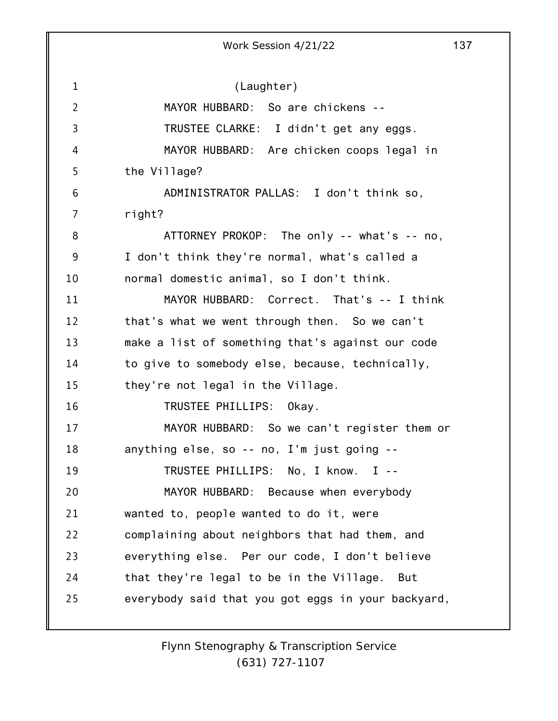1 2 3 4 5 6 7 8 9 10 11 12 13 14 15 16 17 18 19 20 21 22 23 24 25 Work Session 4/21/22 137 (Laughter) MAYOR HUBBARD: So are chickens -- TRUSTEE CLARKE: I didn't get any eggs. MAYOR HUBBARD: Are chicken coops legal in the Village? ADMINISTRATOR PALLAS: I don't think so, right? ATTORNEY PROKOP: The only -- what's -- no, I don't think they're normal, what's called a normal domestic animal, so I don't think. MAYOR HUBBARD: Correct. That's -- I think that's what we went through then. So we can't make a list of something that's against our code to give to somebody else, because, technically, they're not legal in the Village. TRUSTEE PHILLIPS: Okay. MAYOR HUBBARD: So we can't register them or anything else, so -- no, I'm just going -- TRUSTEE PHILLIPS: No, I know. I -- MAYOR HUBBARD: Because when everybody wanted to, people wanted to do it, were complaining about neighbors that had them, and everything else. Per our code, I don't believe that they're legal to be in the Village. But everybody said that you got eggs in your backyard,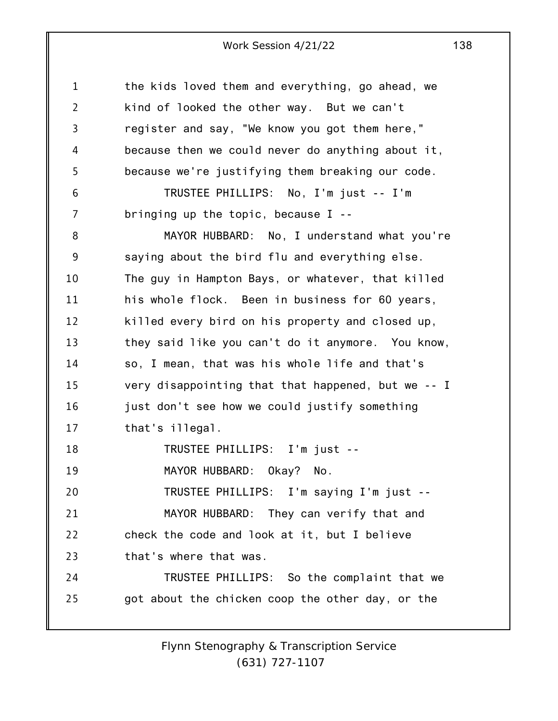1 2 3 4 5 6 7 8 9 10 11 12 13 14 15 16 17 18 19 20 21 22 23 24 25 the kids loved them and everything, go ahead, we kind of looked the other way. But we can't register and say, "We know you got them here," because then we could never do anything about it, because we're justifying them breaking our code. TRUSTEE PHILLIPS: No, I'm just -- I'm bringing up the topic, because I -- MAYOR HUBBARD: No, I understand what you're saying about the bird flu and everything else. The guy in Hampton Bays, or whatever, that killed his whole flock. Been in business for 60 years, killed every bird on his property and closed up, they said like you can't do it anymore. You know, so, I mean, that was his whole life and that's very disappointing that that happened, but we -- I just don't see how we could justify something that's illegal. TRUSTEE PHILLIPS: I'm just -- MAYOR HUBBARD: Okay? No. TRUSTEE PHILLIPS: I'm saying I'm just -- MAYOR HUBBARD: They can verify that and check the code and look at it, but I believe that's where that was. TRUSTEE PHILLIPS: So the complaint that we got about the chicken coop the other day, or the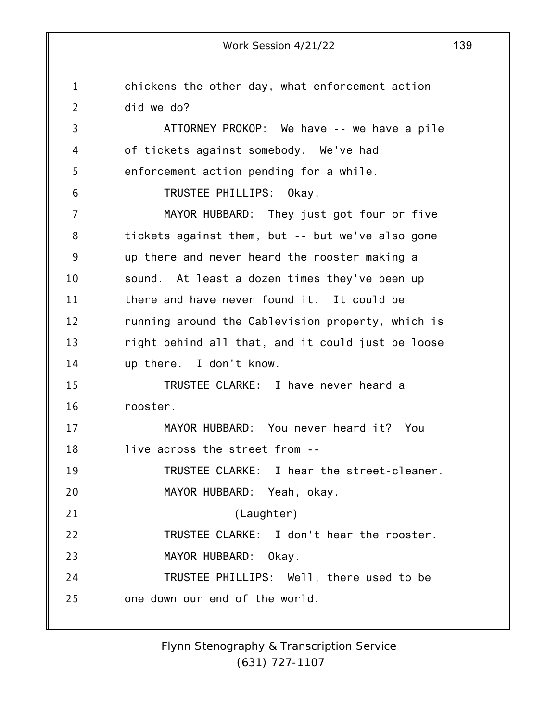1 2 3 4 5 6 7 8 9 10 11 12 13 14 15 16 17 18 19 20 21 22 23 24 25 chickens the other day, what enforcement action did we do? ATTORNEY PROKOP: We have -- we have a pile of tickets against somebody. We've had enforcement action pending for a while. TRUSTEE PHILLIPS: Okay. MAYOR HUBBARD: They just got four or five tickets against them, but -- but we've also gone up there and never heard the rooster making a sound. At least a dozen times they've been up there and have never found it. It could be running around the Cablevision property, which is right behind all that, and it could just be loose up there. I don't know. TRUSTEE CLARKE: I have never heard a rooster. MAYOR HUBBARD: You never heard it? You live across the street from -- TRUSTEE CLARKE: I hear the street-cleaner. MAYOR HUBBARD: Yeah, okay. (Laughter) TRUSTEE CLARKE: I don't hear the rooster. MAYOR HUBBARD: Okay. TRUSTEE PHILLIPS: Well, there used to be one down our end of the world.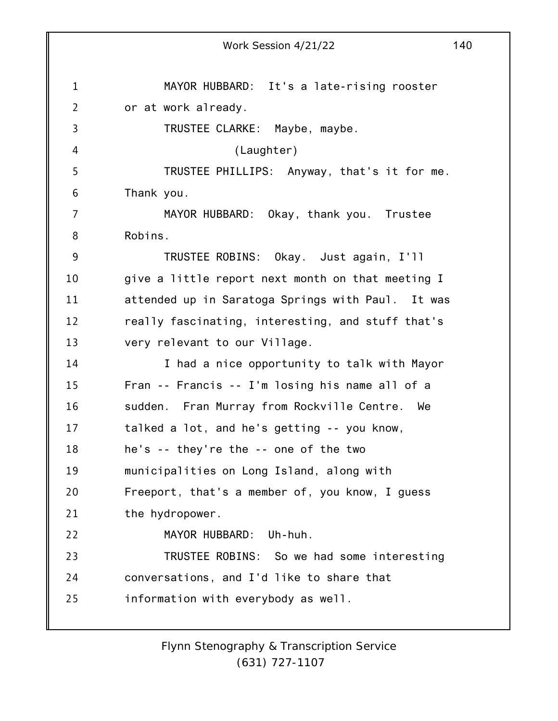1 2 3 4 5 6 7 8 9 10 11 12 13 14 15 16 17 18 19 20 21 22 23 24 25 Work Session 4/21/22 140 MAYOR HUBBARD: It's a late-rising rooster or at work already. TRUSTEE CLARKE: Maybe, maybe. (Laughter) TRUSTEE PHILLIPS: Anyway, that's it for me. Thank you. MAYOR HUBBARD: Okay, thank you. Trustee Robins. TRUSTEE ROBINS: Okay. Just again, I'll give a little report next month on that meeting I attended up in Saratoga Springs with Paul. It was really fascinating, interesting, and stuff that's very relevant to our Village. I had a nice opportunity to talk with Mayor Fran -- Francis -- I'm losing his name all of a sudden. Fran Murray from Rockville Centre. We talked a lot, and he's getting -- you know, he's -- they're the -- one of the two municipalities on Long Island, along with Freeport, that's a member of, you know, I guess the hydropower. MAYOR HUBBARD: Uh-huh. TRUSTEE ROBINS: So we had some interesting conversations, and I'd like to share that information with everybody as well.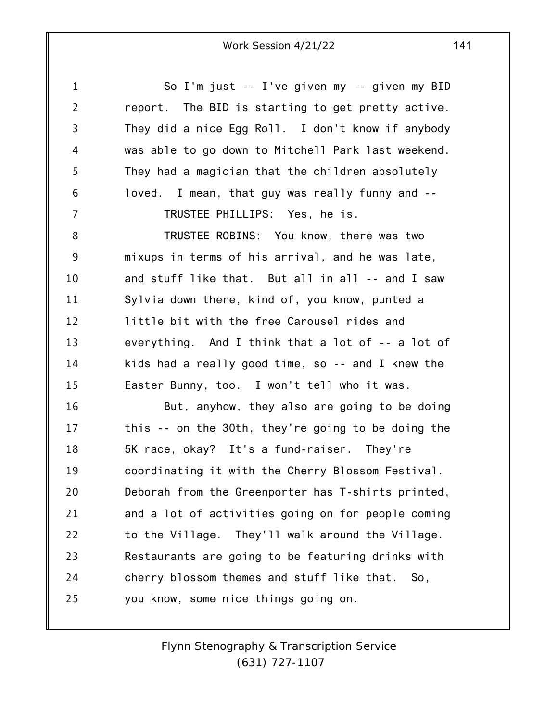1 2 3 4 5 6 7 8 9 10 11 12 13 14 15 16 17 18 19 20 21 22 23 24 25 So I'm just -- I've given my -- given my BID report. The BID is starting to get pretty active. They did a nice Egg Roll. I don't know if anybody was able to go down to Mitchell Park last weekend. They had a magician that the children absolutely loved. I mean, that guy was really funny and -- TRUSTEE PHILLIPS: Yes, he is. TRUSTEE ROBINS: You know, there was two mixups in terms of his arrival, and he was late, and stuff like that. But all in all -- and I saw Sylvia down there, kind of, you know, punted a little bit with the free Carousel rides and everything. And I think that a lot of -- a lot of kids had a really good time, so -- and I knew the Easter Bunny, too. I won't tell who it was. But, anyhow, they also are going to be doing this -- on the 30th, they're going to be doing the 5K race, okay? It's a fund-raiser. They're coordinating it with the Cherry Blossom Festival. Deborah from the Greenporter has T-shirts printed, and a lot of activities going on for people coming to the Village. They'll walk around the Village. Restaurants are going to be featuring drinks with cherry blossom themes and stuff like that. So, you know, some nice things going on.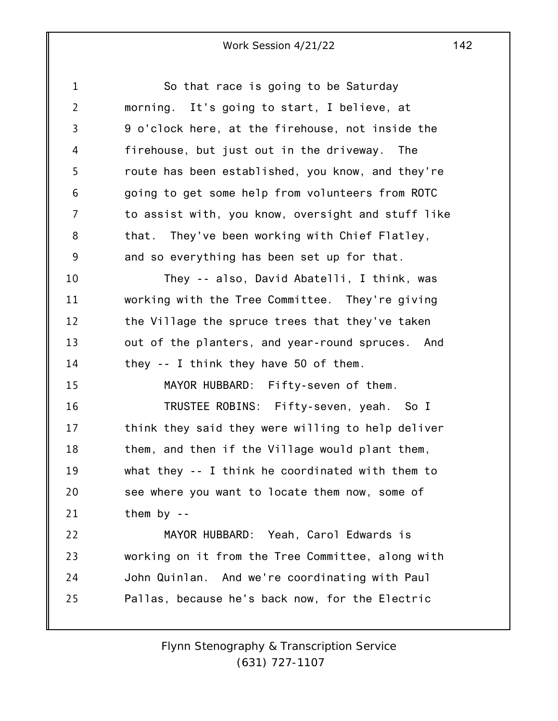| $\mathbf 1$    | So that race is going to be Saturday               |
|----------------|----------------------------------------------------|
| $\overline{2}$ | morning. It's going to start, I believe, at        |
| 3              | 9 o'clock here, at the firehouse, not inside the   |
| 4              | firehouse, but just out in the driveway. The       |
| 5              | route has been established, you know, and they're  |
| 6              | going to get some help from volunteers from ROTC   |
| 7              | to assist with, you know, oversight and stuff like |
| 8              | that. They've been working with Chief Flatley,     |
| 9              | and so everything has been set up for that.        |
| 10             | They -- also, David Abatelli, I think, was         |
| 11             | working with the Tree Committee. They're giving    |
| 12             | the Village the spruce trees that they've taken    |
| 13             | out of the planters, and year-round spruces. And   |
| 14             | they $-$ I think they have 50 of them.             |
| 15             | MAYOR HUBBARD: Fifty-seven of them.                |
| 16             | TRUSTEE ROBINS: Fifty-seven, yeah. So I            |
| 17             | think they said they were willing to help deliver  |
| 18             | them, and then if the Village would plant them,    |
| 19             | what they -- I think he coordinated with them to   |
| 20             | see where you want to locate them now, some of     |
| 21             | them by $-$                                        |
| 22             | MAYOR HUBBARD: Yeah, Carol Edwards is              |
| 23             | working on it from the Tree Committee, along with  |
| 24             | John Quinlan. And we're coordinating with Paul     |
| 25             | Pallas, because he's back now, for the Electric    |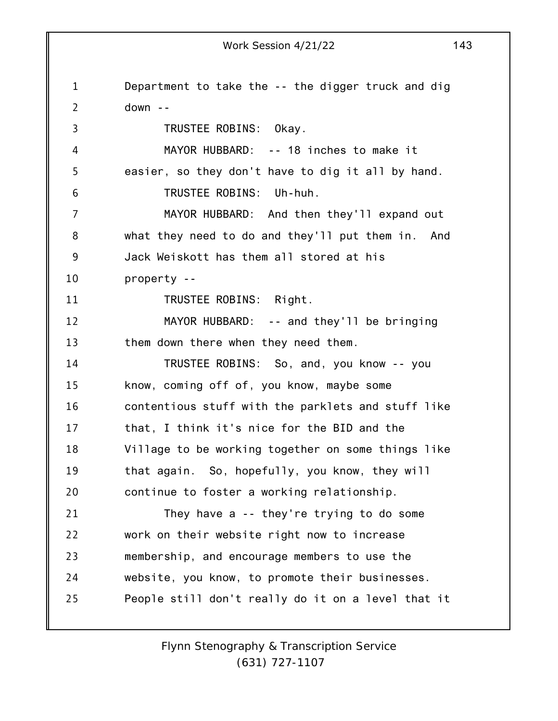1 2 3 4 5 6 7 8 9 10 11 12 13 14 15 16 17 18 19 20 21 22 23 24 25 Work Session 4/21/22 143 Department to take the -- the digger truck and dig down -- TRUSTEE ROBINS: Okay. MAYOR HUBBARD: -- 18 inches to make it easier, so they don't have to dig it all by hand. TRUSTEE ROBINS: Uh-huh. MAYOR HUBBARD: And then they'll expand out what they need to do and they'll put them in. And Jack Weiskott has them all stored at his property -- TRUSTEE ROBINS: Right. MAYOR HUBBARD: -- and they'll be bringing them down there when they need them. TRUSTEE ROBINS: So, and, you know -- you know, coming off of, you know, maybe some contentious stuff with the parklets and stuff like that, I think it's nice for the BID and the Village to be working together on some things like that again. So, hopefully, you know, they will continue to foster a working relationship. They have a -- they're trying to do some work on their website right now to increase membership, and encourage members to use the website, you know, to promote their businesses. People still don't really do it on a level that it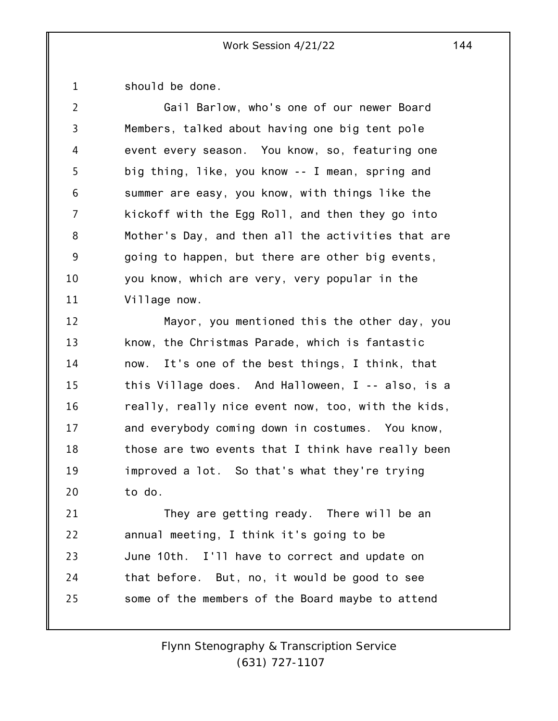1 should be done.

| $\overline{2}$  | Gail Barlow, who's one of our newer Board          |
|-----------------|----------------------------------------------------|
| $\overline{3}$  | Members, talked about having one big tent pole     |
| 4               | event every season. You know, so, featuring one    |
| 5               | big thing, like, you know -- I mean, spring and    |
| $6\phantom{1}6$ | summer are easy, you know, with things like the    |
| 7               | kickoff with the Egg Roll, and then they go into   |
| 8               | Mother's Day, and then all the activities that are |
| 9               | going to happen, but there are other big events,   |
| 10              | you know, which are very, very popular in the      |
| 11              | Village now.                                       |

12 13 14 15 16 17 18 19 20 Mayor, you mentioned this the other day, you know, the Christmas Parade, which is fantastic now. It's one of the best things, I think, that this Village does. And Halloween, I -- also, is a really, really nice event now, too, with the kids, and everybody coming down in costumes. You know, those are two events that I think have really been improved a lot. So that's what they're trying to do.

21 22 23 24 25 They are getting ready. There will be an annual meeting, I think it's going to be June 10th. I'll have to correct and update on that before. But, no, it would be good to see some of the members of the Board maybe to attend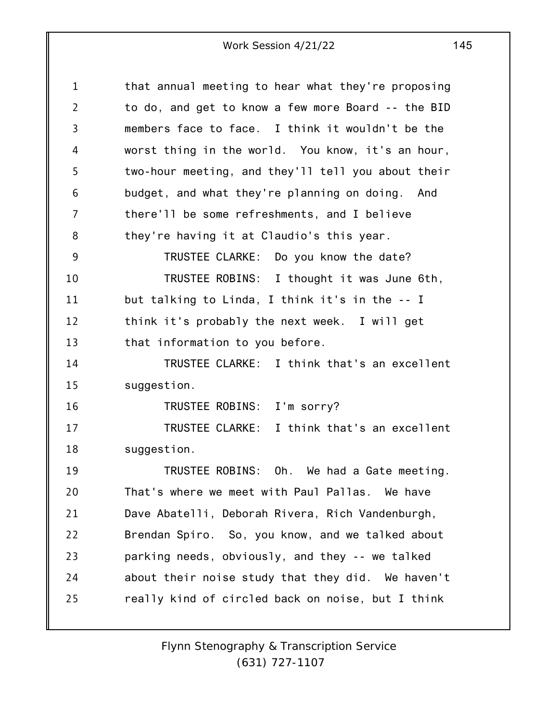1 2 3 4 5 6 7 8 9 10 11 12 13 14 15 16 17 18 19 20 21 22 23 24 25 that annual meeting to hear what they're proposing to do, and get to know a few more Board -- the BID members face to face. I think it wouldn't be the worst thing in the world. You know, it's an hour, two-hour meeting, and they'll tell you about their budget, and what they're planning on doing. And there'll be some refreshments, and I believe they're having it at Claudio's this year. TRUSTEE CLARKE: Do you know the date? TRUSTEE ROBINS: I thought it was June 6th, but talking to Linda, I think it's in the -- I think it's probably the next week. I will get that information to you before. TRUSTEE CLARKE: I think that's an excellent suggestion. TRUSTEE ROBINS: I'm sorry? TRUSTEE CLARKE: I think that's an excellent suggestion. TRUSTEE ROBINS: Oh. We had a Gate meeting. That's where we meet with Paul Pallas. We have Dave Abatelli, Deborah Rivera, Rich Vandenburgh, Brendan Spiro. So, you know, and we talked about parking needs, obviously, and they -- we talked about their noise study that they did. We haven't really kind of circled back on noise, but I think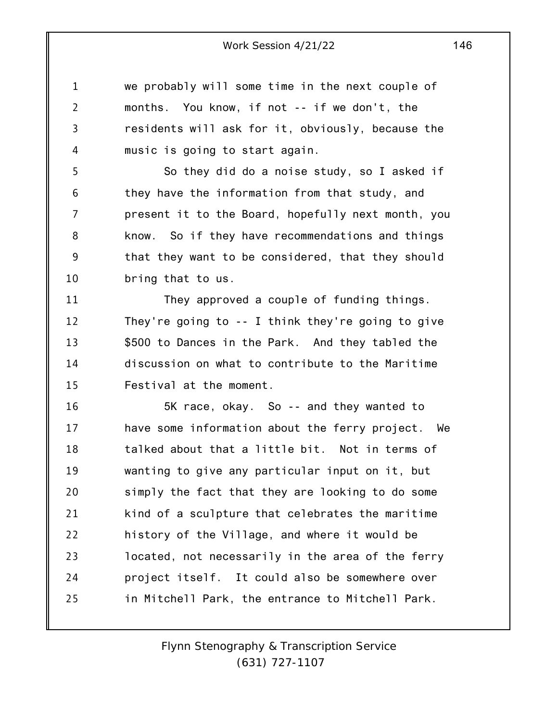1 2 3 4 we probably will some time in the next couple of months. You know, if not -- if we don't, the residents will ask for it, obviously, because the music is going to start again.

5 6 7 8 9 10 So they did do a noise study, so I asked if they have the information from that study, and present it to the Board, hopefully next month, you know. So if they have recommendations and things that they want to be considered, that they should bring that to us.

11 12 13 14 15 They approved a couple of funding things. They're going to -- I think they're going to give \$500 to Dances in the Park. And they tabled the discussion on what to contribute to the Maritime Festival at the moment.

16 17 18 19 20 21 22 23 24 25 5K race, okay. So -- and they wanted to have some information about the ferry project. We talked about that a little bit. Not in terms of wanting to give any particular input on it, but simply the fact that they are looking to do some kind of a sculpture that celebrates the maritime history of the Village, and where it would be located, not necessarily in the area of the ferry project itself. It could also be somewhere over in Mitchell Park, the entrance to Mitchell Park.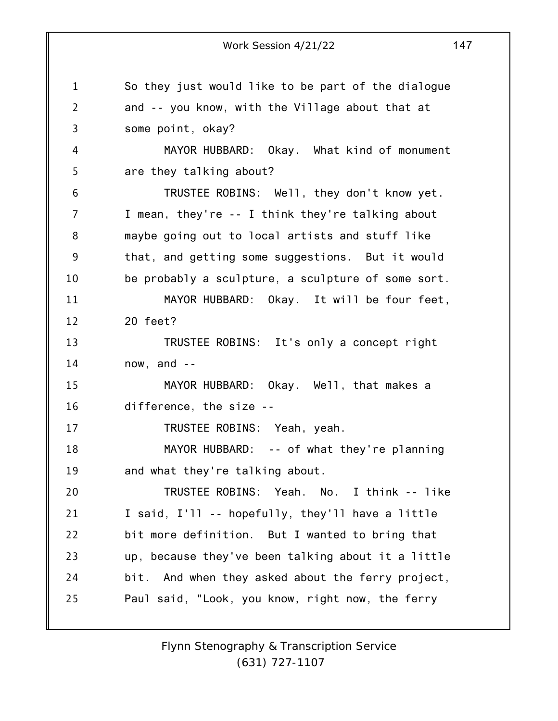1 2 3 4 5 6 7 8 9 10 11 12 13 14 15 16 17 18 19 20 21 22 23 24 25 Work Session 4/21/22 147 So they just would like to be part of the dialogue and -- you know, with the Village about that at some point, okay? MAYOR HUBBARD: Okay. What kind of monument are they talking about? TRUSTEE ROBINS: Well, they don't know yet. I mean, they're -- I think they're talking about maybe going out to local artists and stuff like that, and getting some suggestions. But it would be probably a sculpture, a sculpture of some sort. MAYOR HUBBARD: Okay. It will be four feet, 20 feet? TRUSTEE ROBINS: It's only a concept right now, and -- MAYOR HUBBARD: Okay. Well, that makes a difference, the size -- TRUSTEE ROBINS: Yeah, yeah. MAYOR HUBBARD: -- of what they're planning and what they're talking about. TRUSTEE ROBINS: Yeah. No. I think -- like I said, I'll -- hopefully, they'll have a little bit more definition. But I wanted to bring that up, because they've been talking about it a little bit. And when they asked about the ferry project, Paul said, "Look, you know, right now, the ferry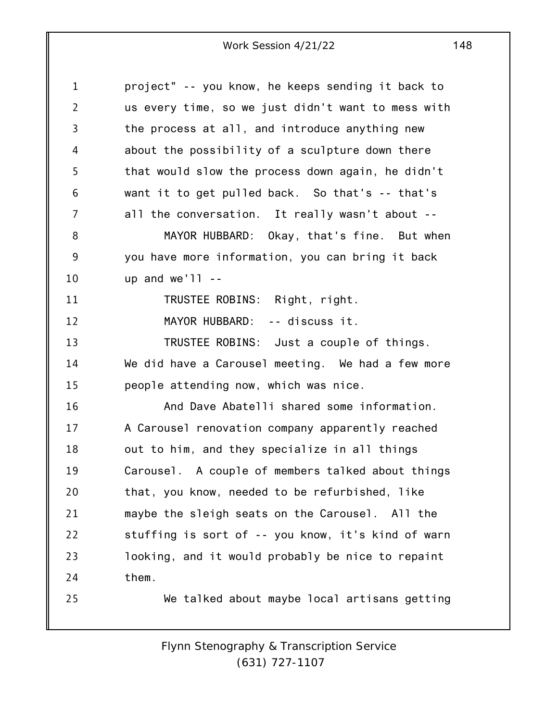1 2 3 4 5 6 7 8 9 10 11 12 13 14 15 16 17 18 19 20 21 22 23 24 25 project" -- you know, he keeps sending it back to us every time, so we just didn't want to mess with the process at all, and introduce anything new about the possibility of a sculpture down there that would slow the process down again, he didn't want it to get pulled back. So that's -- that's all the conversation. It really wasn't about -- MAYOR HUBBARD: Okay, that's fine. But when you have more information, you can bring it back up and  $we'$ ]]  $-$ TRUSTEE ROBINS: Right, right. MAYOR HUBBARD: -- discuss it. TRUSTEE ROBINS: Just a couple of things. We did have a Carousel meeting. We had a few more people attending now, which was nice. And Dave Abatelli shared some information. A Carousel renovation company apparently reached out to him, and they specialize in all things Carousel. A couple of members talked about things that, you know, needed to be refurbished, like maybe the sleigh seats on the Carousel. All the stuffing is sort of -- you know, it's kind of warn looking, and it would probably be nice to repaint them. We talked about maybe local artisans getting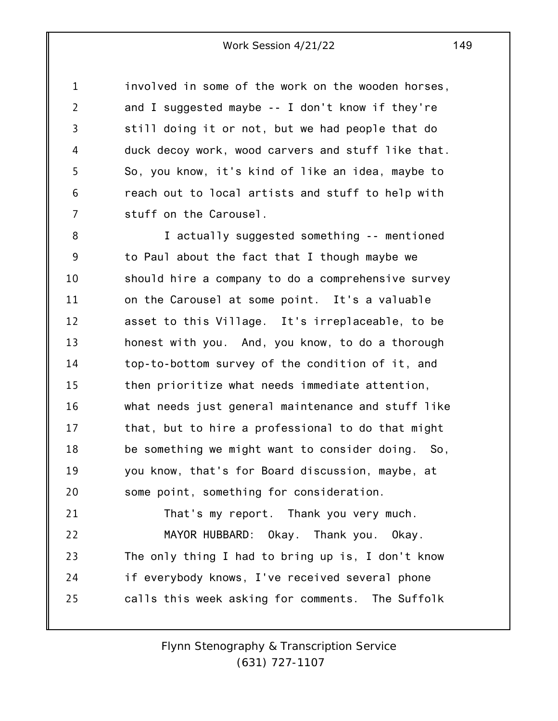1 2 3 4 5 6 7 involved in some of the work on the wooden horses, and I suggested maybe -- I don't know if they're still doing it or not, but we had people that do duck decoy work, wood carvers and stuff like that. So, you know, it's kind of like an idea, maybe to reach out to local artists and stuff to help with stuff on the Carousel.

8 9 10 11 12 13 14 15 16 17 18 19 20 21 I actually suggested something -- mentioned to Paul about the fact that I though maybe we should hire a company to do a comprehensive survey on the Carousel at some point. It's a valuable asset to this Village. It's irreplaceable, to be honest with you. And, you know, to do a thorough top-to-bottom survey of the condition of it, and then prioritize what needs immediate attention, what needs just general maintenance and stuff like that, but to hire a professional to do that might be something we might want to consider doing. So, you know, that's for Board discussion, maybe, at some point, something for consideration. That's my report. Thank you very much.

22 23 24 25 MAYOR HUBBARD: Okay. Thank you. Okay. The only thing I had to bring up is, I don't know if everybody knows, I've received several phone calls this week asking for comments. The Suffolk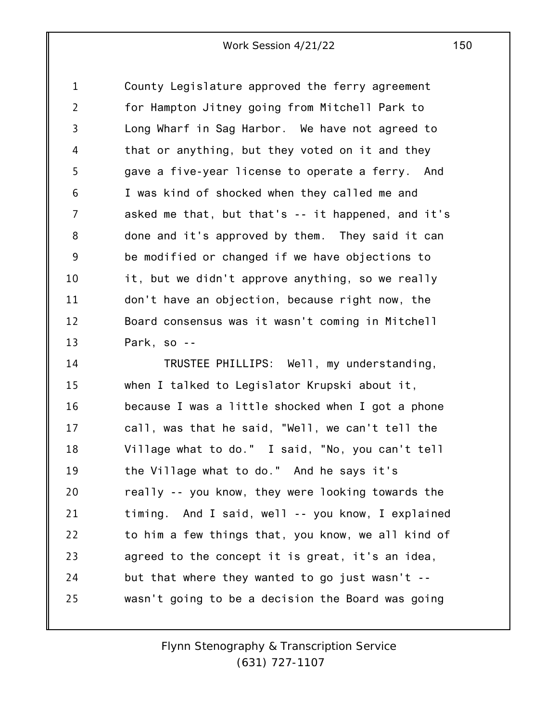1 2 3 4 5 6 7 8 9 10 11 12 13 County Legislature approved the ferry agreement for Hampton Jitney going from Mitchell Park to Long Wharf in Sag Harbor. We have not agreed to that or anything, but they voted on it and they gave a five-year license to operate a ferry. And I was kind of shocked when they called me and asked me that, but that's -- it happened, and it's done and it's approved by them. They said it can be modified or changed if we have objections to it, but we didn't approve anything, so we really don't have an objection, because right now, the Board consensus was it wasn't coming in Mitchell Park, so --

14 15 16 17 18 19 20 21 22 23 24 25 TRUSTEE PHILLIPS: Well, my understanding, when I talked to Legislator Krupski about it, because I was a little shocked when I got a phone call, was that he said, "Well, we can't tell the Village what to do." I said, "No, you can't tell the Village what to do." And he says it's really -- you know, they were looking towards the timing. And I said, well -- you know, I explained to him a few things that, you know, we all kind of agreed to the concept it is great, it's an idea, but that where they wanted to go just wasn't - wasn't going to be a decision the Board was going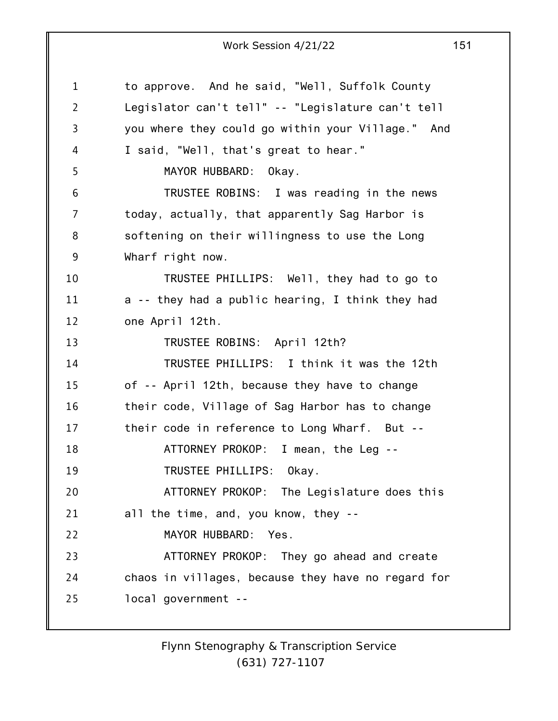1 2 3 4 5 6 7 8 9 10 11 12 13 14 15 16 17 18 19 20 21 22 23 24 25 to approve. And he said, "Well, Suffolk County Legislator can't tell" -- "Legislature can't tell you where they could go within your Village." And I said, "Well, that's great to hear." MAYOR HUBBARD: Okay. TRUSTEE ROBINS: I was reading in the news today, actually, that apparently Sag Harbor is softening on their willingness to use the Long Wharf right now. TRUSTEE PHILLIPS: Well, they had to go to a -- they had a public hearing, I think they had one April 12th. TRUSTEE ROBINS: April 12th? TRUSTEE PHILLIPS: I think it was the 12th of -- April 12th, because they have to change their code, Village of Sag Harbor has to change their code in reference to Long Wharf. But -- ATTORNEY PROKOP: I mean, the Leg -- TRUSTEE PHILLIPS: Okay. ATTORNEY PROKOP: The Legislature does this all the time, and, you know, they -- MAYOR HUBBARD: Yes. ATTORNEY PROKOP: They go ahead and create chaos in villages, because they have no regard for local government --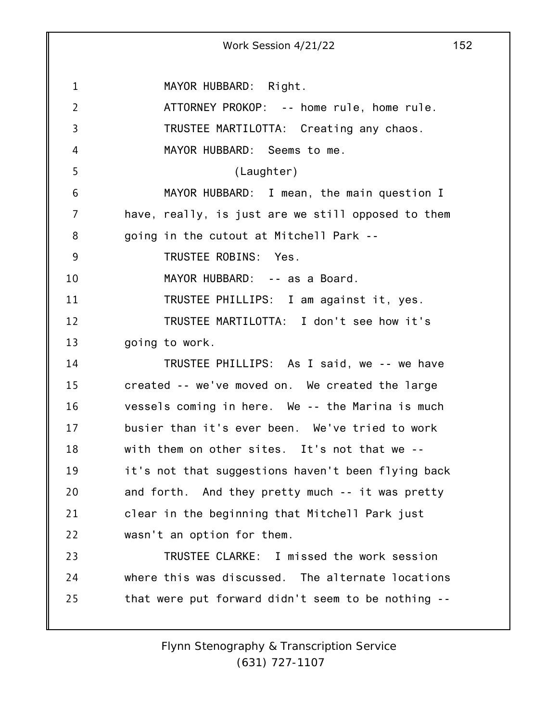1 2 3 4 5 6 7 8 9 10 11 12 13 14 15 16 17 18 19 20 21 22 23 24 25 Work Session 4/21/22 152 MAYOR HUBBARD: Right. ATTORNEY PROKOP: -- home rule, home rule. TRUSTEE MARTILOTTA: Creating any chaos. MAYOR HUBBARD: Seems to me. (Laughter) MAYOR HUBBARD: I mean, the main question I have, really, is just are we still opposed to them going in the cutout at Mitchell Park -- TRUSTEE ROBINS: Yes. MAYOR HUBBARD: -- as a Board. TRUSTEE PHILLIPS: I am against it, yes. TRUSTEE MARTILOTTA: I don't see how it's going to work. TRUSTEE PHILLIPS: As I said, we -- we have created -- we've moved on. We created the large vessels coming in here. We -- the Marina is much busier than it's ever been. We've tried to work with them on other sites. It's not that we - it's not that suggestions haven't been flying back and forth. And they pretty much -- it was pretty clear in the beginning that Mitchell Park just wasn't an option for them. TRUSTEE CLARKE: I missed the work session where this was discussed. The alternate locations that were put forward didn't seem to be nothing --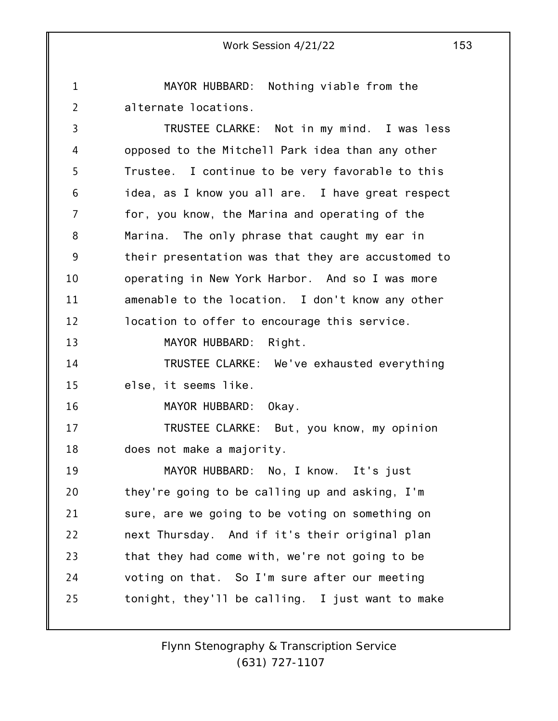1 2 3 4 5 6 7 8 9 10 11 12 13 14 15 16 17 18 19 20 21 22 23 24 25 Work Session 4/21/22 153 MAYOR HUBBARD: Nothing viable from the alternate locations. TRUSTEE CLARKE: Not in my mind. I was less opposed to the Mitchell Park idea than any other Trustee. I continue to be very favorable to this idea, as I know you all are. I have great respect for, you know, the Marina and operating of the Marina. The only phrase that caught my ear in their presentation was that they are accustomed to operating in New York Harbor. And so I was more amenable to the location. I don't know any other location to offer to encourage this service. MAYOR HUBBARD: Right. TRUSTEE CLARKE: We've exhausted everything else, it seems like. MAYOR HUBBARD: Okay. TRUSTEE CLARKE: But, you know, my opinion does not make a majority. MAYOR HUBBARD: No, I know. It's just they're going to be calling up and asking, I'm sure, are we going to be voting on something on next Thursday. And if it's their original plan that they had come with, we're not going to be voting on that. So I'm sure after our meeting tonight, they'll be calling. I just want to make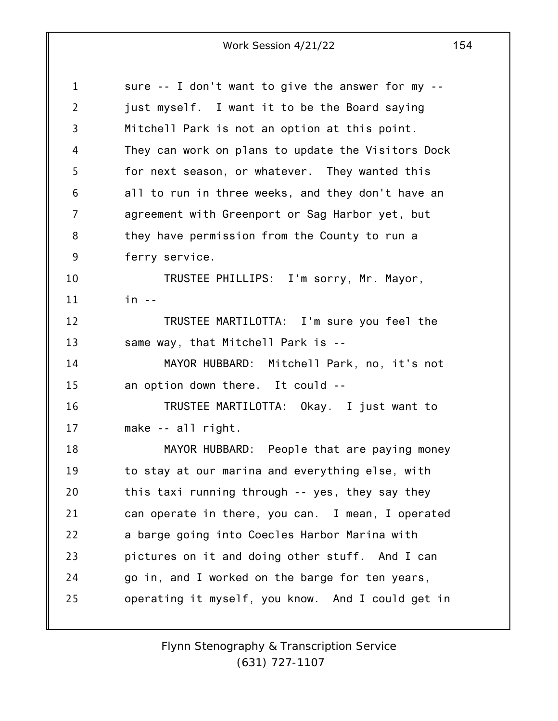1 2 3 4 5 6 7 8 9 10 11 12 13 14 15 16 17 18 19 20 21 22 23 24 25 sure -- I don't want to give the answer for my - just myself. I want it to be the Board saying Mitchell Park is not an option at this point. They can work on plans to update the Visitors Dock for next season, or whatever. They wanted this all to run in three weeks, and they don't have an agreement with Greenport or Sag Harbor yet, but they have permission from the County to run a ferry service. TRUSTEE PHILLIPS: I'm sorry, Mr. Mayor, in -- TRUSTEE MARTILOTTA: I'm sure you feel the same way, that Mitchell Park is -- MAYOR HUBBARD: Mitchell Park, no, it's not an option down there. It could -- TRUSTEE MARTILOTTA: Okay. I just want to make -- all right. MAYOR HUBBARD: People that are paying money to stay at our marina and everything else, with this taxi running through -- yes, they say they can operate in there, you can. I mean, I operated a barge going into Coecles Harbor Marina with pictures on it and doing other stuff. And I can go in, and I worked on the barge for ten years, operating it myself, you know. And I could get in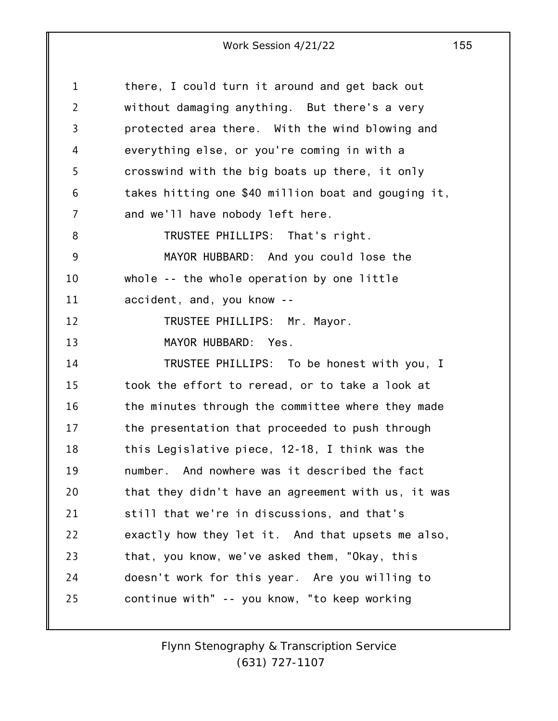| 1              | there, I could turn it around and get back out      |
|----------------|-----------------------------------------------------|
| $\overline{2}$ | without damaging anything. But there's a very       |
| 3              | protected area there. With the wind blowing and     |
| 4              | everything else, or you're coming in with a         |
| 5              | crosswind with the big boats up there, it only      |
| 6              | takes hitting one \$40 million boat and gouging it, |
| 7              | and we'll have nobody left here.                    |
| 8              | TRUSTEE PHILLIPS: That's right.                     |
| 9              | MAYOR HUBBARD: And you could lose the               |
| 10             | whole -- the whole operation by one little          |
| 11             | accident, and, you know --                          |
| 12             | TRUSTEE PHILLIPS: Mr. Mayor.                        |
| 13             | MAYOR HUBBARD: Yes.                                 |
| 14             | TRUSTEE PHILLIPS: To be honest with you, I          |
| 15             | took the effort to reread, or to take a look at     |
| 16             | the minutes through the committee where they made   |
| 17             | the presentation that proceeded to push through     |
| 18             | this Legislative piece, 12-18, I think was the      |
| 19             | number. And nowhere was it described the fact       |
| 20             | that they didn't have an agreement with us, it was  |
| 21             | still that we're in discussions, and that's         |
| 22             | exactly how they let it. And that upsets me also,   |
| 23             | that, you know, we've asked them, "Okay, this       |
| 24             | doesn't work for this year. Are you willing to      |
| 25             | continue with" -- you know, "to keep working        |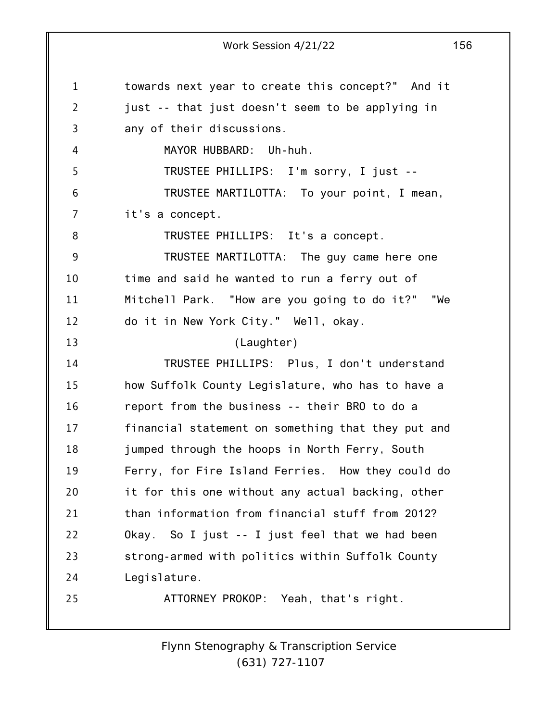1 2 3 4 5 6 7 8 9 10 11 12 13 14 15 16 17 18 19 20 21 22 23 24 25 Work Session 4/21/22 156 towards next year to create this concept?" And it just -- that just doesn't seem to be applying in any of their discussions. MAYOR HUBBARD: Uh-huh. TRUSTEE PHILLIPS: I'm sorry, I just -- TRUSTEE MARTILOTTA: To your point, I mean, it's a concept. TRUSTEE PHILLIPS: It's a concept. TRUSTEE MARTILOTTA: The guy came here one time and said he wanted to run a ferry out of Mitchell Park. "How are you going to do it?" "We do it in New York City." Well, okay. (Laughter) TRUSTEE PHILLIPS: Plus, I don't understand how Suffolk County Legislature, who has to have a report from the business -- their BRO to do a financial statement on something that they put and jumped through the hoops in North Ferry, South Ferry, for Fire Island Ferries. How they could do it for this one without any actual backing, other than information from financial stuff from 2012? Okay. So I just -- I just feel that we had been strong-armed with politics within Suffolk County Legislature. ATTORNEY PROKOP: Yeah, that's right.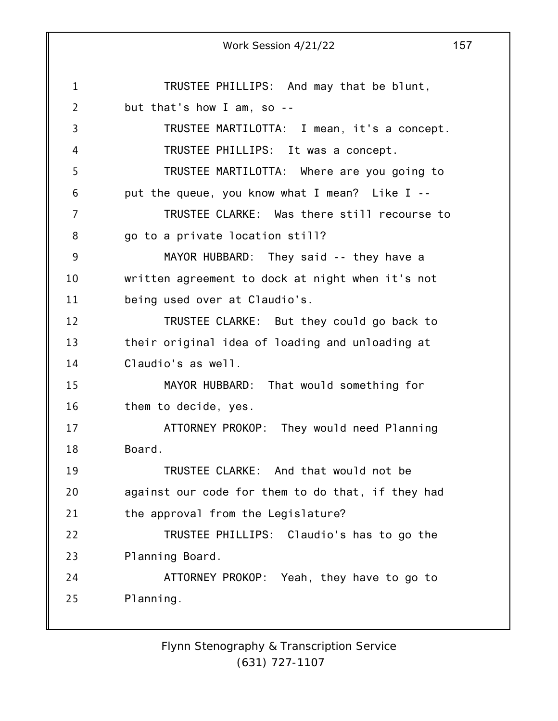1 2 3 4 5 6 7 8 9 10 11 12 13 14 15 16 17 18 19 20 21 22 23 24 25 Work Session 4/21/22 157 TRUSTEE PHILLIPS: And may that be blunt, but that's how I am, so -- TRUSTEE MARTILOTTA: I mean, it's a concept. TRUSTEE PHILLIPS: It was a concept. TRUSTEE MARTILOTTA: Where are you going to put the queue, you know what I mean? Like I -- TRUSTEE CLARKE: Was there still recourse to go to a private location still? MAYOR HUBBARD: They said -- they have a written agreement to dock at night when it's not being used over at Claudio's. TRUSTEE CLARKE: But they could go back to their original idea of loading and unloading at Claudio's as well. MAYOR HUBBARD: That would something for them to decide, yes. ATTORNEY PROKOP: They would need Planning Board. TRUSTEE CLARKE: And that would not be against our code for them to do that, if they had the approval from the Legislature? TRUSTEE PHILLIPS: Claudio's has to go the Planning Board. ATTORNEY PROKOP: Yeah, they have to go to Planning.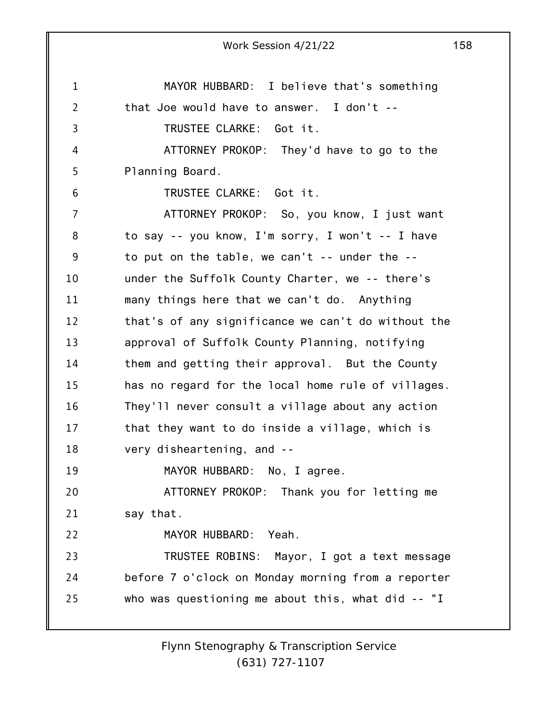1 2 3 4 5 6 7 8 9 10 11 12 13 14 15 16 17 18 19 20 21 22 23 24 25 Work Session 4/21/22 158 MAYOR HUBBARD: I believe that's something that Joe would have to answer. I don't -- TRUSTEE CLARKE: Got it. ATTORNEY PROKOP: They'd have to go to the Planning Board. TRUSTEE CLARKE: Got it. ATTORNEY PROKOP: So, you know, I just want to say -- you know, I'm sorry, I won't -- I have to put on the table, we can't -- under the - under the Suffolk County Charter, we -- there's many things here that we can't do. Anything that's of any significance we can't do without the approval of Suffolk County Planning, notifying them and getting their approval. But the County has no regard for the local home rule of villages. They'll never consult a village about any action that they want to do inside a village, which is very disheartening, and -- MAYOR HUBBARD: No, I agree. ATTORNEY PROKOP: Thank you for letting me say that. MAYOR HUBBARD: Yeah. TRUSTEE ROBINS: Mayor, I got a text message before 7 o'clock on Monday morning from a reporter who was questioning me about this, what did -- "I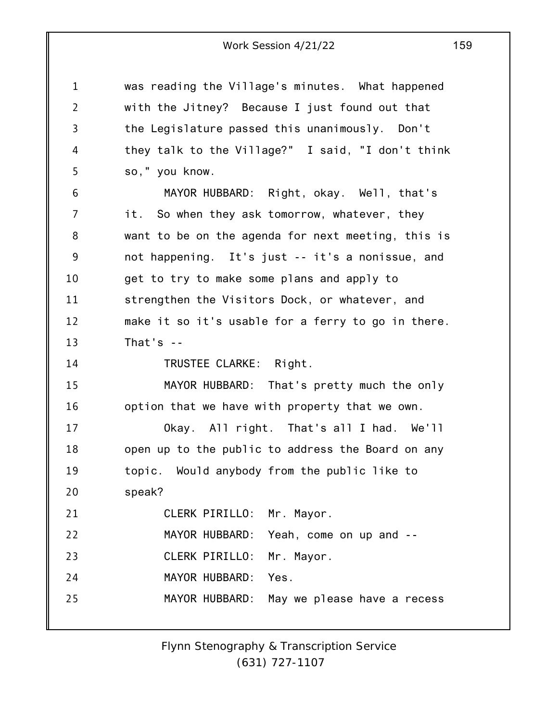was reading the Village's minutes. What happened with the Jitney? Because I just found out that the Legislature passed this unanimously. Don't they talk to the Village?" I said, "I don't think so," you know.

1

2

3

4

5

6 7 8 9 10 11 12 13 14 MAYOR HUBBARD: Right, okay. Well, that's it. So when they ask tomorrow, whatever, they want to be on the agenda for next meeting, this is not happening. It's just -- it's a nonissue, and get to try to make some plans and apply to strengthen the Visitors Dock, or whatever, and make it so it's usable for a ferry to go in there. That's -- TRUSTEE CLARKE: Right.

15 16 MAYOR HUBBARD: That's pretty much the only option that we have with property that we own.

17 18 19 20  $21$ Okay. All right. That's all I had. We'll open up to the public to address the Board on any topic. Would anybody from the public like to speak? CLERK PIRILLO: Mr. Mayor.

|    | ULLINI I INILLUI III I IIUVUI. |                                            |
|----|--------------------------------|--------------------------------------------|
| 22 |                                | MAYOR HUBBARD: Yeah, come on up and --     |
| 23 | CLERK PIRILLO: Mr. Mayor.      |                                            |
| 24 | MAYOR HUBBARD: Yes.            |                                            |
| 25 |                                | MAYOR HUBBARD: May we please have a recess |
|    |                                |                                            |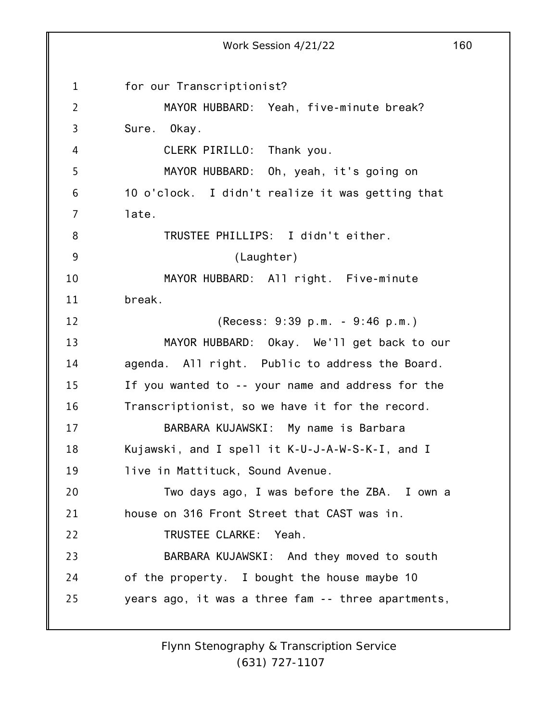1 2 3 4 5 6 7 8 9 10 11 12 13 14 15 16 17 18 19 20 21 22 23 24 25 Work Session 4/21/22 160 for our Transcriptionist? MAYOR HUBBARD: Yeah, five-minute break? Sure. Okay. CLERK PIRILLO: Thank you. MAYOR HUBBARD: Oh, yeah, it's going on 10 o'clock. I didn't realize it was getting that late. TRUSTEE PHILLIPS: I didn't either. (Laughter) MAYOR HUBBARD: All right. Five-minute break. (Recess: 9:39 p.m. - 9:46 p.m.) MAYOR HUBBARD: Okay. We'll get back to our agenda. All right. Public to address the Board. If you wanted to -- your name and address for the Transcriptionist, so we have it for the record. BARBARA KUJAWSKI: My name is Barbara Kujawski, and I spell it K-U-J-A-W-S-K-I, and I live in Mattituck, Sound Avenue. Two days ago, I was before the ZBA. I own a house on 316 Front Street that CAST was in. TRUSTEE CLARKE: Yeah. BARBARA KUJAWSKI: And they moved to south of the property. I bought the house maybe 10 years ago, it was a three fam -- three apartments,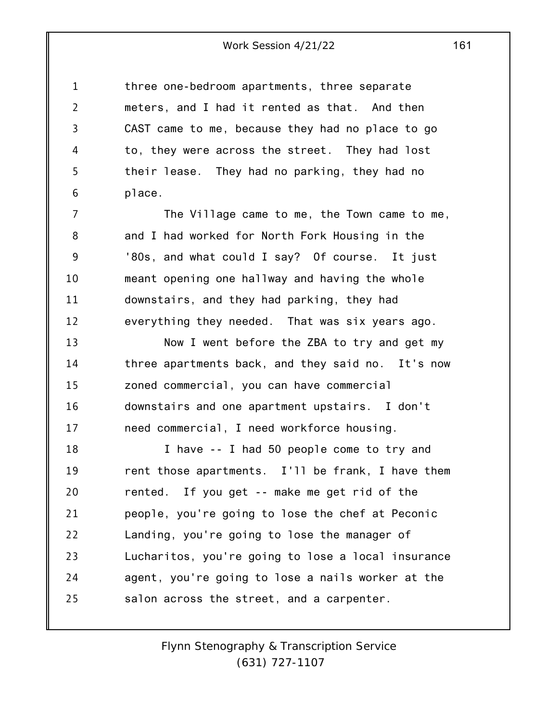1 2 3 4 5 6 three one-bedroom apartments, three separate meters, and I had it rented as that. And then CAST came to me, because they had no place to go to, they were across the street. They had lost their lease. They had no parking, they had no place.

7 8 9 10 11 12 The Village came to me, the Town came to me, and I had worked for North Fork Housing in the '80s, and what could I say? Of course. It just meant opening one hallway and having the whole downstairs, and they had parking, they had everything they needed. That was six years ago.

13 14 15 16 17 Now I went before the ZBA to try and get my three apartments back, and they said no. It's now zoned commercial, you can have commercial downstairs and one apartment upstairs. I don't need commercial, I need workforce housing.

18 19 20 21 22 23 24 25 I have -- I had 50 people come to try and rent those apartments. I'll be frank, I have them rented. If you get -- make me get rid of the people, you're going to lose the chef at Peconic Landing, you're going to lose the manager of Lucharitos, you're going to lose a local insurance agent, you're going to lose a nails worker at the salon across the street, and a carpenter.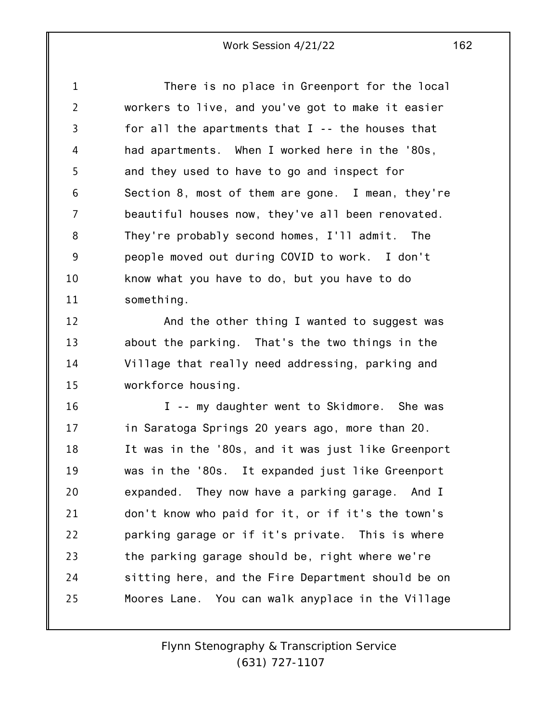1 2 3 4 5 6 7 8 9 10 11 There is no place in Greenport for the local workers to live, and you've got to make it easier for all the apartments that  $I - -$  the houses that had apartments. When I worked here in the '80s, and they used to have to go and inspect for Section 8, most of them are gone. I mean, they're beautiful houses now, they've all been renovated. They're probably second homes, I'll admit. The people moved out during COVID to work. I don't know what you have to do, but you have to do something.

12 13 14 15 And the other thing I wanted to suggest was about the parking. That's the two things in the Village that really need addressing, parking and workforce housing.

16 17 18 19 20 21 22 23 24 25 I -- my daughter went to Skidmore. She was in Saratoga Springs 20 years ago, more than 20. It was in the '80s, and it was just like Greenport was in the '80s. It expanded just like Greenport expanded. They now have a parking garage. And I don't know who paid for it, or if it's the town's parking garage or if it's private. This is where the parking garage should be, right where we're sitting here, and the Fire Department should be on Moores Lane. You can walk anyplace in the Village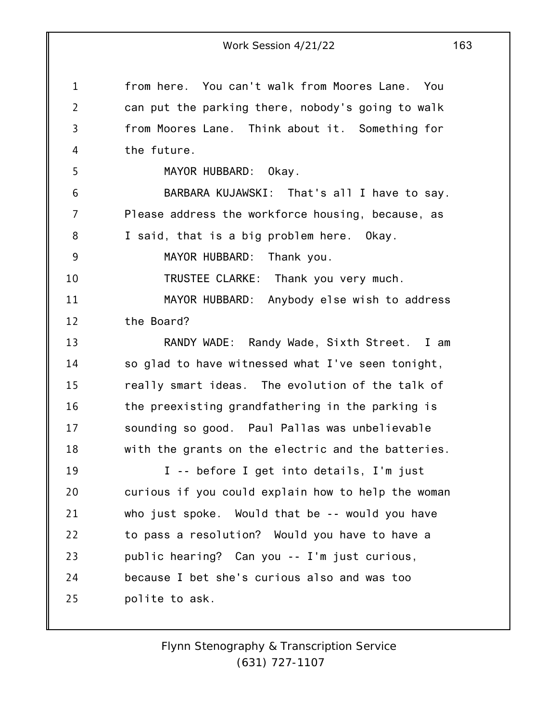1 2 3 4 5 6 7 8 9 10 11 12 13 14 15 16 17 18 19 20 21 22 23 24 25 Work Session 4/21/22 163 from here. You can't walk from Moores Lane. You can put the parking there, nobody's going to walk from Moores Lane. Think about it. Something for the future. MAYOR HUBBARD: Okay. BARBARA KUJAWSKI: That's all I have to say. Please address the workforce housing, because, as I said, that is a big problem here. Okay. MAYOR HUBBARD: Thank you. TRUSTEE CLARKE: Thank you very much. MAYOR HUBBARD: Anybody else wish to address the Board? RANDY WADE: Randy Wade, Sixth Street. I am so glad to have witnessed what I've seen tonight, really smart ideas. The evolution of the talk of the preexisting grandfathering in the parking is sounding so good. Paul Pallas was unbelievable with the grants on the electric and the batteries. I -- before I get into details, I'm just curious if you could explain how to help the woman who just spoke. Would that be -- would you have to pass a resolution? Would you have to have a public hearing? Can you -- I'm just curious, because I bet she's curious also and was too polite to ask.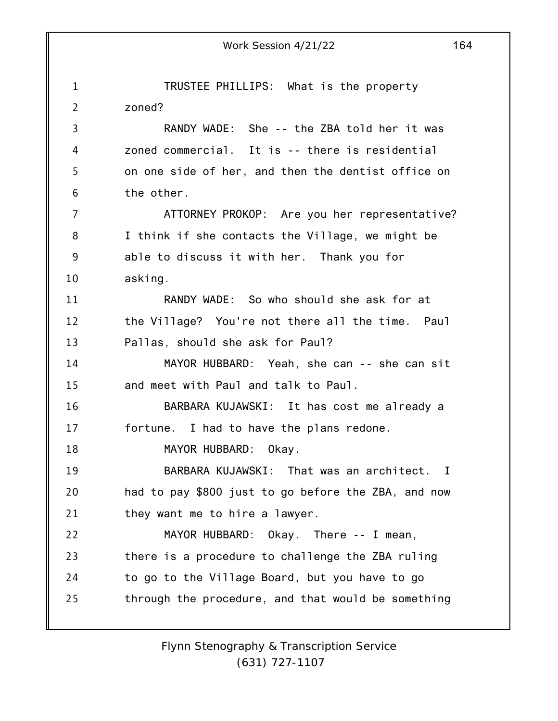1 2 3 4 5 6 7 8 9 10 11 12 13 14 15 16 17 18 19 20 21 22 23 24 25 Work Session 4/21/22 164 TRUSTEE PHILLIPS: What is the property zoned? RANDY WADE: She -- the ZBA told her it was zoned commercial. It is -- there is residential on one side of her, and then the dentist office on the other. ATTORNEY PROKOP: Are you her representative? I think if she contacts the Village, we might be able to discuss it with her. Thank you for asking. RANDY WADE: So who should she ask for at the Village? You're not there all the time. Paul Pallas, should she ask for Paul? MAYOR HUBBARD: Yeah, she can -- she can sit and meet with Paul and talk to Paul. BARBARA KUJAWSKI: It has cost me already a fortune. I had to have the plans redone. MAYOR HUBBARD: Okay. BARBARA KUJAWSKI: That was an architect. I had to pay \$800 just to go before the ZBA, and now they want me to hire a lawyer. MAYOR HUBBARD: Okay. There -- I mean, there is a procedure to challenge the ZBA ruling to go to the Village Board, but you have to go through the procedure, and that would be something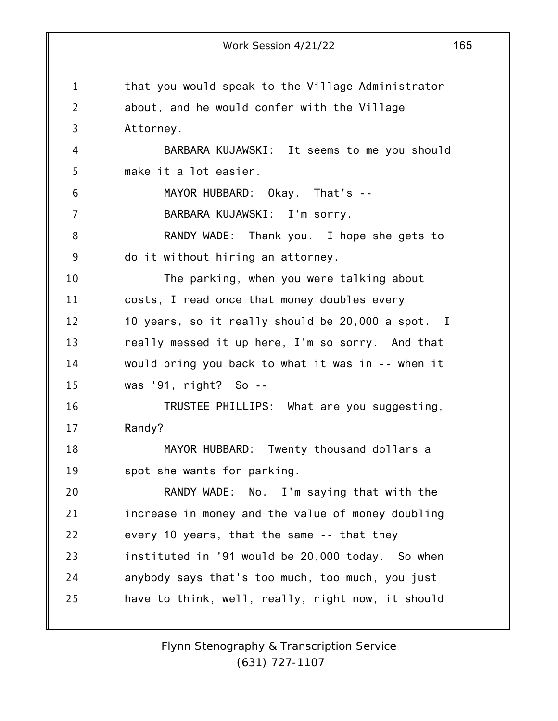1 2 3 4 5 6 7 8 9 10 11 12 13 14 15 16 17 18 19 20 21 22 23 24 25 Work Session 4/21/22 165 that you would speak to the Village Administrator about, and he would confer with the Village Attorney. BARBARA KUJAWSKI: It seems to me you should make it a lot easier. MAYOR HUBBARD: Okay. That's -- BARBARA KUJAWSKI: I'm sorry. RANDY WADE: Thank you. I hope she gets to do it without hiring an attorney. The parking, when you were talking about costs, I read once that money doubles every 10 years, so it really should be 20,000 a spot. I really messed it up here, I'm so sorry. And that would bring you back to what it was in -- when it was '91, right? So -- TRUSTEE PHILLIPS: What are you suggesting, Randy? MAYOR HUBBARD: Twenty thousand dollars a spot she wants for parking. RANDY WADE: No. I'm saying that with the increase in money and the value of money doubling every 10 years, that the same -- that they instituted in '91 would be 20,000 today. So when anybody says that's too much, too much, you just have to think, well, really, right now, it should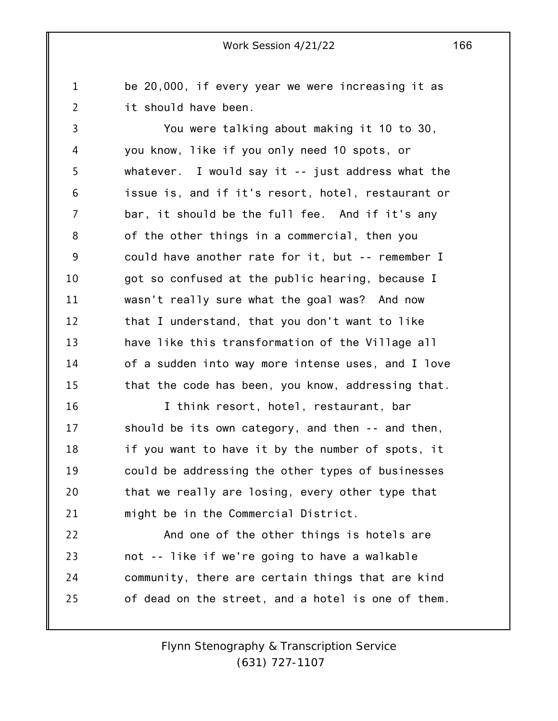be 20,000, if every year we were increasing it as it should have been.

1

2

3 4 5 6 7 8 9 10 11 12 13 14 15 You were talking about making it 10 to 30, you know, like if you only need 10 spots, or whatever. I would say it -- just address what the issue is, and if it's resort, hotel, restaurant or bar, it should be the full fee. And if it's any of the other things in a commercial, then you could have another rate for it, but -- remember I got so confused at the public hearing, because I wasn't really sure what the goal was? And now that I understand, that you don't want to like have like this transformation of the Village all of a sudden into way more intense uses, and I love that the code has been, you know, addressing that.

16 17 18 19 20 21 I think resort, hotel, restaurant, bar should be its own category, and then -- and then, if you want to have it by the number of spots, it could be addressing the other types of businesses that we really are losing, every other type that might be in the Commercial District.

22 23 24 25 And one of the other things is hotels are not -- like if we're going to have a walkable community, there are certain things that are kind of dead on the street, and a hotel is one of them.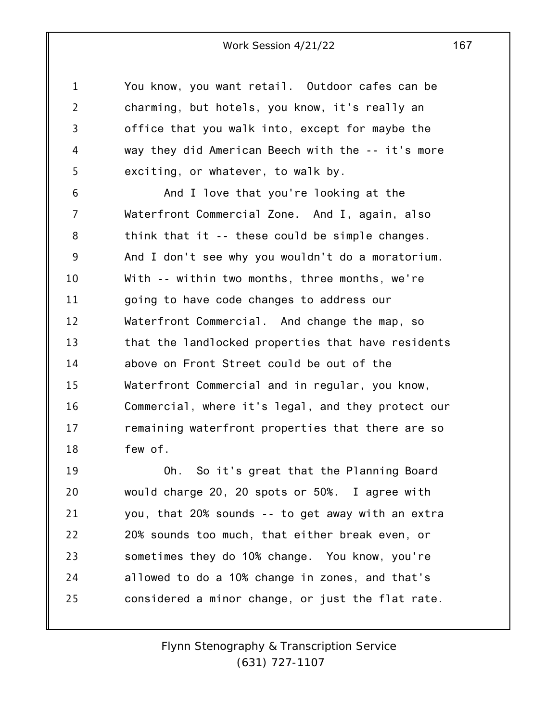1 2 3 4 5 You know, you want retail. Outdoor cafes can be charming, but hotels, you know, it's really an office that you walk into, except for maybe the way they did American Beech with the -- it's more exciting, or whatever, to walk by.

6 7 8 9 10 11 12 13 14 15 16 17 18 And I love that you're looking at the Waterfront Commercial Zone. And I, again, also think that it -- these could be simple changes. And I don't see why you wouldn't do a moratorium. With -- within two months, three months, we're going to have code changes to address our Waterfront Commercial. And change the map, so that the landlocked properties that have residents above on Front Street could be out of the Waterfront Commercial and in regular, you know, Commercial, where it's legal, and they protect our remaining waterfront properties that there are so few of.

19 20 21 22 23 24 25 Oh. So it's great that the Planning Board would charge 20, 20 spots or 50%. I agree with you, that 20% sounds -- to get away with an extra 20% sounds too much, that either break even, or sometimes they do 10% change. You know, you're allowed to do a 10% change in zones, and that's considered a minor change, or just the flat rate.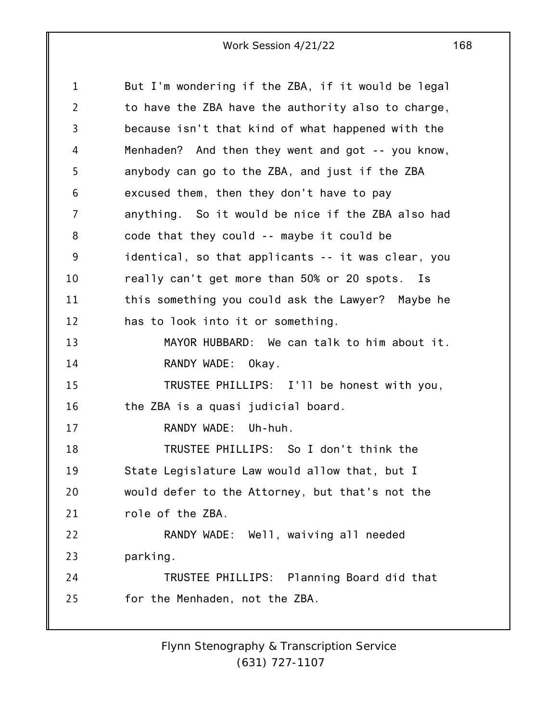1 2 3 4 5 6 7 8 9 10 11 12 13 14 15 16 17 18 19 20 21 22 23 24 25 But I'm wondering if the ZBA, if it would be legal to have the ZBA have the authority also to charge, because isn't that kind of what happened with the Menhaden? And then they went and got -- you know, anybody can go to the ZBA, and just if the ZBA excused them, then they don't have to pay anything. So it would be nice if the ZBA also had code that they could -- maybe it could be identical, so that applicants -- it was clear, you really can't get more than 50% or 20 spots. Is this something you could ask the Lawyer? Maybe he has to look into it or something. MAYOR HUBBARD: We can talk to him about it. RANDY WADE: Okay. TRUSTEE PHILLIPS: I'll be honest with you, the ZBA is a quasi judicial board. RANDY WADE: Uh-huh. TRUSTEE PHILLIPS: So I don't think the State Legislature Law would allow that, but I would defer to the Attorney, but that's not the role of the ZBA. RANDY WADE: Well, waiving all needed parking. TRUSTEE PHILLIPS: Planning Board did that for the Menhaden, not the ZBA.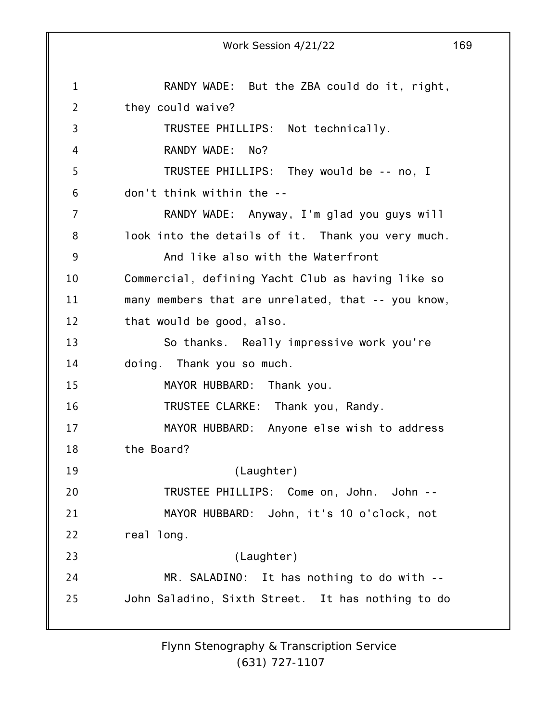1 2 3 4 5 6 7 8 9 10 11 12 13 14 15 16 17 18 19 20 21 22 23 24 25 Work Session 4/21/22 169 RANDY WADE: But the ZBA could do it, right, they could waive? TRUSTEE PHILLIPS: Not technically. RANDY WADE: No? TRUSTEE PHILLIPS: They would be -- no, I don't think within the -- RANDY WADE: Anyway, I'm glad you guys will look into the details of it. Thank you very much. And like also with the Waterfront Commercial, defining Yacht Club as having like so many members that are unrelated, that -- you know, that would be good, also. So thanks. Really impressive work you're doing. Thank you so much. MAYOR HUBBARD: Thank you. TRUSTEE CLARKE: Thank you, Randy. MAYOR HUBBARD: Anyone else wish to address the Board? (Laughter) TRUSTEE PHILLIPS: Come on, John. John -- MAYOR HUBBARD: John, it's 10 o'clock, not real long. (Laughter) MR. SALADINO: It has nothing to do with -- John Saladino, Sixth Street. It has nothing to do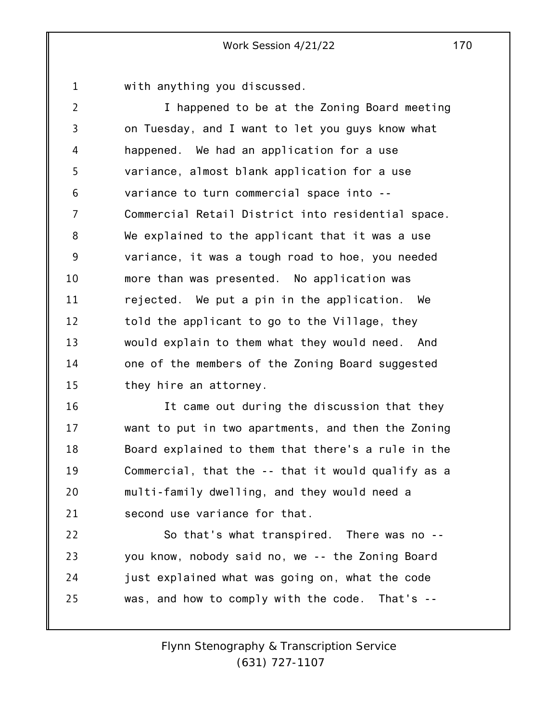1 with anything you discussed.

2 3 4 5 6 7 8 9 10 11 12 13 14 15 I happened to be at the Zoning Board meeting on Tuesday, and I want to let you guys know what happened. We had an application for a use variance, almost blank application for a use variance to turn commercial space into -- Commercial Retail District into residential space. We explained to the applicant that it was a use variance, it was a tough road to hoe, you needed more than was presented. No application was rejected. We put a pin in the application. We told the applicant to go to the Village, they would explain to them what they would need. And one of the members of the Zoning Board suggested they hire an attorney.

16 17 18 19 20 21 It came out during the discussion that they want to put in two apartments, and then the Zoning Board explained to them that there's a rule in the Commercial, that the -- that it would qualify as a multi-family dwelling, and they would need a second use variance for that.

22 23 24 25 So that's what transpired. There was no - you know, nobody said no, we -- the Zoning Board just explained what was going on, what the code was, and how to comply with the code. That's --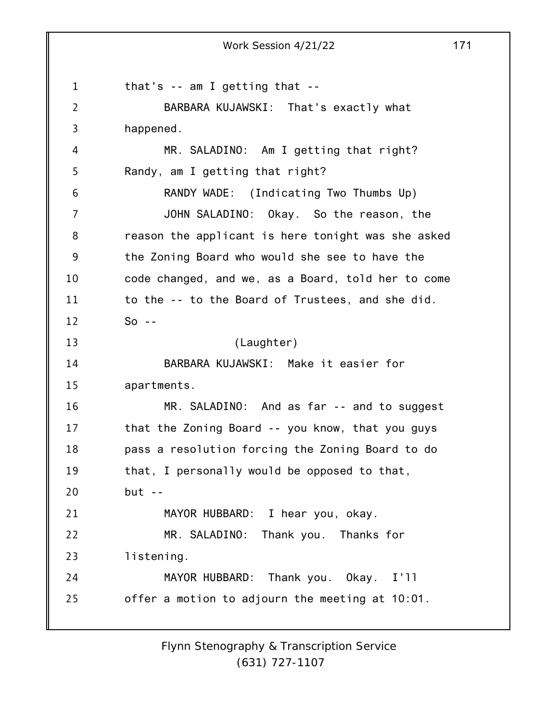1 2 3 4 5 6 7 8 9 10 11 12 13 14 15 16 17 18 19 20 21 22 23 24 25 Work Session 4/21/22 171 that's -- am I getting that -- BARBARA KUJAWSKI: That's exactly what happened. MR. SALADINO: Am I getting that right? Randy, am I getting that right? RANDY WADE: (Indicating Two Thumbs Up) JOHN SALADINO: Okay. So the reason, the reason the applicant is here tonight was she asked the Zoning Board who would she see to have the code changed, and we, as a Board, told her to come to the -- to the Board of Trustees, and she did.  $So - -$ (Laughter) BARBARA KUJAWSKI: Make it easier for apartments. MR. SALADINO: And as far -- and to suggest that the Zoning Board -- you know, that you guys pass a resolution forcing the Zoning Board to do that, I personally would be opposed to that,  $but --$ MAYOR HUBBARD: I hear you, okay. MR. SALADINO: Thank you. Thanks for listening. MAYOR HUBBARD: Thank you. Okay. I'll offer a motion to adjourn the meeting at 10:01.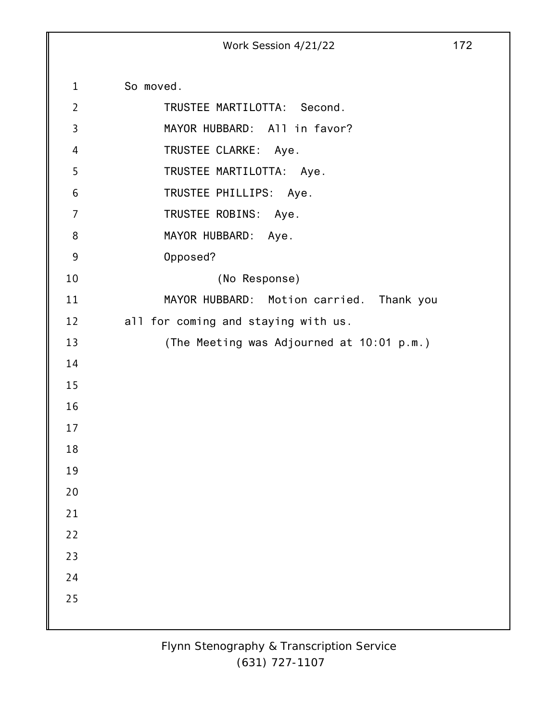|                  | Work Session 4/21/22                      | 172 |
|------------------|-------------------------------------------|-----|
|                  |                                           |     |
| $\mathbf{1}$     | So moved.                                 |     |
| $\overline{2}$   | TRUSTEE MARTILOTTA: Second.               |     |
| $\overline{3}$   | MAYOR HUBBARD: All in favor?              |     |
| 4                | TRUSTEE CLARKE: Aye.                      |     |
| 5                | TRUSTEE MARTILOTTA: Aye.                  |     |
| 6                | TRUSTEE PHILLIPS: Aye.                    |     |
| $\overline{7}$   | TRUSTEE ROBINS:<br>Aye.                   |     |
| 8                | MAYOR HUBBARD: Aye.                       |     |
| $\boldsymbol{9}$ | Opposed?                                  |     |
| 10               | (No Response)                             |     |
| 11               | MAYOR HUBBARD: Motion carried. Thank you  |     |
| 12               | all for coming and staying with us.       |     |
| 13               | (The Meeting was Adjourned at 10:01 p.m.) |     |
| 14               |                                           |     |
| 15               |                                           |     |
| 16               |                                           |     |
| 17               |                                           |     |
| 18               |                                           |     |
| 19               |                                           |     |
| $20$             |                                           |     |
| 21               |                                           |     |
| 22               |                                           |     |
| 23               |                                           |     |
| 24               |                                           |     |
| 25               |                                           |     |
|                  |                                           |     |